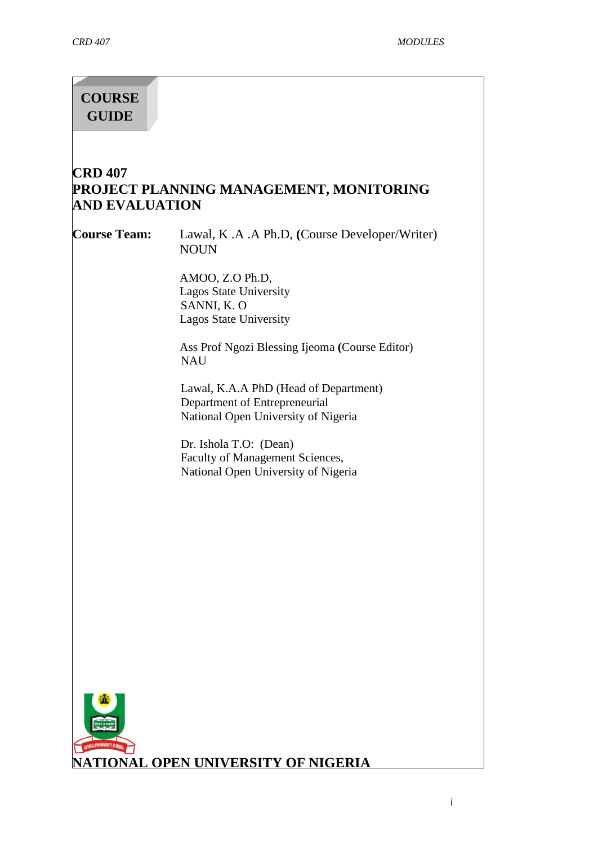# **COURSE GUIDE**

# **CRD 407 PROJECT PLANNING MANAGEMENT, MONITORING AND EVALUATION**

**Course Team:** Lawal, K .A .A Ph.D, **(**Course Developer/Writer) **NOUN** 

> AMOO, Z.O Ph.D, Lagos State University SANNI, K. O Lagos State University

Ass Prof Ngozi Blessing Ijeoma **(**Course Editor) NAU

Lawal, K.A.A PhD (Head of Department) Department of Entrepreneurial National Open University of Nigeria

Dr. Ishola T.O: (Dean) Faculty of Management Sciences, National Open University of Nigeria

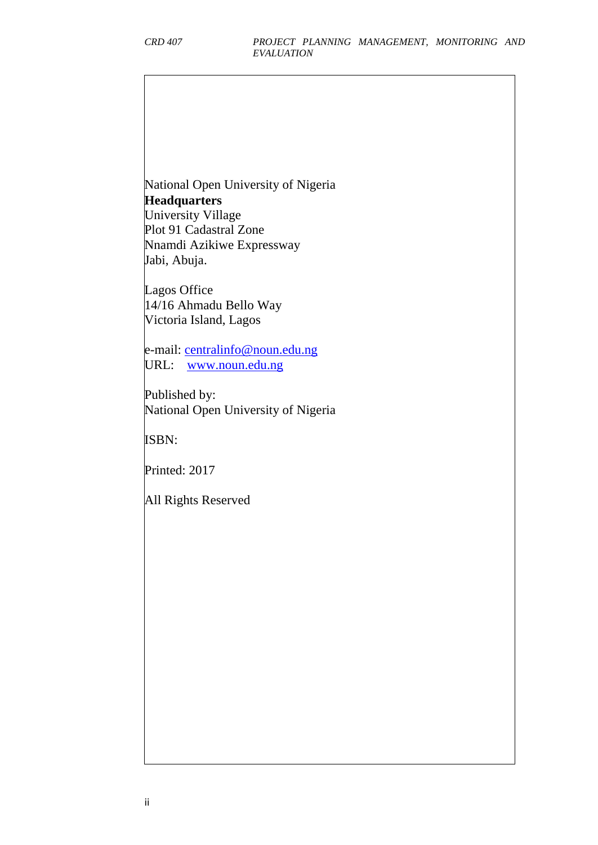National Open University of Nigeria **Headquarters** University Village Plot 91 Cadastral Zone Nnamdi Azikiwe Expressway Jabi, Abuja.

Lagos Office 14/16 Ahmadu Bello Way Victoria Island, Lagos

e-mail: [centralinfo@noun.edu.ng](mailto:centralinfo@noun.edu.ng) URL: [www.noun.edu.ng](http://www.noun.edu.ng/)

Published by: National Open University of Nigeria

ISBN:

Printed: 2017

All Rights Reserved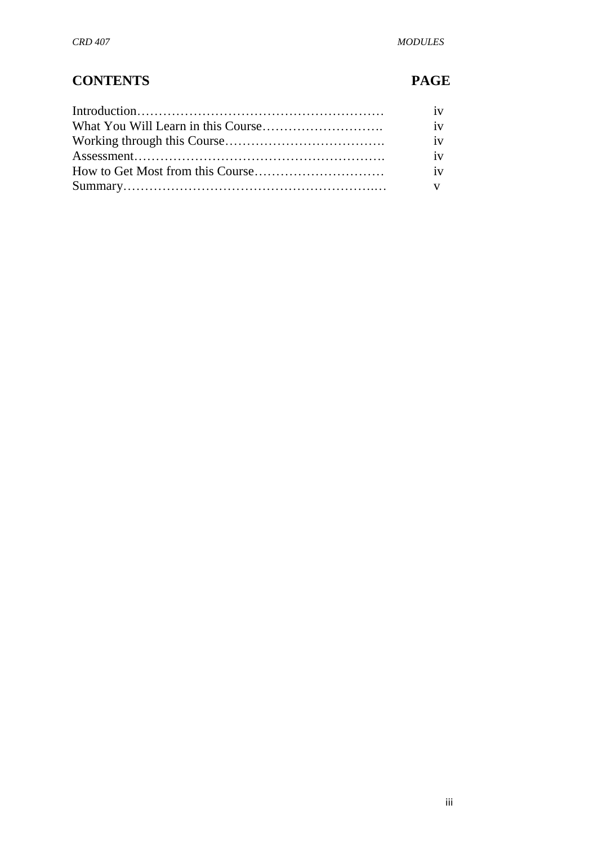# **CONTENTS PAGE**

| iv |
|----|
| iv |
| iv |
| iv |
| iv |
|    |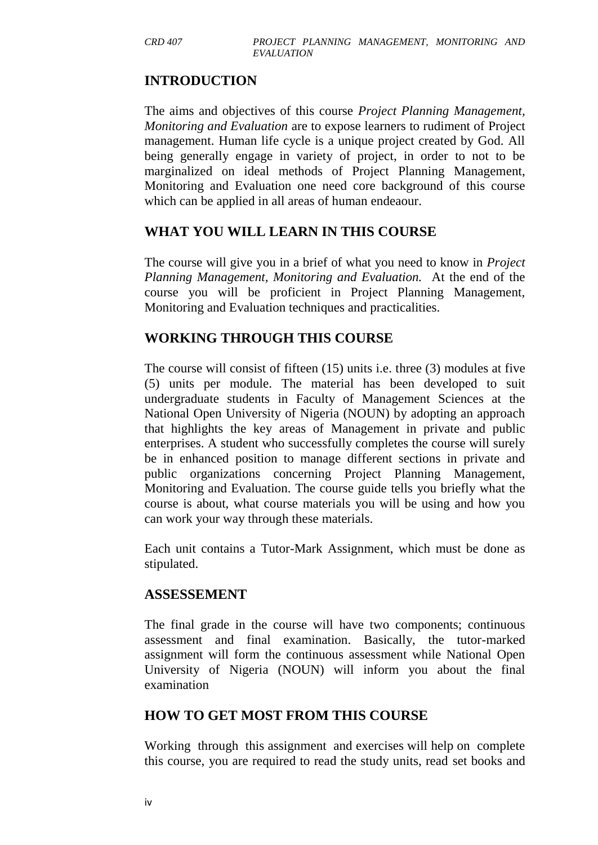## **INTRODUCTION**

The aims and objectives of this course *Project Planning Management, Monitoring and Evaluation* are to expose learners to rudiment of Project management. Human life cycle is a unique project created by God. All being generally engage in variety of project, in order to not to be marginalized on ideal methods of Project Planning Management, Monitoring and Evaluation one need core background of this course which can be applied in all areas of human endeaour.

#### **WHAT YOU WILL LEARN IN THIS COURSE**

The course will give you in a brief of what you need to know in *Project Planning Management, Monitoring and Evaluation.* At the end of the course you will be proficient in Project Planning Management, Monitoring and Evaluation techniques and practicalities.

#### **WORKING THROUGH THIS COURSE**

The course will consist of fifteen (15) units i.e. three (3) modules at five (5) units per module. The material has been developed to suit undergraduate students in Faculty of Management Sciences at the National Open University of Nigeria (NOUN) by adopting an approach that highlights the key areas of Management in private and public enterprises. A student who successfully completes the course will surely be in enhanced position to manage different sections in private and public organizations concerning Project Planning Management, Monitoring and Evaluation. The course guide tells you briefly what the course is about, what course materials you will be using and how you can work your way through these materials.

Each unit contains a Tutor-Mark Assignment, which must be done as stipulated.

## **ASSESSEMENT**

The final grade in the course will have two components; continuous assessment and final examination. Basically, the tutor-marked assignment will form the continuous assessment while National Open University of Nigeria (NOUN) will inform you about the final examination

## **HOW TO GET MOST FROM THIS COURSE**

Working through this assignment and exercises will help on complete this course, you are required to read the study units, read set books and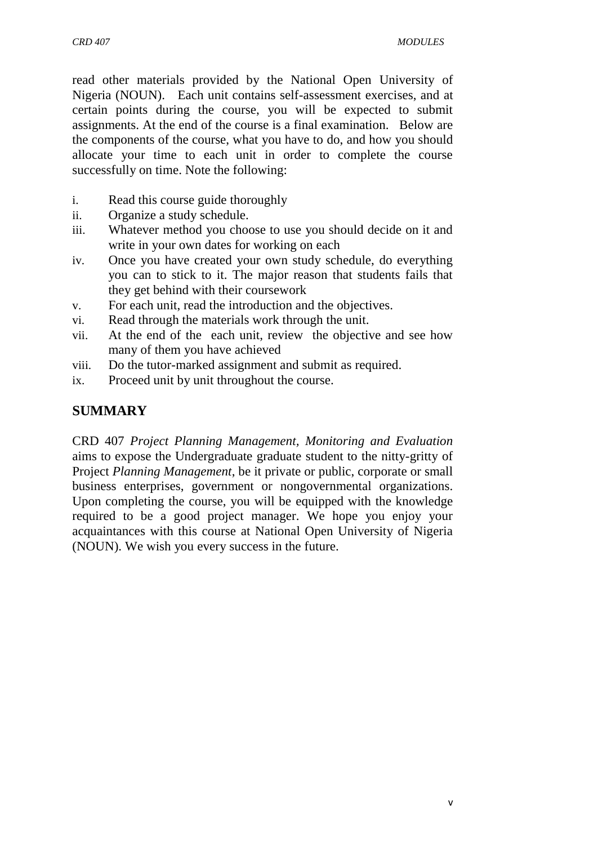read other materials provided by the National Open University of Nigeria (NOUN). Each unit contains self-assessment exercises, and at certain points during the course, you will be expected to submit assignments. At the end of the course is a final examination. Below are the components of the course, what you have to do, and how you should allocate your time to each unit in order to complete the course successfully on time. Note the following:

- i. Read this course guide thoroughly
- ii. Organize a study schedule.
- iii. Whatever method you choose to use you should decide on it and write in your own dates for working on each
- iv. Once you have created your own study schedule, do everything you can to stick to it. The major reason that students fails that they get behind with their coursework
- v. For each unit, read the introduction and the objectives.
- vi. Read through the materials work through the unit.
- vii. At the end of the each unit, review the objective and see how many of them you have achieved
- viii. Do the tutor-marked assignment and submit as required.
- ix. Proceed unit by unit throughout the course.

## **SUMMARY**

CRD 407 *Project Planning Management, Monitoring and Evaluation* aims to expose the Undergraduate graduate student to the nitty-gritty of Project *Planning Management*, be it private or public, corporate or small business enterprises, government or nongovernmental organizations. Upon completing the course, you will be equipped with the knowledge required to be a good project manager. We hope you enjoy your acquaintances with this course at National Open University of Nigeria (NOUN). We wish you every success in the future.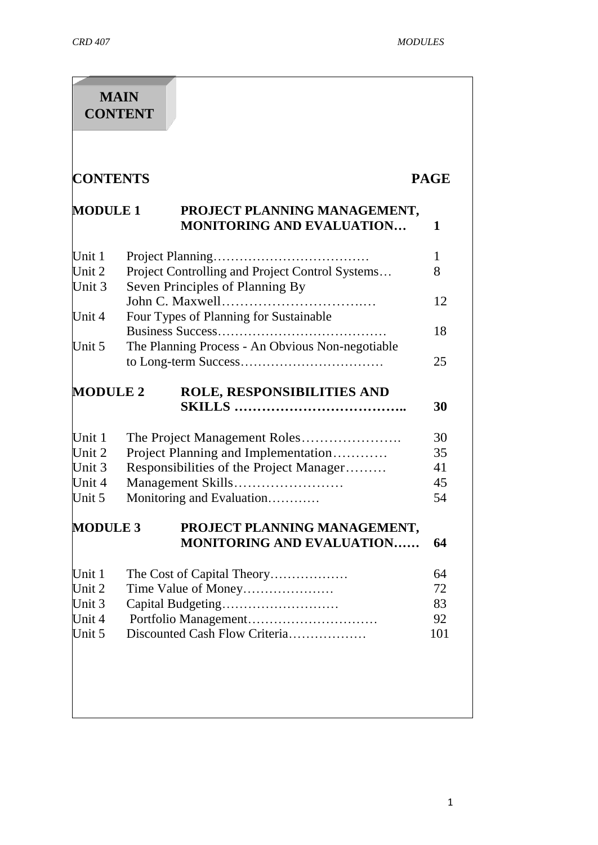| <b>MAIN</b><br><b>CONTENT</b> |                                                                                                        |                   |  |  |
|-------------------------------|--------------------------------------------------------------------------------------------------------|-------------------|--|--|
| <b>CONTENTS</b>               |                                                                                                        | <b>PAGE</b>       |  |  |
| <b>MODULE 1</b>               | PROJECT PLANNING MANAGEMENT,<br><b>MONITORING AND EVALUATION</b>                                       | 1                 |  |  |
| Unit 1<br>Unit 2<br>Unit 3    | Project Planning<br>Project Controlling and Project Control Systems<br>Seven Principles of Planning By | $\mathbf{1}$<br>8 |  |  |
| Unit 4                        | Four Types of Planning for Sustainable                                                                 | 12                |  |  |
| Unit 5                        | The Planning Process - An Obvious Non-negotiable                                                       | 18                |  |  |
|                               |                                                                                                        | 25                |  |  |
| <b>MODULE 2</b>               | ROLE, RESPONSIBILITIES AND                                                                             | 30                |  |  |
| Unit 1                        |                                                                                                        | 30                |  |  |
| Unit 2                        | Project Planning and Implementation                                                                    | 35                |  |  |
| Unit 3                        | Responsibilities of the Project Manager                                                                | 41                |  |  |
| Unit 4                        | Management Skills                                                                                      | 45                |  |  |
| Unit 5                        | Monitoring and Evaluation                                                                              | 54                |  |  |
| <b>MODULE 3</b>               | PROJECT PLANNING MANAGEMENT,<br><b>MONITORING AND EVALUATION</b>                                       | 64                |  |  |
| Unit 1                        | The Cost of Capital Theory                                                                             | 64                |  |  |
| Unit 2                        | Time Value of Money                                                                                    | 72                |  |  |
| Unit 3                        | Capital Budgeting                                                                                      | 83                |  |  |
| Unit 4                        |                                                                                                        | 92                |  |  |
|                               | Discounted Cash Flow Criteria                                                                          | 101               |  |  |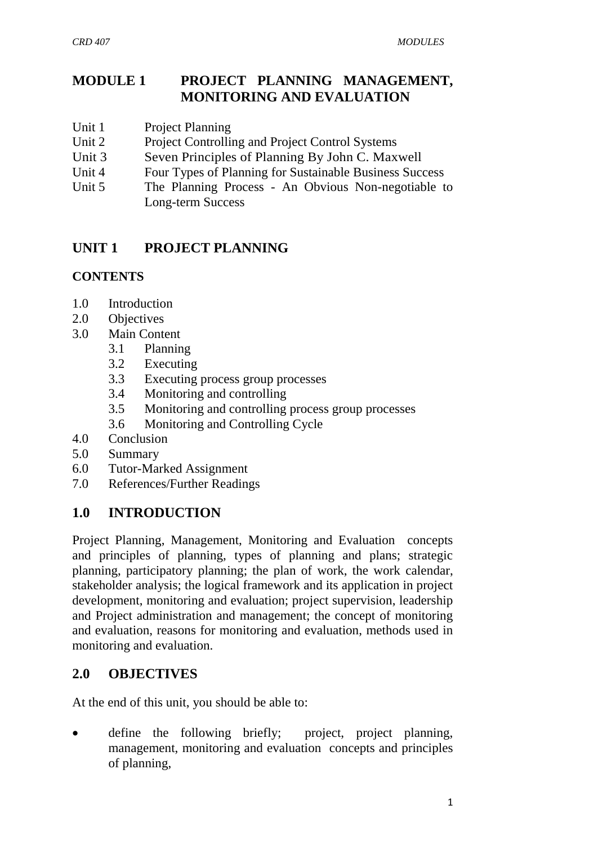# **MODULE 1 PROJECT PLANNING MANAGEMENT, MONITORING AND EVALUATION**

- Unit 1 Project Planning
- Unit 2 Project Controlling and Project Control Systems
- Unit 3 Seven Principles of Planning By John C. Maxwell
- Unit 4 Four Types of Planning for Sustainable Business Success
- Unit 5 The Planning Process An Obvious Non-negotiable to Long-term Success

# **UNIT 1 PROJECT PLANNING**

## **CONTENTS**

- 1.0 Introduction
- 2.0 Objectives
- 3.0 Main Content
	- 3.1 Planning
	- 3.2 Executing
	- 3.3 Executing process group processes
	- 3.4 Monitoring and controlling
	- 3.5 Monitoring and controlling process group processes
	- 3.6 Monitoring and Controlling Cycle
- 4.0 Conclusion
- 5.0 Summary
- 6.0 Tutor-Marked Assignment
- 7.0 References/Further Readings

# **1.0 INTRODUCTION**

Project Planning, Management, Monitoring and Evaluation concepts and principles of planning, types of planning and plans; strategic planning, participatory planning; the plan of work, the work calendar, stakeholder analysis; the logical framework and its application in project development, monitoring and evaluation; project supervision, leadership and Project administration and management; the concept of monitoring and evaluation, reasons for monitoring and evaluation, methods used in monitoring and evaluation.

# **2.0 OBJECTIVES**

At the end of this unit, you should be able to:

define the following briefly; project, project planning, management, monitoring and evaluation concepts and principles of planning,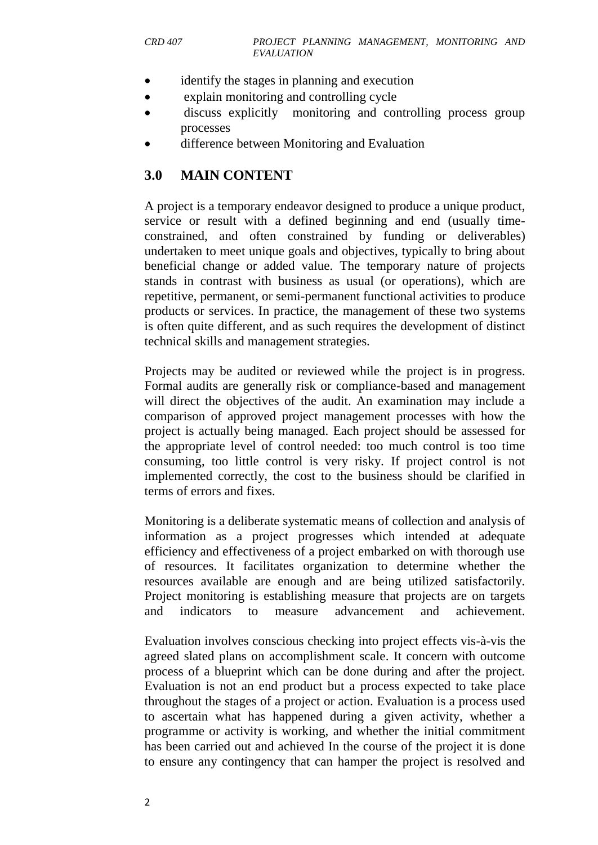- identify the stages in planning and execution
- explain monitoring and controlling cycle
- discuss explicitly monitoring and controlling process group processes
- difference between Monitoring and Evaluation

## **3.0 MAIN CONTENT**

A [project](https://en.wikipedia.org/wiki/Project) is a temporary endeavor designed to produce a unique product, service or result with a defined beginning and end (usually timeconstrained, and often constrained by funding or [deliverables\)](https://en.wikipedia.org/wiki/Deliverables) undertaken to meet unique goals and objectives, typically to bring about beneficial change or added value. The temporary nature of projects stands in contrast with [business as usual \(or operations\),](https://en.wikipedia.org/wiki/Business_operations) which are repetitive, permanent, or semi-permanent functional activities to produce products or services. In practice, the [management](https://en.wikipedia.org/wiki/Management) of these two systems is often quite different, and as such requires the development of distinct technical skills and management strategies.

Projects may be audited or reviewed while the project is in progress. Formal audits are generally risk or compliance-based and management will direct the objectives of the audit. An examination may include a comparison of approved project management processes with how the project is actually being managed. Each project should be assessed for the appropriate level of control needed: too much control is too time consuming, too little control is very risky. If project control is not implemented correctly, the cost to the business should be clarified in terms of errors and fixes.

Monitoring is a deliberate systematic means of collection and analysis of information as a project progresses which intended at adequate efficiency and effectiveness of a project embarked on with thorough use of resources. It facilitates organization to determine whether the resources available are enough and are being utilized satisfactorily. Project monitoring is establishing measure that projects are on targets and indicators to measure advancement and achievement.

Evaluation involves conscious checking into project effects vis-à-vis the agreed slated plans on accomplishment scale. It concern with outcome process of a blueprint which can be done during and after the project. Evaluation is not an end product but a process expected to take place throughout the stages of a project or action. Evaluation is a process used to ascertain what has happened during a given activity, whether a programme or activity is working, and whether the initial commitment has been carried out and achieved In the course of the project it is done to ensure any contingency that can hamper the project is resolved and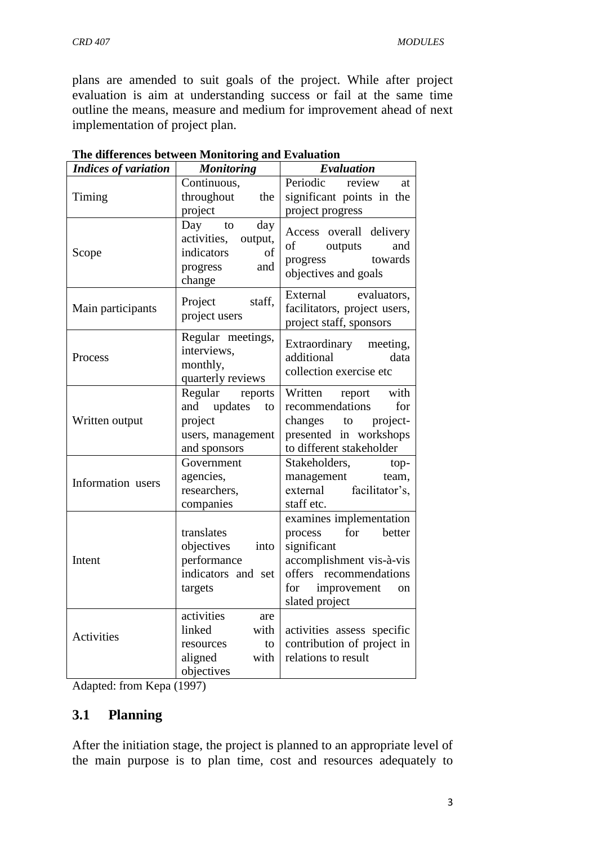plans are amended to suit goals of the project. While after project evaluation is aim at understanding success or fail at the same time outline the means, measure and medium for improvement ahead of next implementation of project plan.

| <b>Indices of variation</b> | <b>Monitoring</b>                                                                           | Evaluation                                                                                                                                                          |  |
|-----------------------------|---------------------------------------------------------------------------------------------|---------------------------------------------------------------------------------------------------------------------------------------------------------------------|--|
|                             | Continuous,                                                                                 | Periodic<br>review<br>at                                                                                                                                            |  |
| Timing                      | throughout<br>the                                                                           | significant points in the                                                                                                                                           |  |
|                             | project                                                                                     | project progress                                                                                                                                                    |  |
| Scope                       | Day<br>day<br>to<br>activities,<br>output,<br>indicators<br>of<br>and<br>progress<br>change | Access overall delivery<br>of<br>outputs<br>and<br>towards<br>progress<br>objectives and goals                                                                      |  |
| Main participants           | Project<br>staff,<br>project users                                                          | External<br>evaluators,<br>facilitators, project users,<br>project staff, sponsors                                                                                  |  |
| Process                     | Regular meetings,<br>interviews,<br>monthly,<br>quarterly reviews                           | Extraordinary meeting,<br>additional<br>data<br>collection exercise etc                                                                                             |  |
| Written output              | Regular reports<br>and updates<br>to<br>project                                             | with<br>Written report<br>recommendations<br>for<br>project-<br>changes to                                                                                          |  |
|                             | users, management                                                                           | presented in workshops                                                                                                                                              |  |
| and sponsors                |                                                                                             | to different stakeholder                                                                                                                                            |  |
| Information users           | Government<br>agencies,<br>researchers,<br>companies                                        | Stakeholders,<br>top-<br>management team,<br>external facilitator's,<br>staff etc.                                                                                  |  |
| Intent                      | translates<br>objectives<br>into<br>performance<br>indicators and set<br>targets            | examines implementation<br>for better<br>process<br>significant<br>accomplishment vis-à-vis<br>offers recommendations<br>for<br>improvement<br>on<br>slated project |  |
| Activities                  | activities<br>are<br>linked<br>with<br>resources<br>to<br>aligned<br>with<br>objectives     | activities assess specific<br>contribution of project in<br>relations to result                                                                                     |  |

| The differences between Monitoring and Evaluation |
|---------------------------------------------------|
|---------------------------------------------------|

Adapted: from Kepa (1997)

#### **3.1 Planning**

After the initiation stage, the project is planned to an appropriate level of the main purpose is to plan time, cost and resources adequately to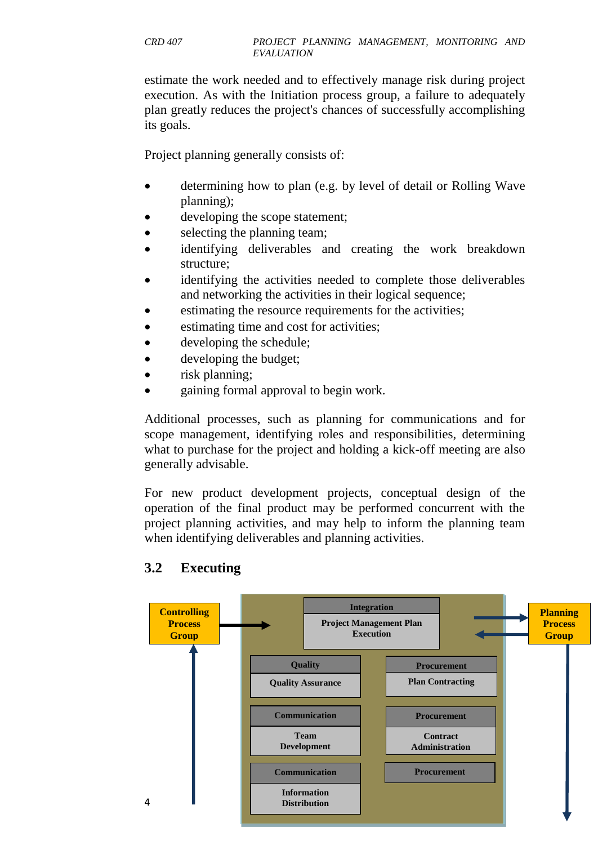estimate the work needed and to effectively manage risk during project execution. As with the Initiation process group, a failure to adequately plan greatly reduces the project's chances of successfully accomplishing its goals.

[Project planning](https://en.wikipedia.org/wiki/Project_planning) generally consists of:

- determining how to plan (e.g. by level of detail or [Rolling Wave](https://en.wikipedia.org/wiki/Rolling_Wave_planning)  [planning\)](https://en.wikipedia.org/wiki/Rolling_Wave_planning);
- developing the [scope statement;](https://en.wikipedia.org/wiki/Scope_statement)
- selecting the planning team;
- identifying deliverables and creating the work breakdown structure;
- identifying the activities needed to complete those deliverables and networking the activities in their logical sequence;
- estimating the resource requirements for the activities;
- estimating time and cost for activities;
- developing the schedule;
- developing the budget;
- risk planning;
- gaining formal approval to begin work.

Additional processes, such as planning for communications and for scope management, identifying roles and responsibilities, determining what to purchase for the project and holding a kick-off meeting are also generally advisable.

For [new product development](https://en.wikipedia.org/wiki/New_product_development) projects, conceptual design of the operation of the final product may be performed concurrent with the project planning activities, and may help to inform the planning team when identifying deliverables and planning activities.



## **3.2 Executing**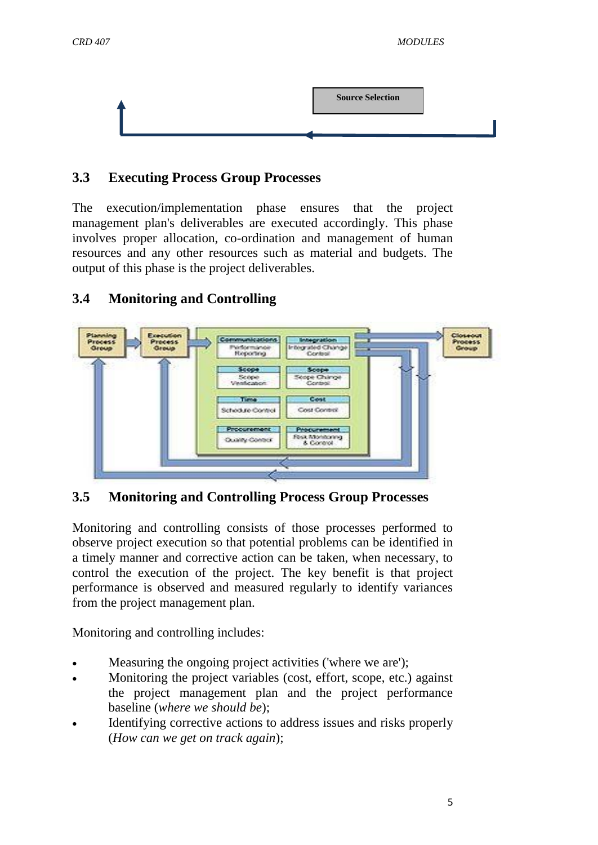

# **3.3 Executing Process Group Processes**

The execution/implementation phase ensures that the project management plan's deliverables are executed accordingly. This phase involves proper allocation, co-ordination and management of human resources and any other resources such as material and budgets. The output of this phase is the project deliverables.



# **3.4 Monitoring and Controlling**

**3.5 Monitoring and Controlling Process Group Processes**

Monitoring and controlling consists of those processes performed to observe project execution so that potential problems can be identified in a timely manner and corrective action can be taken, when necessary, to control the execution of the project. The key benefit is that project performance is observed and measured regularly to identify variances from the project management plan.

Monitoring and controlling includes:

- Measuring the ongoing project activities ('where we are');
- Monitoring the project variables (cost, effort, scope, etc.) against the project management plan and the project performance baseline (*where we should be*);
- Identifying corrective actions to address issues and risks properly (*How can we get on track again*);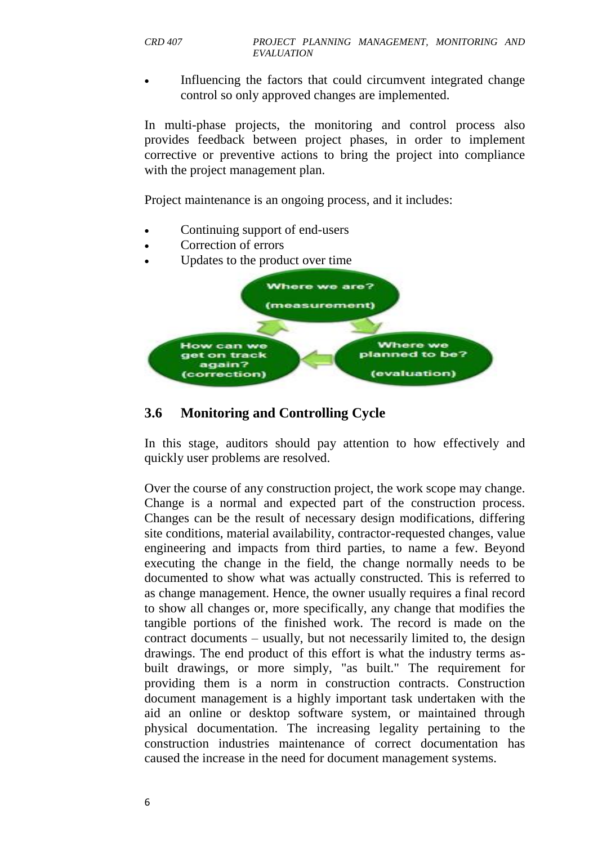Influencing the factors that could circumvent integrated change control so only approved changes are implemented.

In multi-phase projects, the monitoring and control process also provides feedback between project phases, in order to implement corrective or preventive actions to bring the project into compliance with the project management plan.

Project maintenance is an ongoing process, and it includes:

- Continuing support of end-users
- Correction of errors
- Updates to the product over time



## **3.6 Monitoring and Controlling Cycle**

In this stage, [auditors](https://en.wikipedia.org/wiki/Auditor) should pay attention to how effectively and quickly user problems are resolved.

Over the course of any construction project, the work scope may change. Change is a normal and expected part of the construction process. Changes can be the result of necessary design modifications, differing site conditions, material availability, contractor-requested changes, value engineering and impacts from third parties, to name a few. Beyond executing the change in the field, the change normally needs to be documented to show what was actually constructed. This is referred to as change management. Hence, the owner usually requires a final record to show all changes or, more specifically, any change that modifies the tangible portions of the finished work. The record is made on the contract documents – usually, but not necessarily limited to, the design drawings. The end product of this effort is what the industry terms asbuilt drawings, or more simply, "as built." The requirement for providing them is a norm in construction contracts. Construction document management is a highly important task undertaken with the aid an online or desktop software system, or maintained through physical documentation. The increasing legality pertaining to the construction industries maintenance of correct documentation has caused the increase in the need for document management systems.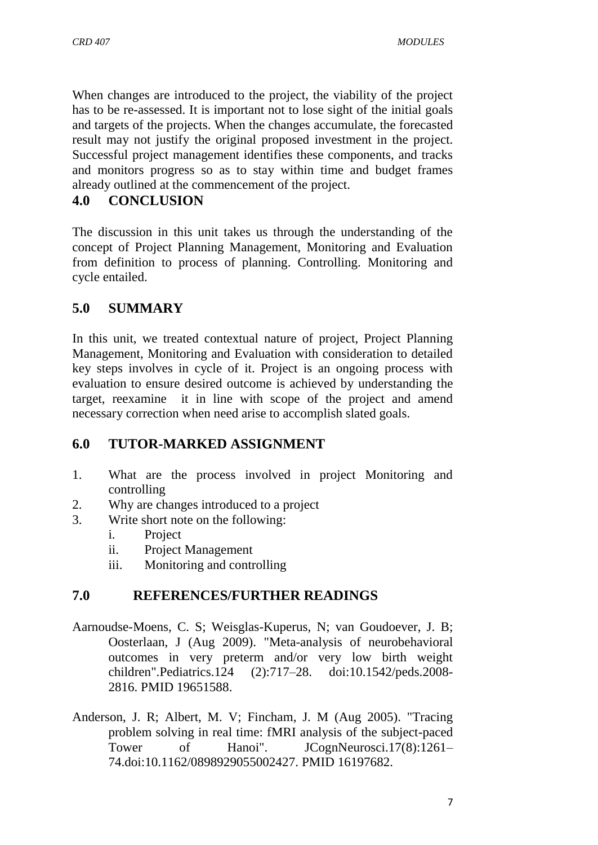When changes are introduced to the project, the viability of the project has to be re-assessed. It is important not to lose sight of the initial goals and targets of the projects. When the changes accumulate, the forecasted result may not justify the original proposed investment in the project. Successful project management identifies these components, and tracks and monitors progress so as to stay within time and budget frames already outlined at the commencement of the project.

## **4.0 CONCLUSION**

The discussion in this unit takes us through the understanding of the concept of Project Planning Management, Monitoring and Evaluation from definition to process of planning. Controlling. Monitoring and cycle entailed.

## **5.0 SUMMARY**

In this unit, we treated contextual nature of project, Project Planning Management, Monitoring and Evaluation with consideration to detailed key steps involves in cycle of it. Project is an ongoing process with evaluation to ensure desired outcome is achieved by understanding the target, reexamine it in line with scope of the project and amend necessary correction when need arise to accomplish slated goals.

# **6.0 TUTOR-MARKED ASSIGNMENT**

- 1. What are the process involved in project Monitoring and controlling
- 2. Why are changes introduced to a project
- 3. Write short note on the following:
	- i. Project
	- ii. Project Management
	- iii. Monitoring and controlling

## **7.0 REFERENCES/FURTHER READINGS**

- Aarnoudse-Moens, C. S; Weisglas-Kuperus, N; van Goudoever, J. B; Oosterlaan, J (Aug 2009). "Meta-analysis of neurobehavioral outcomes in very preterm and/or very low birth weight children".Pediatrics.124 (2):717–28. [doi:](https://en.wikipedia.org/wiki/Digital_object_identifier)[10.1542/peds.2008-](https://dx.doi.org/10.1542%2Fpeds.2008-2816) [2816.](https://dx.doi.org/10.1542%2Fpeds.2008-2816) [PMID](https://en.wikipedia.org/wiki/PubMed_Identifier) [19651588.](https://www.ncbi.nlm.nih.gov/pubmed/19651588)
- Anderson, J. R; Albert, M. V; Fincham, J. M (Aug 2005). "Tracing problem solving in real time: fMRI analysis of the subject-paced Tower of Hanoi". JCognNeurosci.17(8):1261– 74[.doi](https://en.wikipedia.org/wiki/Digital_object_identifier)[:10.1162/0898929055002427.](https://dx.doi.org/10.1162%2F0898929055002427) [PMID](https://en.wikipedia.org/wiki/PubMed_Identifier) [16197682.](https://www.ncbi.nlm.nih.gov/pubmed/16197682)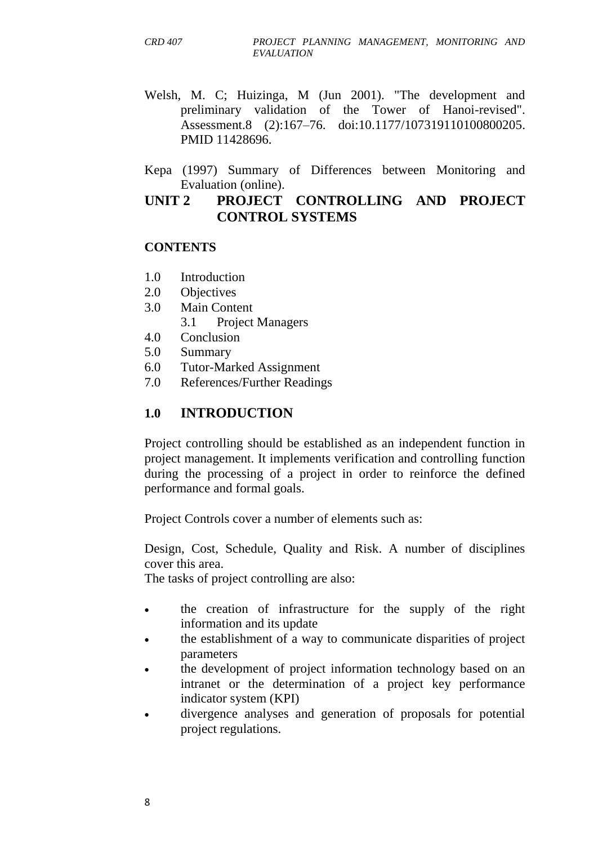- Welsh, M. C; Huizinga, M (Jun 2001). "The development and preliminary validation of the Tower of Hanoi-revised". Assessment.8 (2):167–76. [doi](https://en.wikipedia.org/wiki/Digital_object_identifier)[:10.1177/107319110100800205.](https://dx.doi.org/10.1177%2F107319110100800205) [PMID](https://en.wikipedia.org/wiki/PubMed_Identifier) [11428696.](https://www.ncbi.nlm.nih.gov/pubmed/11428696)
- Kepa (1997) Summary of Differences between Monitoring and Evaluation (online).

## **UNIT 2 PROJECT CONTROLLING AND PROJECT CONTROL SYSTEMS**

#### **CONTENTS**

- 1.0 Introduction
- 2.0 Objectives
- 3.0 Main Content
	- 3.1 Project Managers
- 4.0 Conclusion
- 5.0 Summary
- 6.0 Tutor-Marked Assignment
- 7.0 References/Further Readings

## **1.0 INTRODUCTION**

Project controlling should be established as an independent function in project management. It implements verification and controlling function during the processing of a project in order to reinforce the defined performance and formal goals.

Project Controls cover a number of elements such as:

Design, Cost, Schedule, Quality and Risk. A number of disciplines cover this area.

The tasks of project controlling are also:

- the creation of infrastructure for the supply of the right information and its update
- the establishment of a way to communicate disparities of project parameters
- the development of project information technology based on an intranet or the determination of a project key performance indicator system (KPI)
- divergence analyses and generation of proposals for potential project regulations.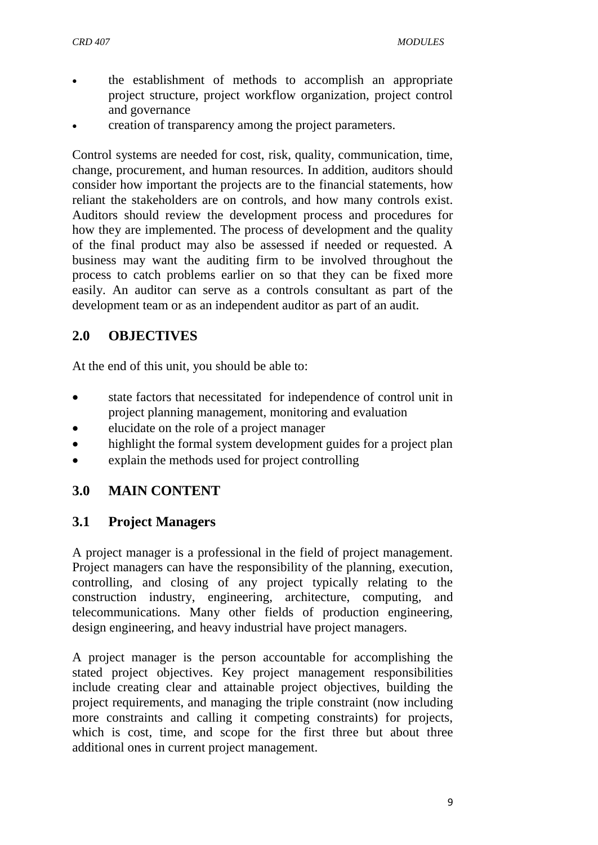- the establishment of methods to accomplish an appropriate project structure, project workflow organization, project control and governance
- creation of transparency among the project parameters.

Control systems are needed for cost, [risk,](https://en.wikipedia.org/wiki/Risk) quality, communication, time, change, procurement, and human resources. In addition, auditors should consider how important the projects are to the [financial statements,](https://en.wikipedia.org/wiki/Financial_statement) how reliant the stakeholders are on controls, and how many controls exist. Auditors should review the development process and procedures for how they are implemented. The process of development and the quality of the final product may also be assessed if needed or requested. A business may want the auditing firm to be involved throughout the process to catch problems earlier on so that they can be fixed more easily. An auditor can serve as a controls consultant as part of the development team or as an independent auditor as part of an audit.

# **2.0 OBJECTIVES**

At the end of this unit, you should be able to:

- state factors that necessitated for independence of control unit in project planning management, monitoring and evaluation
- elucidate on the role of a project manager
- highlight the formal system development guides for a project plan
- explain the methods used for project controlling

# **3.0 MAIN CONTENT**

## **3.1 Project Managers**

A [project manager](https://en.wikipedia.org/wiki/Project_manager) is a professional in the field of project management. Project managers can have the responsibility of the planning, execution, controlling, and closing of any project typically relating to the [construction industry,](https://en.wikipedia.org/wiki/Construction_industry) engineering, architecture, [computing,](https://en.wikipedia.org/wiki/Computing) and telecommunications. Many other fields of production engineering, design engineering, and heavy industrial have project managers.

A project manager is the person accountable for accomplishing the stated project objectives. Key project management responsibilities include creating clear and attainable project objectives, building the project requirements, and managing the [triple constraint](https://en.wikipedia.org/wiki/Project_management_triangle) (now including more constraints and calling it competing constraints) for projects, which is cost, time, and scope for the first three but about three additional ones in current project management.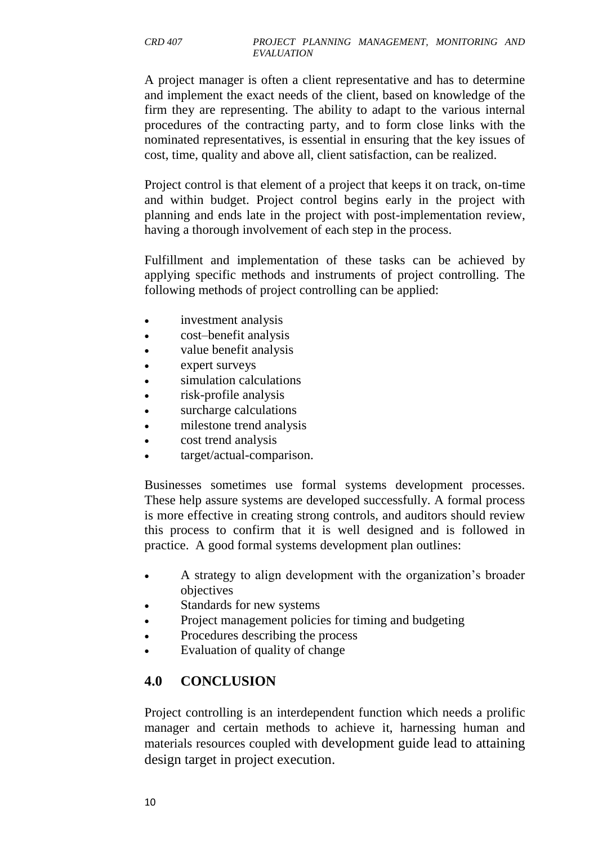A project manager is often a client representative and has to determine and implement the exact needs of the client, based on knowledge of the firm they are representing. The ability to adapt to the various internal procedures of the contracting party, and to form close links with the nominated representatives, is essential in ensuring that the key issues of cost, time, quality and above all, client satisfaction, can be realized.

Project control is that element of a project that keeps it on track, on-time and within budget. Project control begins early in the project with planning and ends late in the project with post-implementation review, having a thorough involvement of each step in the process.

Fulfillment and implementation of these tasks can be achieved by applying specific methods and instruments of project controlling. The following methods of project controlling can be applied:

- investment analysis
- cost–benefit analysis
- value benefit analysis
- expert surveys
- simulation calculations
- risk-profile analysis
- surcharge calculations
- [milestone](https://en.wikipedia.org/wiki/Milestone_%28project_management%29) trend analysis
- cost trend analysis
- target/actual-comparison.

Businesses sometimes use formal systems development processes. These help assure systems are developed successfully. A formal process is more effective in creating strong controls, and auditors should review this process to confirm that it is well designed and is followed in practice. A good formal systems development plan outlines:

- A [strategy](https://en.wikipedia.org/wiki/Strategy) to align development with the organization's broader objectives
- Standards for new systems
- Project management policies for timing and [budgeting](https://en.wikipedia.org/wiki/Budgeting)
- Procedures describing the process
- Evaluation of quality of change

# **4.0 CONCLUSION**

Project controlling is an interdependent function which needs a prolific manager and certain methods to achieve it, harnessing human and materials resources coupled with development guide lead to attaining design target in project execution.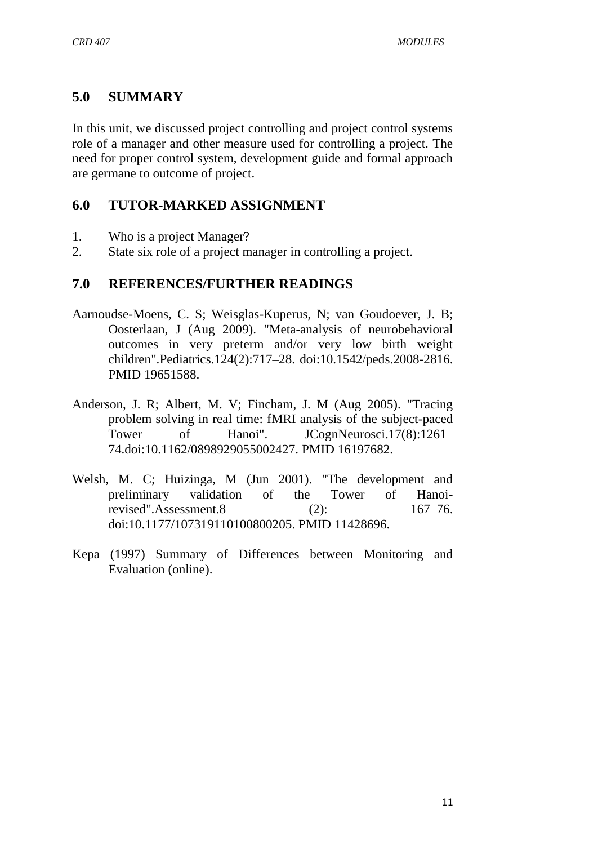# **5.0 SUMMARY**

In this unit, we discussed project controlling and project control systems role of a manager and other measure used for controlling a project. The need for proper control system, development guide and formal approach are germane to outcome of project.

# **6.0 TUTOR-MARKED ASSIGNMENT**

- 1. Who is a project Manager?
- 2. State six role of a project manager in controlling a project.

## **7.0 REFERENCES/FURTHER READINGS**

- Aarnoudse-Moens, C. S; Weisglas-Kuperus, N; van Goudoever, J. B; Oosterlaan, J (Aug 2009). "Meta-analysis of neurobehavioral outcomes in very preterm and/or very low birth weight children".Pediatrics.124(2):717–28. [doi:](https://en.wikipedia.org/wiki/Digital_object_identifier)[10.1542/peds.2008-2816.](https://dx.doi.org/10.1542%2Fpeds.2008-2816) [PMID](https://en.wikipedia.org/wiki/PubMed_Identifier) [19651588.](https://www.ncbi.nlm.nih.gov/pubmed/19651588)
- Anderson, J. R; Albert, M. V; Fincham, J. M (Aug 2005). "Tracing problem solving in real time: fMRI analysis of the subject-paced Tower of Hanoi". JCognNeurosci.17(8):1261– 74[.doi](https://en.wikipedia.org/wiki/Digital_object_identifier)[:10.1162/0898929055002427.](https://dx.doi.org/10.1162%2F0898929055002427) [PMID](https://en.wikipedia.org/wiki/PubMed_Identifier) [16197682.](https://www.ncbi.nlm.nih.gov/pubmed/16197682)
- Welsh, M. C; Huizinga, M (Jun 2001). "The development and preliminary validation of the Tower of Hanoirevised".Assessment.8 (2): 167–76. [doi:](https://en.wikipedia.org/wiki/Digital_object_identifier)[10.1177/107319110100800205.](https://dx.doi.org/10.1177%2F107319110100800205) [PMID](https://en.wikipedia.org/wiki/PubMed_Identifier) [11428696.](https://www.ncbi.nlm.nih.gov/pubmed/11428696)
- Kepa (1997) Summary of Differences between Monitoring and Evaluation (online).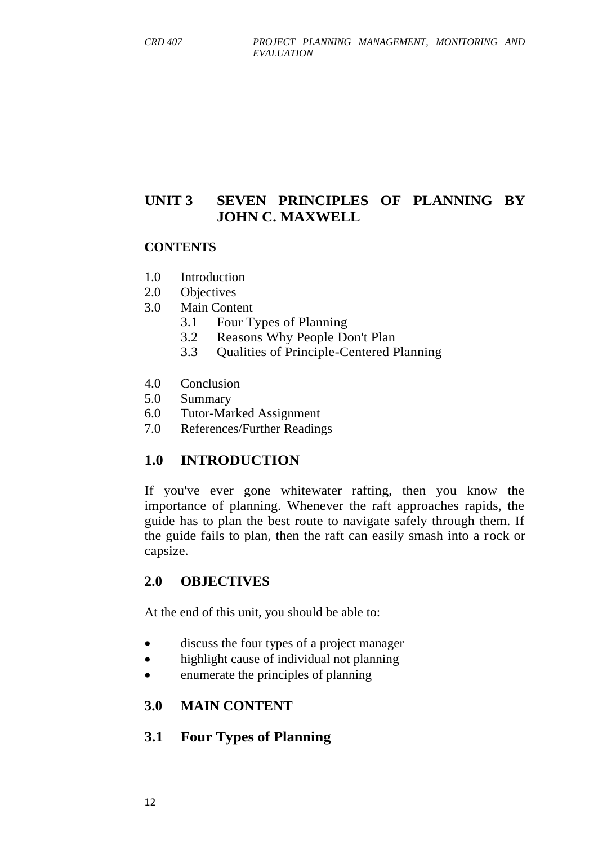# **UNIT 3 SEVEN PRINCIPLES OF PLANNING BY JOHN C. MAXWELL**

#### **CONTENTS**

- 1.0 Introduction
- 2.0 Objectives
- 3.0 Main Content
	- 3.1 Four Types of Planning
	- 3.2 Reasons Why People Don't Plan
	- 3.3 Qualities of Principle-Centered Planning
- 4.0 Conclusion
- 5.0 Summary
- 6.0 Tutor-Marked Assignment
- 7.0 References/Further Readings

#### **1.0 INTRODUCTION**

If you've ever gone whitewater rafting, then you know the importance of planning. Whenever the raft approaches rapids, the guide has to plan the best route to navigate safely through them. If the guide fails to plan, then the raft can easily smash into a rock or capsize.

#### **2.0 OBJECTIVES**

At the end of this unit, you should be able to:

- discuss the four types of a project manager
- highlight cause of individual not planning
- enumerate the principles of planning

#### **3.0 MAIN CONTENT**

#### **3.1 Four Types of Planning**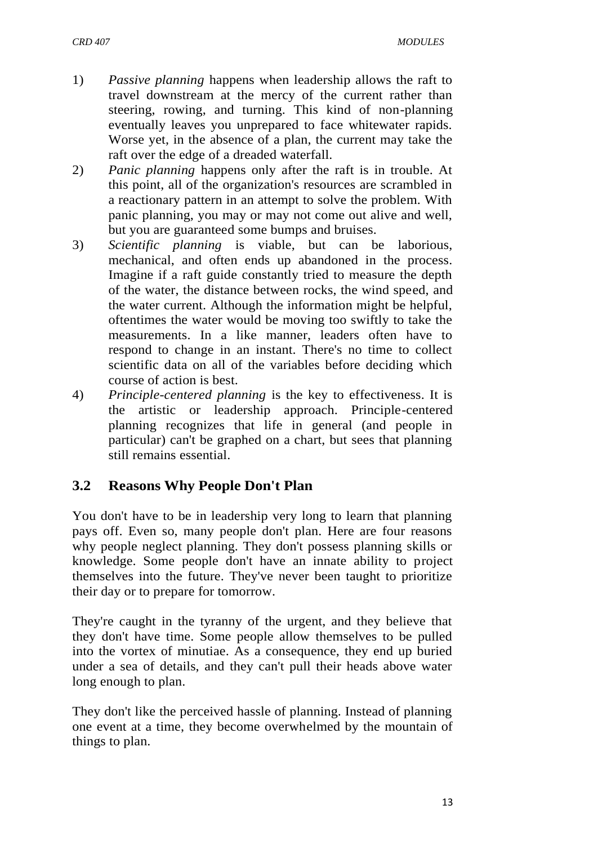- 1) *Passive planning* happens when leadership allows the raft to travel downstream at the mercy of the current rather than steering, rowing, and turning. This kind of non-planning eventually leaves you unprepared to face whitewater rapids. Worse yet, in the absence of a plan, the current may take the raft over the edge of a dreaded waterfall.
- 2) *Panic planning* happens only after the raft is in trouble. At this point, all of the organization's resources are scrambled in a reactionary pattern in an attempt to solve the problem. With panic planning, you may or may not come out alive and well, but you are guaranteed some bumps and bruises.
- 3) *Scientific planning* is viable, but can be laborious, mechanical, and often ends up abandoned in the process. Imagine if a raft guide constantly tried to measure the depth of the water, the distance between rocks, the wind speed, and the water current. Although the information might be helpful, oftentimes the water would be moving too swiftly to take the measurements. In a like manner, leaders often have to respond to change in an instant. There's no time to collect scientific data on all of the variables before deciding which course of action is best.
- 4) *Principle-centered planning* is the key to effectiveness. It is the artistic or leadership approach. Principle-centered planning recognizes that life in general (and people in particular) can't be graphed on a chart, but sees that planning still remains essential.

# **3.2 Reasons Why People Don't Plan**

You don't have to be in leadership very long to learn that planning pays off. Even so, many people don't plan. Here are four reasons why people neglect planning. They don't possess planning skills or knowledge. Some people don't have an innate ability to project themselves into the future. They've never been taught to prioritize their day or to prepare for tomorrow.

They're caught in the tyranny of the urgent, and they believe that they don't have time. Some people allow themselves to be pulled into the vortex of minutiae. As a consequence, they end up buried under a sea of details, and they can't pull their heads above water long enough to plan.

They don't like the perceived hassle of planning. Instead of planning one event at a time, they become overwhelmed by the mountain of things to plan.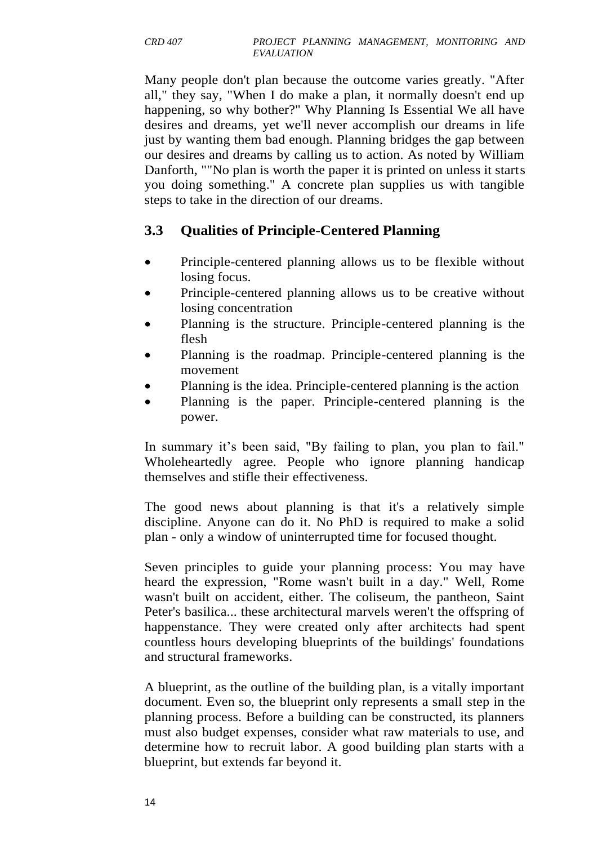Many people don't plan because the outcome varies greatly. "After all," they say, "When I do make a plan, it normally doesn't end up happening, so why bother?" Why Planning Is Essential We all have desires and dreams, yet we'll never accomplish our dreams in life just by wanting them bad enough. Planning bridges the gap between our desires and dreams by calling us to action. As noted by William Danforth, ""No plan is worth the paper it is printed on unless it starts you doing something." A concrete plan supplies us with tangible steps to take in the direction of our dreams.

# **3.3 Qualities of Principle-Centered Planning**

- Principle-centered planning allows us to be flexible without losing focus.
- Principle-centered planning allows us to be creative without losing concentration
- Planning is the structure. Principle-centered planning is the flesh
- Planning is the roadmap. Principle-centered planning is the movement
- Planning is the idea. Principle-centered planning is the action
- Planning is the paper. Principle-centered planning is the power.

In summary it's been said, "By failing to plan, you plan to fail." Wholeheartedly agree. People who ignore planning handicap themselves and stifle their effectiveness.

The good news about planning is that it's a relatively simple discipline. Anyone can do it. No PhD is required to make a solid plan - only a window of uninterrupted time for focused thought.

Seven principles to guide your planning process: You may have heard the expression, "Rome wasn't built in a day." Well, Rome wasn't built on accident, either. The coliseum, the pantheon, Saint Peter's basilica... these architectural marvels weren't the offspring of happenstance. They were created only after architects had spent countless hours developing blueprints of the buildings' foundations and structural frameworks.

A blueprint, as the outline of the building plan, is a vitally important document. Even so, the blueprint only represents a small step in the planning process. Before a building can be constructed, its planners must also budget expenses, consider what raw materials to use, and determine how to recruit labor. A good building plan starts with a blueprint, but extends far beyond it.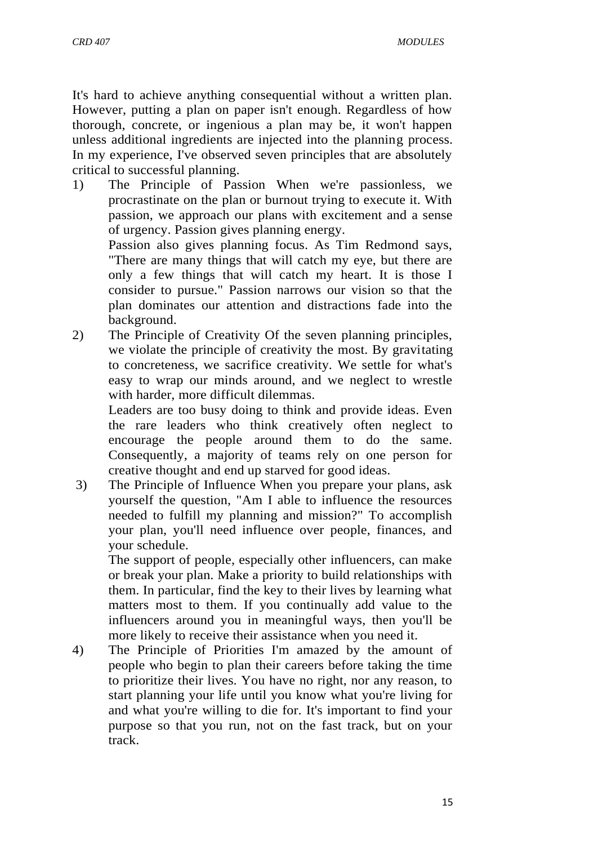It's hard to achieve anything consequential without a written plan. However, putting a plan on paper isn't enough. Regardless of how thorough, concrete, or ingenious a plan may be, it won't happen unless additional ingredients are injected into the planning process. In my experience, I've observed seven principles that are absolutely critical to successful planning.

1) The Principle of Passion When we're passionless, we procrastinate on the plan or burnout trying to execute it. With passion, we approach our plans with excitement and a sense of urgency. Passion gives planning energy.

Passion also gives planning focus. As Tim Redmond says, "There are many things that will catch my eye, but there are only a few things that will catch my heart. It is those I consider to pursue." Passion narrows our vision so that the plan dominates our attention and distractions fade into the background.

2) The Principle of Creativity Of the seven planning principles, we violate the principle of creativity the most. By gravitating to concreteness, we sacrifice creativity. We settle for what's easy to wrap our minds around, and we neglect to wrestle with harder, more difficult dilemmas.

Leaders are too busy doing to think and provide ideas. Even the rare leaders who think creatively often neglect to encourage the people around them to do the same. Consequently, a majority of teams rely on one person for creative thought and end up starved for good ideas.

3) The Principle of Influence When you prepare your plans, ask yourself the question, "Am I able to influence the resources needed to fulfill my planning and mission?" To accomplish your plan, you'll need influence over people, finances, and your schedule.

The support of people, especially other influencers, can make or break your plan. Make a priority to build relationships with them. In particular, find the key to their lives by learning what matters most to them. If you continually add value to the influencers around you in meaningful ways, then you'll be more likely to receive their assistance when you need it.

4) The Principle of Priorities I'm amazed by the amount of people who begin to plan their careers before taking the time to prioritize their lives. You have no right, nor any reason, to start planning your life until you know what you're living for and what you're willing to die for. It's important to find your purpose so that you run, not on the fast track, but on your track.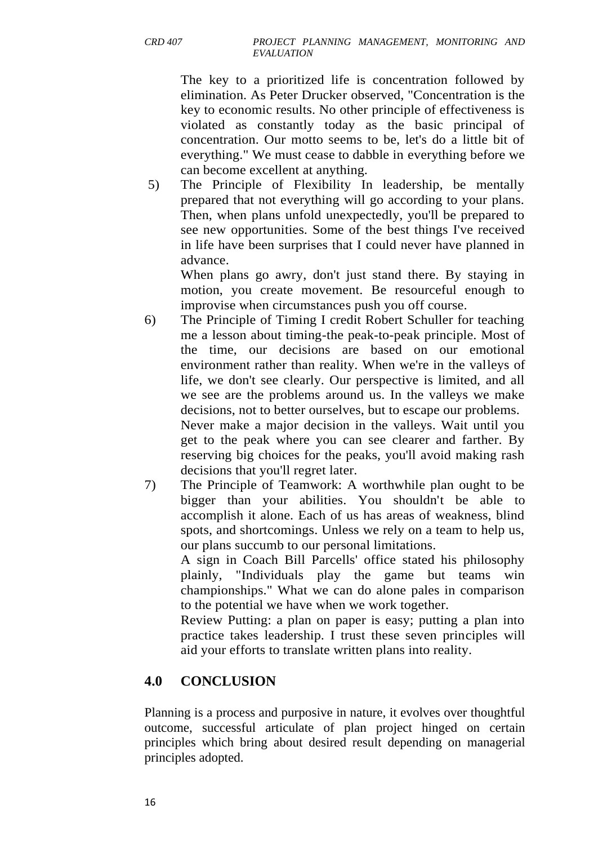The key to a prioritized life is concentration followed by elimination. As Peter Drucker observed, "Concentration is the key to economic results. No other principle of effectiveness is violated as constantly today as the basic principal of concentration. Our motto seems to be, let's do a little bit of everything." We must cease to dabble in everything before we can become excellent at anything.

5) The Principle of Flexibility In leadership, be mentally prepared that not everything will go according to your plans. Then, when plans unfold unexpectedly, you'll be prepared to see new opportunities. Some of the best things I've received in life have been surprises that I could never have planned in advance.

When plans go awry, don't just stand there. By staying in motion, you create movement. Be resourceful enough to improvise when circumstances push you off course.

- 6) The Principle of Timing I credit Robert Schuller for teaching me a lesson about timing-the peak-to-peak principle. Most of the time, our decisions are based on our emotional environment rather than reality. When we're in the valleys of life, we don't see clearly. Our perspective is limited, and all we see are the problems around us. In the valleys we make decisions, not to better ourselves, but to escape our problems. Never make a major decision in the valleys. Wait until you get to the peak where you can see clearer and farther. By reserving big choices for the peaks, you'll avoid making rash decisions that you'll regret later.
- 7) The Principle of Teamwork: A worthwhile plan ought to be bigger than your abilities. You shouldn't be able to accomplish it alone. Each of us has areas of weakness, blind spots, and shortcomings. Unless we rely on a team to help us, our plans succumb to our personal limitations.

A sign in Coach Bill Parcells' office stated his philosophy plainly, "Individuals play the game but teams win championships." What we can do alone pales in comparison to the potential we have when we work together.

Review Putting: a plan on paper is easy; putting a plan into practice takes leadership. I trust these seven principles will aid your efforts to translate written plans into reality.

# **4.0 CONCLUSION**

Planning is a process and purposive in nature, it evolves over thoughtful outcome, successful articulate of plan project hinged on certain principles which bring about desired result depending on managerial principles adopted.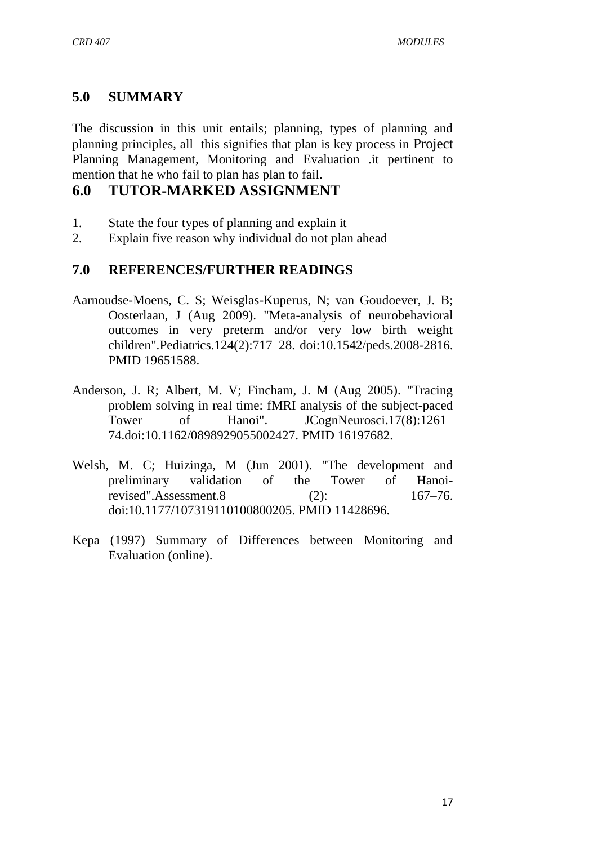# **5.0 SUMMARY**

The discussion in this unit entails; planning, types of planning and planning principles, all this signifies that plan is key process in Project Planning Management, Monitoring and Evaluation .it pertinent to mention that he who fail to plan has plan to fail.

# **6.0 TUTOR-MARKED ASSIGNMENT**

- 1. State the four types of planning and explain it
- 2. Explain five reason why individual do not plan ahead

## **7.0 REFERENCES/FURTHER READINGS**

- Aarnoudse-Moens, C. S; Weisglas-Kuperus, N; van Goudoever, J. B; Oosterlaan, J (Aug 2009). "Meta-analysis of neurobehavioral outcomes in very preterm and/or very low birth weight children".Pediatrics.124(2):717–28. [doi:](https://en.wikipedia.org/wiki/Digital_object_identifier)[10.1542/peds.2008-2816.](https://dx.doi.org/10.1542%2Fpeds.2008-2816) [PMID](https://en.wikipedia.org/wiki/PubMed_Identifier) [19651588.](https://www.ncbi.nlm.nih.gov/pubmed/19651588)
- Anderson, J. R; Albert, M. V; Fincham, J. M (Aug 2005). "Tracing problem solving in real time: fMRI analysis of the subject-paced Tower of Hanoi". JCognNeurosci.17(8):1261– 74[.doi](https://en.wikipedia.org/wiki/Digital_object_identifier)[:10.1162/0898929055002427.](https://dx.doi.org/10.1162%2F0898929055002427) [PMID](https://en.wikipedia.org/wiki/PubMed_Identifier) [16197682.](https://www.ncbi.nlm.nih.gov/pubmed/16197682)
- Welsh, M. C; Huizinga, M (Jun 2001). "The development and preliminary validation of the Tower of Hanoirevised".Assessment.8 (2): 167–76. [doi:](https://en.wikipedia.org/wiki/Digital_object_identifier)[10.1177/107319110100800205.](https://dx.doi.org/10.1177%2F107319110100800205) [PMID](https://en.wikipedia.org/wiki/PubMed_Identifier) [11428696.](https://www.ncbi.nlm.nih.gov/pubmed/11428696)
- Kepa (1997) Summary of Differences between Monitoring and Evaluation (online).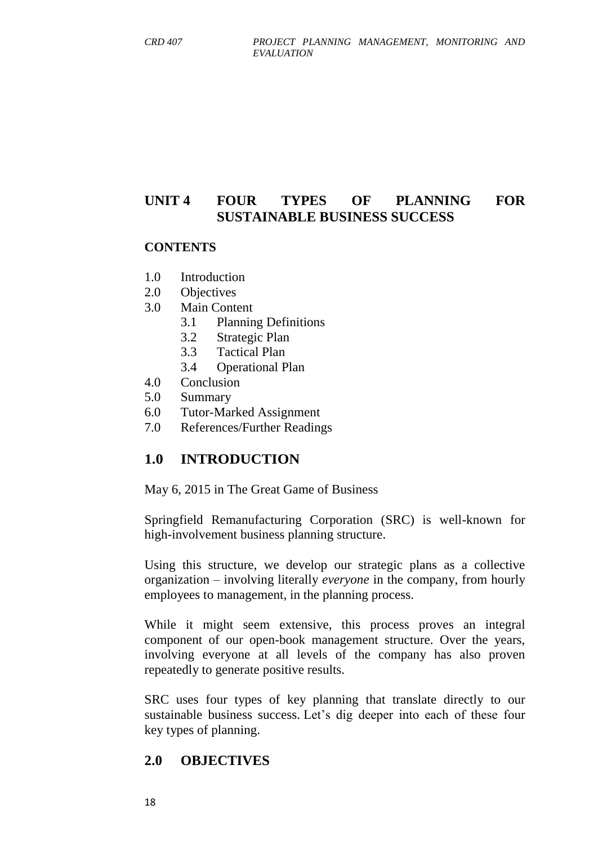# **UNIT 4 FOUR TYPES OF PLANNING FOR SUSTAINABLE BUSINESS SUCCESS**

#### **CONTENTS**

- 1.0 Introduction
- 2.0 Objectives
- 3.0 Main Content
	- 3.1 Planning Definitions
	- 3.2 Strategic Plan
	- 3.3 Tactical Plan
	- 3.4 Operational Plan
- 4.0 Conclusion
- 5.0 Summary
- 6.0 Tutor-Marked Assignment
- 7.0 References/Further Readings

## **1.0 INTRODUCTION**

May 6, 2015 in [The Great Game of Business](http://greatgame.com/the-great-game-of-business/)

Springfield Remanufacturing Corporation (SRC) is well-known for [high-involvement business planning](http://greatgame.com/events/hip-workshop/) structure.

Using this structure, we develop our strategic plans as a collective organization – involving literally *everyone* in the company, from hourly employees to management, in the planning process.

While it might seem extensive, this process proves an integral component of our open-book management structure. Over the years, involving everyone at all levels of the company has also proven repeatedly to generate positive results.

SRC uses four types of key planning that translate directly to our sustainable business success. Let's dig deeper into each of these four key types of planning.

#### **2.0 OBJECTIVES**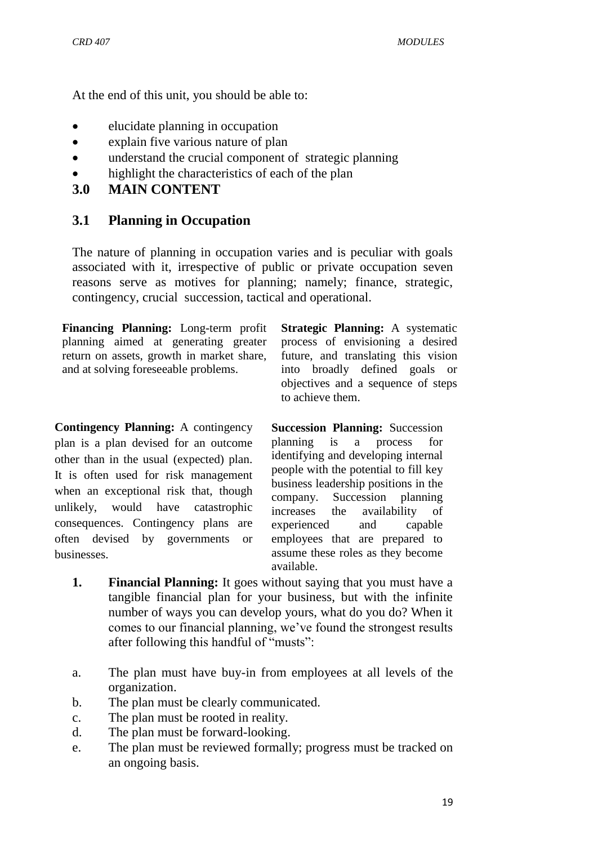At the end of this unit, you should be able to:

- elucidate planning in occupation
- explain five various nature of plan
- understand the crucial component of strategic planning
- highlight the characteristics of each of the plan
- **3.0 MAIN CONTENT**

## **3.1 Planning in Occupation**

The nature of planning in occupation varies and is peculiar with goals associated with it, irrespective of public or private occupation seven reasons serve as motives for planning; namely; finance, strategic, contingency, crucial succession, tactical and operational.

**Financing Planning:** Long-term profit planning aimed at generating greater return on assets, growth in market share, and at solving foreseeable problems.

**Contingency Planning:** A contingency plan is a plan devised for an outcome other than in the usual (expected) plan. It is often used for risk management when an exceptional risk that, though unlikely, would have catastrophic consequences. Contingency plans are often devised by governments or businesses.

**Strategic Planning:** A systematic process of envisioning a desired future, and translating this vision into broadly defined goals or objectives and a sequence of steps to achieve them.

**Succession Planning:** Succession planning is a process for identifying and developing internal people with the potential to fill key business leadership positions in the company. Succession planning increases the availability of experienced and capable employees that are prepared to assume these roles as they become available.

- **1. Financial Planning:** It goes without saying that you must have a tangible financial plan for your business, but with the infinite number of ways you can develop yours, what do you do? When it comes to our financial planning, we've found the strongest results after following this handful of "musts":
- a. The plan must have buy-in from employees at all levels of the organization.
- b. The plan must be clearly communicated.
- c. The plan must be rooted in reality.
- d. The plan must be forward-looking.
- e. The plan must be reviewed formally; progress must be tracked on an ongoing basis.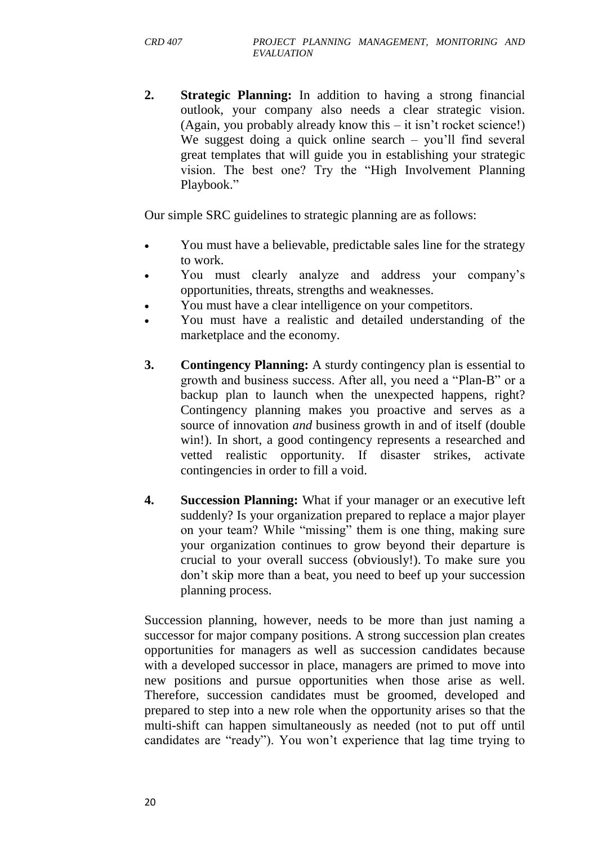**2. Strategic Planning:** In addition to having a strong financial outlook, your company also needs a clear strategic vision. (Again, you probably already know this – it isn't rocket science!) We suggest doing a quick online search – you'll find several great templates that will guide you in establishing your strategic vision. The best one? Try the "High Involvement Planning" Playbook."

Our simple SRC guidelines to strategic planning are as follows:

- You must have a believable, predictable sales line for the strategy to work.
- You must clearly analyze and address your company's opportunities, threats, strengths and weaknesses.
- You must have a clear intelligence on your competitors.
- You must have a realistic and detailed understanding of the marketplace and the economy.
- **3. Contingency Planning:** A sturdy contingency plan is essential to growth and business success. After all, you need a "Plan-B" or a backup plan to launch when the unexpected happens, right? Contingency planning makes you proactive and serves as a source of innovation *and* business growth in and of itself (double win!). In short, a good contingency represents a researched and vetted realistic opportunity. If disaster strikes, activate contingencies in order to fill a void.
- **4. Succession Planning:** What if your manager or an executive left suddenly? Is your organization prepared to replace a major player on your team? While "missing" them is one thing, making sure your organization continues to grow beyond their departure is crucial to your overall success (obviously!). To make sure you don't skip more than a beat, you need to beef up your [succession](http://greatgame.com/the-great-game-of-business/4-questions-to-ask-for-successful-succession-planning/)  [planning process.](http://greatgame.com/the-great-game-of-business/4-questions-to-ask-for-successful-succession-planning/)

Succession planning, however, needs to be more than just naming a successor for major company positions. A strong succession plan creates opportunities for managers as well as succession candidates because with a developed successor in place, managers are primed to move into new positions and pursue opportunities when those arise as well. Therefore, succession candidates must be groomed, developed and prepared to step into a new role when the opportunity arises so that the multi-shift can happen simultaneously as needed (not to put off until candidates are "ready"). You won't experience that lag time trying to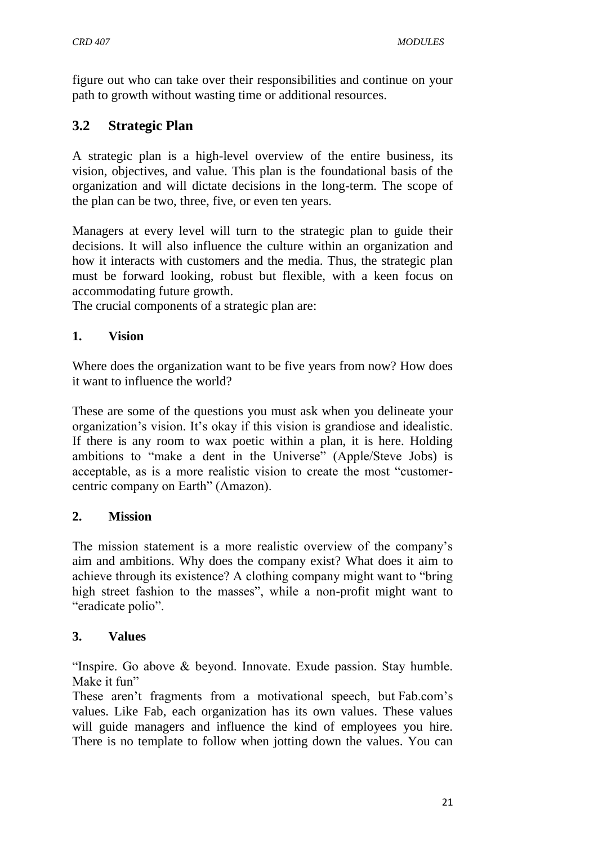figure out who can take over their responsibilities and continue on your path to growth without wasting time or additional resources.

# **3.2 Strategic Plan**

A strategic plan is a high-level overview of the entire business, its vision, objectives, and value. This plan is the foundational basis of the organization and will dictate decisions in the long-term. The scope of the plan can be two, three, five, or even ten years.

Managers at every level will turn to the strategic plan to guide their decisions. It will also influence the culture within an organization and how it interacts with customers and the media. Thus, the strategic plan must be forward looking, robust but flexible, with a keen focus on accommodating future growth.

The crucial components of a strategic plan are:

## **1. Vision**

Where does the organization want to be five years from now? How does it want to influence the world?

These are some of the questions you must ask when you delineate your organization's vision. It's okay if this vision is grandiose and idealistic. If there is any room to wax poetic within a plan, it is here. Holding ambitions to "make a dent in the Universe" (Apple/Steve Jobs) is acceptable, as is a more realistic vision to create the most "customercentric company on Earth" (Amazon).

## **2. Mission**

The mission statement is a more realistic overview of the company's aim and ambitions. Why does the company exist? What does it aim to achieve through its existence? A clothing company might want to "bring" high street fashion to the masses", while a non-profit might want to "eradicate polio".

## **3. Values**

"Inspire. Go above  $&$  beyond. Innovate. Exude passion. Stay humble. Make it fun"

These aren't fragments from a motivational speech, but [Fab.com's](http://fab.tumblr.com/post/29964560939/fab-values-for-the-whole-post-visit-ceo-jason)  [values.](http://fab.tumblr.com/post/29964560939/fab-values-for-the-whole-post-visit-ceo-jason) Like Fab, each organization has its own values. These values will guide managers and influence the kind of employees you hire. There is no template to follow when jotting down the values. You can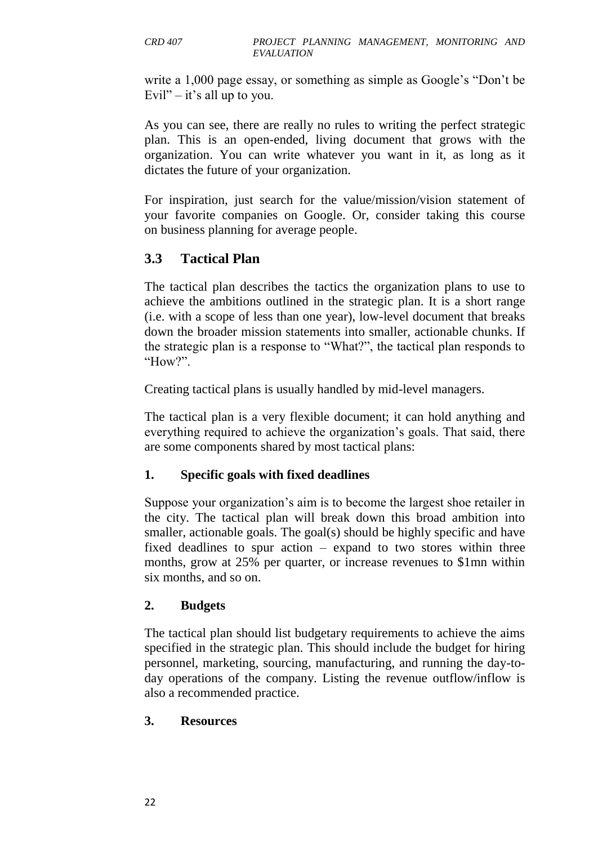write a 1,000 page essay, or something as simple as Google's "Don't be Evil" – it's all up to you.

As you can see, there are really no rules to writing the perfect strategic plan. This is an open-ended, living document that grows with the organization. You can write whatever you want in it, as long as it dictates the future of your organization.

For inspiration, just search for the value/mission/vision statement of your favorite companies on Google. Or, consider taking this course on [business planning for average people.](https://www.udemy.com/business-planning-for-the-average-human/?couponCode=blog13&tc=blog.planmngmnt.text.p&utm_source=blog&utm_medium=udemyads&utm_content=post8998&utm_campaign=content-marketing-blog&xref=blog)

## **3.3 Tactical Plan**

The tactical plan describes the tactics the organization plans to use to achieve the ambitions outlined in the strategic plan. It is a short range (i.e. with a scope of less than one year), low-level document that breaks down the broader mission statements into smaller, actionable chunks. If the strategic plan is a response to "What?", the tactical plan responds to "How?".

Creating tactical plans is usually handled by mid-level managers.

The tactical plan is a very flexible document; it can hold anything and everything required to achieve the organization's goals. That said, there are some components shared by most tactical plans:

## **1. Specific goals with fixed deadlines**

Suppose your organization's aim is to become the largest shoe retailer in the city. The tactical plan will break down this broad ambition into smaller, actionable goals. The goal(s) should be highly specific and have fixed deadlines to spur action – expand to two stores within three months, grow at 25% per quarter, or increase revenues to \$1mn within six months, and so on.

#### **2. Budgets**

The tactical plan should list budgetary requirements to achieve the aims specified in the strategic plan. This should include the budget for hiring personnel, marketing, sourcing, manufacturing, and running the day-today operations of the company. Listing the revenue outflow/inflow is also a recommended practice.

#### **3. Resources**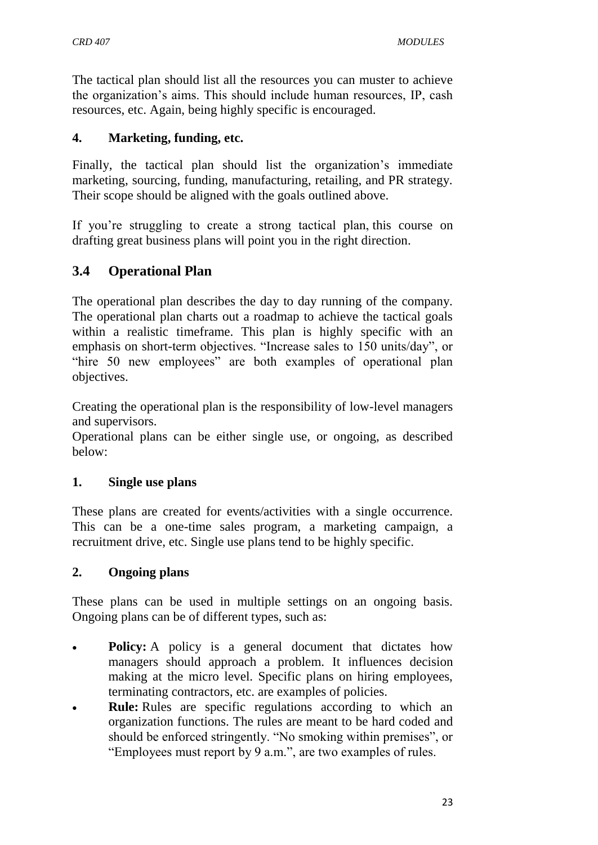The tactical plan should list all the resources you can muster to achieve the organization's aims. This should include human resources, IP, cash resources, etc. Again, being highly specific is encouraged.

#### **4. Marketing, funding, etc.**

Finally, the tactical plan should list the organization's immediate marketing, sourcing, funding, manufacturing, retailing, and PR strategy. Their scope should be aligned with the goals outlined above.

If you're struggling to create a strong tactical plan, [this course on](https://www.udemy.com/how-to-draft-a-business-plan/?couponCode=blog13&tc=blog.planmngmnt.text.p&utm_source=blog&utm_medium=udemyads&utm_content=post8998&utm_campaign=content-marketing-blog&xref=blog)  [drafting great business plans](https://www.udemy.com/how-to-draft-a-business-plan/?couponCode=blog13&tc=blog.planmngmnt.text.p&utm_source=blog&utm_medium=udemyads&utm_content=post8998&utm_campaign=content-marketing-blog&xref=blog) will point you in the right direction.

# **3.4 Operational Plan**

The operational plan describes the day to day running of the company. The operational plan charts out a roadmap to achieve the tactical goals within a realistic timeframe. This plan is highly specific with an emphasis on short-term objectives. "Increase sales to 150 units/day", or "hire 50 new employees" are both examples of operational plan objectives.

Creating the operational plan is the responsibility of low-level managers and supervisors.

Operational plans can be either single use, or ongoing, as described below:

## **1. Single use plans**

These plans are created for events/activities with a single occurrence. This can be a one-time sales program, a marketing campaign, a recruitment drive, etc. Single use plans tend to be highly specific.

#### **2. Ongoing plans**

These plans can be used in multiple settings on an ongoing basis. Ongoing plans can be of different types, such as:

- **Policy:** A policy is a general document that dictates how managers should approach a problem. It influences decision making at the micro level. Specific plans on hiring employees, terminating contractors, etc. are examples of policies.
- **Rule:** Rules are specific regulations according to which an organization functions. The rules are meant to be hard coded and should be enforced stringently. "No smoking within premises", or "Employees must report by 9 a.m.", are two examples of rules.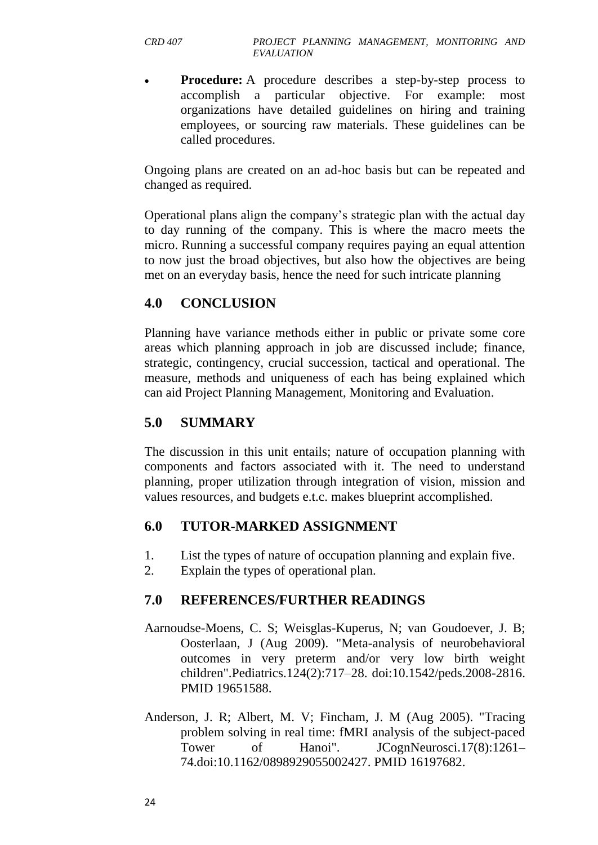**Procedure:** A procedure describes a step-by-step process to accomplish a particular objective. For example: most organizations have detailed guidelines on hiring and training employees, or sourcing raw materials. These guidelines can be called procedures.

Ongoing plans are created on an ad-hoc basis but can be repeated and changed as required.

Operational plans align the company's strategic plan with the actual day to day running of the company. This is where the macro meets the micro. Running a successful company requires paying an equal attention to now just the broad objectives, but also how the objectives are being met on an everyday basis, hence the need for such intricate planning

## **4.0 CONCLUSION**

Planning have variance methods either in public or private some core areas which planning approach in job are discussed include; finance, strategic, contingency, crucial succession, tactical and operational. The measure, methods and uniqueness of each has being explained which can aid Project Planning Management, Monitoring and Evaluation.

# **5.0 SUMMARY**

The discussion in this unit entails; nature of occupation planning with components and factors associated with it. The need to understand planning, proper utilization through integration of vision, mission and values resources, and budgets e.t.c. makes blueprint accomplished.

## **6.0 TUTOR-MARKED ASSIGNMENT**

- 1. List the types of nature of occupation planning and explain five.
- 2. Explain the types of operational plan.

# **7.0 REFERENCES/FURTHER READINGS**

- Aarnoudse-Moens, C. S; Weisglas-Kuperus, N; van Goudoever, J. B; Oosterlaan, J (Aug 2009). "Meta-analysis of neurobehavioral outcomes in very preterm and/or very low birth weight children".Pediatrics.124(2):717–28. [doi:](https://en.wikipedia.org/wiki/Digital_object_identifier)[10.1542/peds.2008-2816.](https://dx.doi.org/10.1542%2Fpeds.2008-2816) [PMID](https://en.wikipedia.org/wiki/PubMed_Identifier) [19651588.](https://www.ncbi.nlm.nih.gov/pubmed/19651588)
- Anderson, J. R; Albert, M. V; Fincham, J. M (Aug 2005). "Tracing problem solving in real time: fMRI analysis of the subject-paced Tower of Hanoi". JCognNeurosci.17(8):1261– 74[.doi](https://en.wikipedia.org/wiki/Digital_object_identifier)[:10.1162/0898929055002427.](https://dx.doi.org/10.1162%2F0898929055002427) [PMID](https://en.wikipedia.org/wiki/PubMed_Identifier) [16197682.](https://www.ncbi.nlm.nih.gov/pubmed/16197682)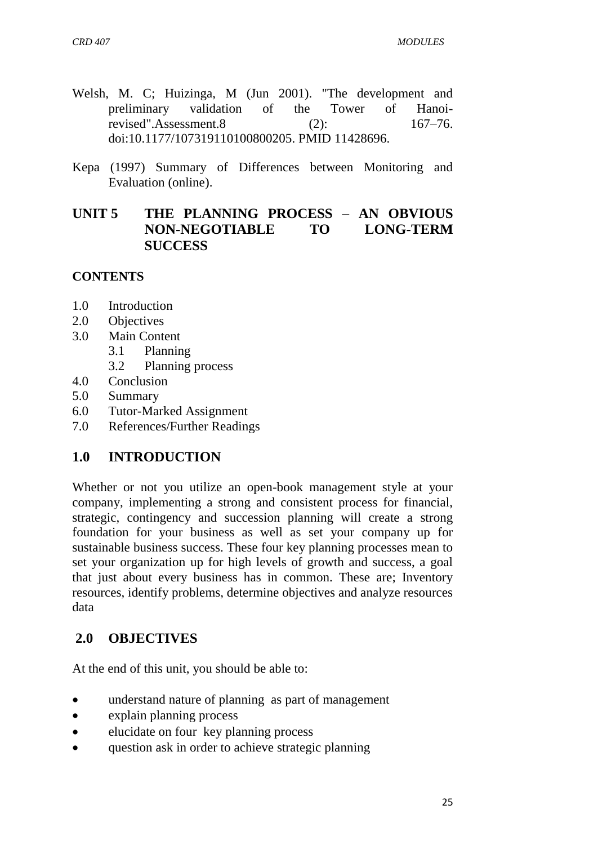- Welsh, M. C; Huizinga, M (Jun 2001). "The development and preliminary validation of the Tower of Hanoirevised".Assessment.8 (2): 167–76. [doi:](https://en.wikipedia.org/wiki/Digital_object_identifier)[10.1177/107319110100800205.](https://dx.doi.org/10.1177%2F107319110100800205) [PMID](https://en.wikipedia.org/wiki/PubMed_Identifier) [11428696.](https://www.ncbi.nlm.nih.gov/pubmed/11428696)
- Kepa (1997) Summary of Differences between Monitoring and Evaluation (online).

## **UNIT 5 THE PLANNING PROCESS – AN OBVIOUS NON-NEGOTIABLE TO LONG-TERM SUCCESS**

#### **CONTENTS**

- 1.0 Introduction
- 2.0 Objectives
- 3.0 Main Content
	- 3.1 Planning
		- 3.2 Planning process
- 4.0 Conclusion
- 5.0 Summary
- 6.0 Tutor-Marked Assignment
- 7.0 References/Further Readings

## **1.0 INTRODUCTION**

Whether or not you utilize an open-book management style at your company, implementing a strong and consistent process for financial, strategic, contingency and succession planning will create a strong foundation for your business as well as set your company up for sustainable business success. These four key planning processes mean to set your organization up for high levels of growth and success, a goal that just about every business has in common. These are; Inventory resources, identify problems, determine objectives and analyze resources data

## **2.0 OBJECTIVES**

At the end of this unit, you should be able to:

- understand nature of planning as part of management
- explain planning process
- elucidate on four key planning process
- question ask in order to achieve strategic planning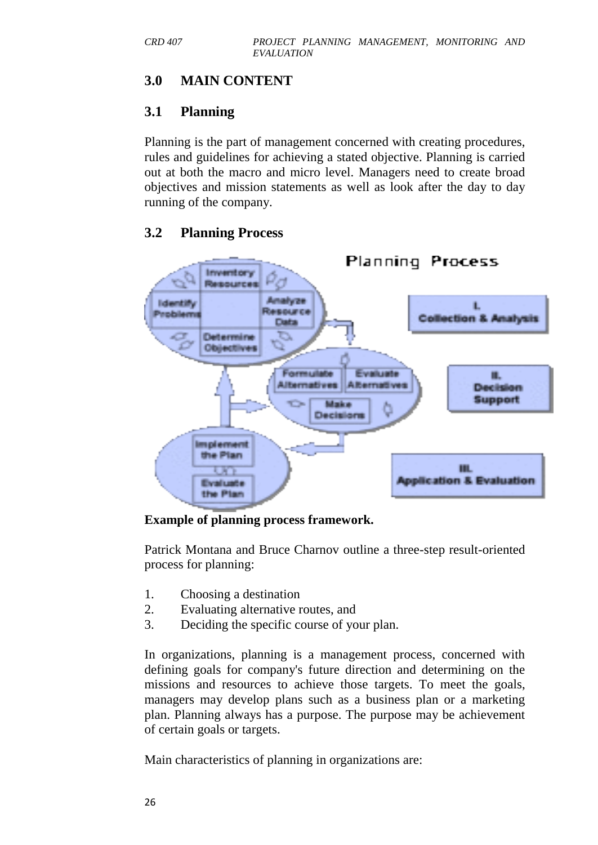# **3.0 MAIN CONTENT**

# **3.1 [Planning](http://en.wikipedia.org/wiki/Planning)**

[Planning](http://en.wikipedia.org/wiki/Planning) is the part of management concerned with creating procedures, rules and guidelines for achieving a stated objective. Planning is carried out at both the macro and micro level. Managers need to create broad objectives and mission statements as well as look after the day to day running of the company.

## **3.2 Planning Process**



#### **Example of planning process framework.**

Patrick Montana and Bruce Charnov outline a three-step result-oriented process for planning:

- 1. Choosing a destination
- 2. Evaluating alternative routes, and
- 3. Deciding the specific course of your plan.

In organizations, planning is a management process, concerned with defining goals for company's future direction and determining on the missions and resources to achieve those targets. To meet the goals, managers may develop plans such as a business plan or a marketing plan. Planning always has a purpose. The purpose may be achievement of certain goals or targets.

Main characteristics of planning in organizations are: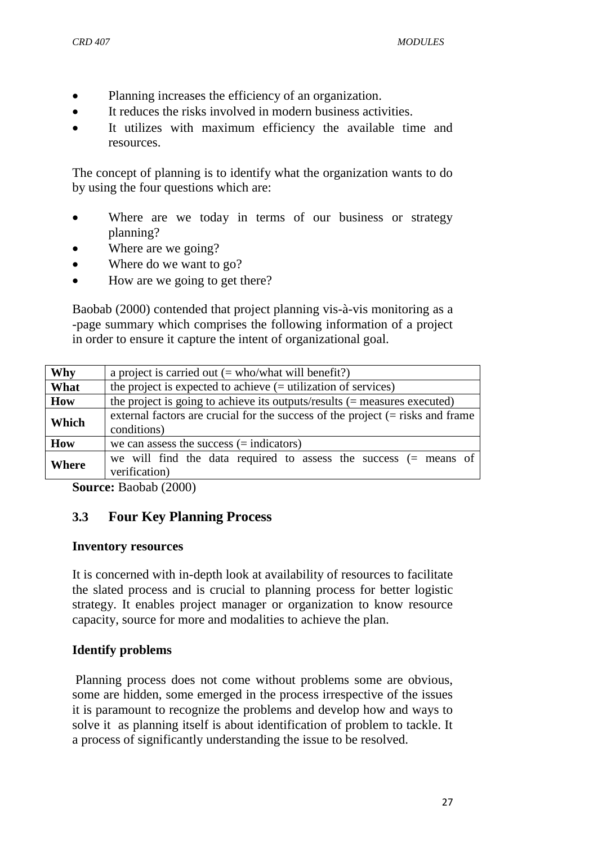- Planning increases the efficiency of an organization.
- It reduces the risks involved in modern business activities.
- It utilizes with maximum efficiency the available time and resources.

The concept of planning is to identify what the organization wants to do by using the four questions which are:

- Where are we today in terms of our business or strategy planning?
- Where are we going?
- Where do we want to go?
- How are we going to get there?

Baobab (2000) contended that project planning vis-à-vis monitoring as a -page summary which comprises the following information of a project in order to ensure it capture the intent of organizational goal.

| <b>Why</b>   | a project is carried out $(=$ who/what will benefit?)                                            |  |  |
|--------------|--------------------------------------------------------------------------------------------------|--|--|
| What         | the project is expected to achieve $(=$ utilization of services)                                 |  |  |
| How          | the project is going to achieve its outputs/results $(=$ measures executed)                      |  |  |
| Which        | external factors are crucial for the success of the project $($ = risks and frame<br>conditions) |  |  |
| How          | we can assess the success $(=$ indicators)                                                       |  |  |
| <b>Where</b> | we will find the data required to assess the success $($ means of<br>verification)               |  |  |

**Source:** Baobab (2000)

## **3.3 Four Key Planning Process**

#### **Inventory resources**

It is concerned with in-depth look at availability of resources to facilitate the slated process and is crucial to planning process for better logistic strategy. It enables project manager or organization to know resource capacity, source for more and modalities to achieve the plan.

#### **Identify problems**

Planning process does not come without problems some are obvious, some are hidden, some emerged in the process irrespective of the issues it is paramount to recognize the problems and develop how and ways to solve it as planning itself is about identification of problem to tackle. It a process of significantly understanding the issue to be resolved.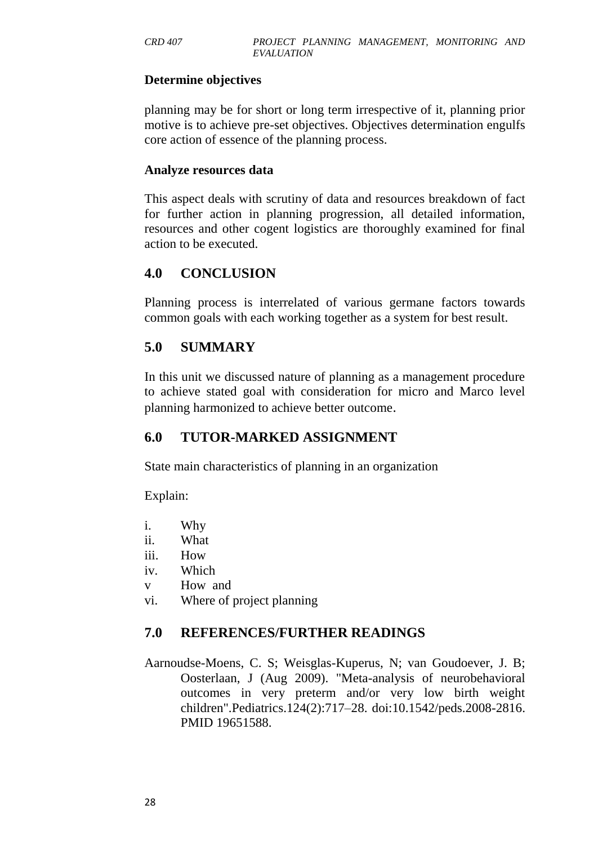#### **Determine objectives**

planning may be for short or long term irrespective of it, planning prior motive is to achieve pre-set objectives. Objectives determination engulfs core action of essence of the planning process.

#### **Analyze resources data**

This aspect deals with scrutiny of data and resources breakdown of fact for further action in planning progression, all detailed information, resources and other cogent logistics are thoroughly examined for final action to be executed.

## **4.0 CONCLUSION**

Planning process is interrelated of various germane factors towards common goals with each working together as a system for best result.

## **5.0 SUMMARY**

In this unit we discussed nature of planning as a management procedure to achieve stated goal with consideration for micro and Marco level planning harmonized to achieve better outcome.

## **6.0 TUTOR-MARKED ASSIGNMENT**

State main characteristics of planning in an organization

Explain:

- i. Why
- ii. What
- iii. How
- iv. Which
- v How and
- vi. Where of project planning

## **7.0 REFERENCES/FURTHER READINGS**

Aarnoudse-Moens, C. S; Weisglas-Kuperus, N; van Goudoever, J. B; Oosterlaan, J (Aug 2009). "Meta-analysis of neurobehavioral outcomes in very preterm and/or very low birth weight children".Pediatrics.124(2):717–28. [doi:](https://en.wikipedia.org/wiki/Digital_object_identifier)[10.1542/peds.2008-2816.](https://dx.doi.org/10.1542%2Fpeds.2008-2816) [PMID](https://en.wikipedia.org/wiki/PubMed_Identifier) [19651588.](https://www.ncbi.nlm.nih.gov/pubmed/19651588)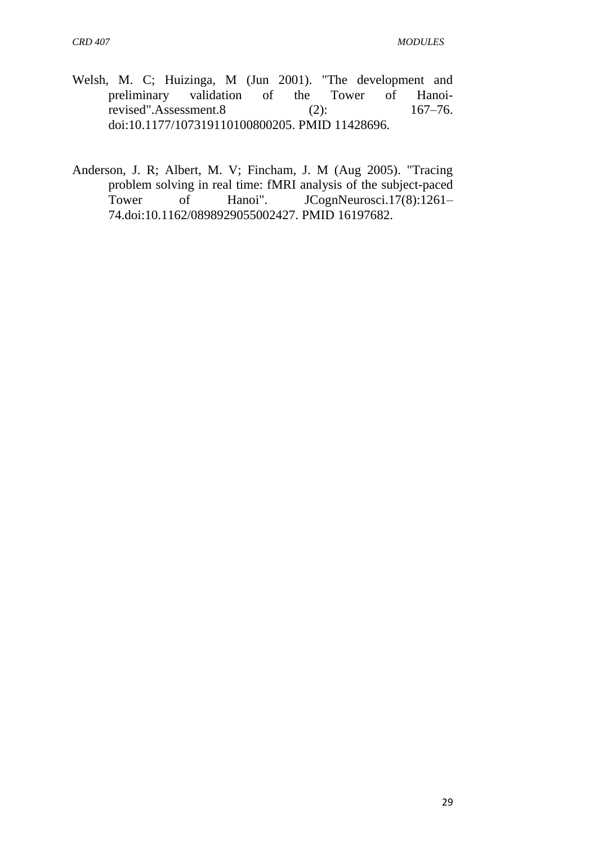- Welsh, M. C; Huizinga, M (Jun 2001). "The development and preliminary validation of the Tower of Hanoi-<br>revised".Assessment.8 (2): 167–76. revised".Assessment.8 (2): [doi:](https://en.wikipedia.org/wiki/Digital_object_identifier)[10.1177/107319110100800205.](https://dx.doi.org/10.1177%2F107319110100800205) [PMID](https://en.wikipedia.org/wiki/PubMed_Identifier) [11428696.](https://www.ncbi.nlm.nih.gov/pubmed/11428696)
- Anderson, J. R; Albert, M. V; Fincham, J. M (Aug 2005). "Tracing problem solving in real time: fMRI analysis of the subject-paced Tower of Hanoi". JCognNeurosci.17(8):1261-74[.doi](https://en.wikipedia.org/wiki/Digital_object_identifier)[:10.1162/0898929055002427.](https://dx.doi.org/10.1162%2F0898929055002427) [PMID](https://en.wikipedia.org/wiki/PubMed_Identifier) [16197682.](https://www.ncbi.nlm.nih.gov/pubmed/16197682)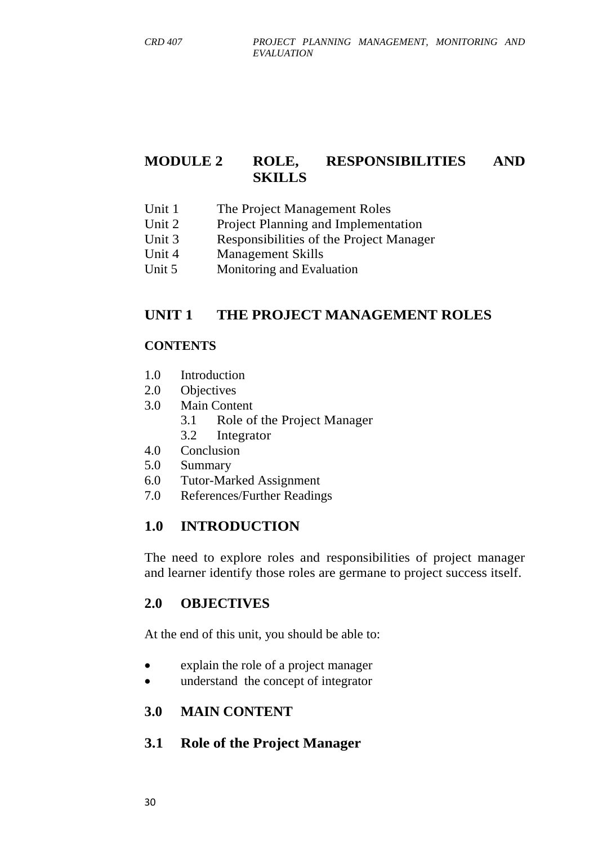## **MODULE 2 ROLE, RESPONSIBILITIES AND SKILLS**

- Unit 1 The Project Management Roles
- Unit 2 Project Planning and Implementation
- Unit 3 Responsibilities of the Project Manager
- Unit 4 Management Skills
- Unit 5 Monitoring and Evaluation

### **UNIT 1 THE PROJECT MANAGEMENT ROLES**

#### **CONTENTS**

- 1.0 Introduction
- 2.0 Objectives
- 3.0 Main Content
	- 3.1 Role of the Project Manager
	- 3.2 Integrator
- 4.0 Conclusion
- 5.0 Summary
- 6.0 Tutor-Marked Assignment
- 7.0 References/Further Readings

### **1.0 INTRODUCTION**

The need to explore roles and responsibilities of project manager and learner identify those roles are germane to project success itself.

### **2.0 OBJECTIVES**

At the end of this unit, you should be able to:

- explain the role of a project manager
- understand the concept of integrator

#### **3.0 MAIN CONTENT**

#### **3.1 Role of the Project Manager**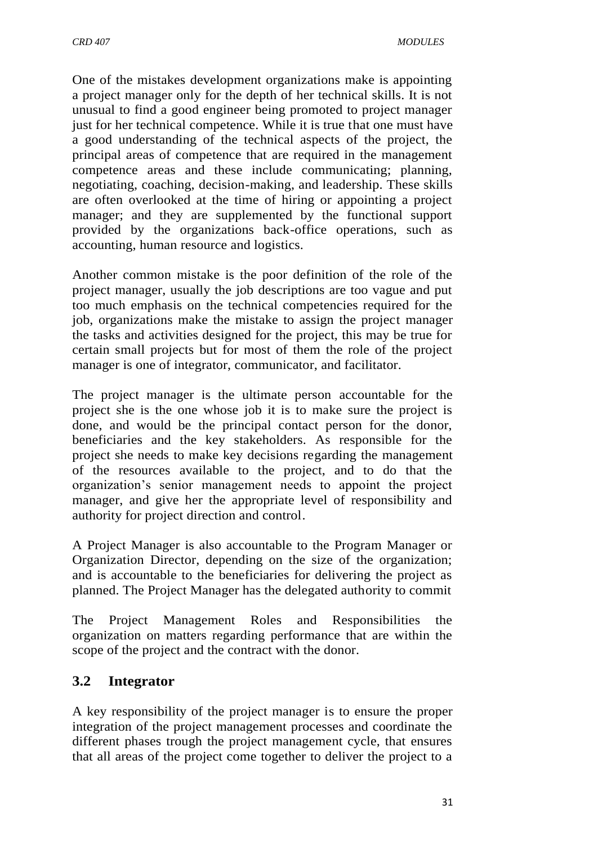One of the mistakes development organizations make is appointing a project manager only for the depth of her technical skills. It is not unusual to find a good engineer being promoted to project manager just for her technical competence. While it is true that one must have a good understanding of the technical aspects of the project, the principal areas of competence that are required in the management competence areas and these include communicating; planning, negotiating, coaching, decision-making, and leadership. These skills are often overlooked at the time of hiring or appointing a project manager; and they are supplemented by the functional support provided by the organizations back-office operations, such as accounting, human resource and logistics.

Another common mistake is the poor definition of the role of the project manager, usually the job descriptions are too vague and put too much emphasis on the technical competencies required for the job, organizations make the mistake to assign the project manager the tasks and activities designed for the project, this may be true for certain small projects but for most of them the role of the project manager is one of integrator, communicator, and facilitator.

The project manager is the ultimate person accountable for the project she is the one whose job it is to make sure the project is done, and would be the principal contact person for the donor, beneficiaries and the key stakeholders. As responsible for the project she needs to make key decisions regarding the management of the resources available to the project, and to do that the organization's senior management needs to appoint the project manager, and give her the appropriate level of responsibility and authority for project direction and control.

A Project Manager is also accountable to the Program Manager or Organization Director, depending on the size of the organization; and is accountable to the beneficiaries for delivering the project as planned. The Project Manager has the delegated authority to commit

The Project Management Roles and Responsibilities the organization on matters regarding performance that are within the scope of the project and the contract with the donor.

## **3.2 Integrator**

A key responsibility of the project manager is to ensure the proper integration of the project management processes and coordinate the different phases trough the project management cycle, that ensures that all areas of the project come together to deliver the project to a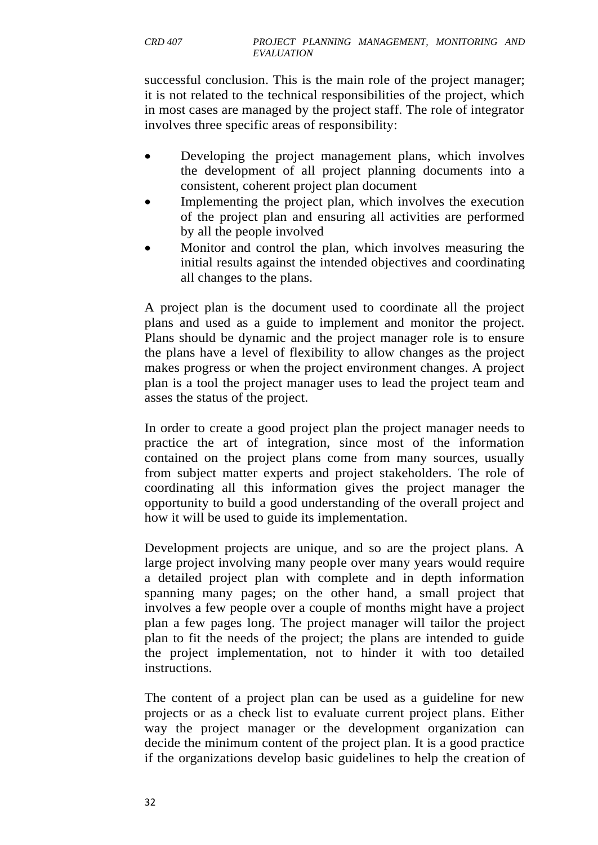successful conclusion. This is the main role of the project manager; it is not related to the technical responsibilities of the project, which in most cases are managed by the project staff. The role of integrator involves three specific areas of responsibility:

- Developing the project management plans, which involves the development of all project planning documents into a consistent, coherent project plan document
- Implementing the project plan, which involves the execution of the project plan and ensuring all activities are performed by all the people involved
- Monitor and control the plan, which involves measuring the initial results against the intended objectives and coordinating all changes to the plans.

A project plan is the document used to coordinate all the project plans and used as a guide to implement and monitor the project. Plans should be dynamic and the project manager role is to ensure the plans have a level of flexibility to allow changes as the project makes progress or when the project environment changes. A project plan is a tool the project manager uses to lead the project team and asses the status of the project.

In order to create a good project plan the project manager needs to practice the art of integration, since most of the information contained on the project plans come from many sources, usually from subject matter experts and project stakeholders. The role of coordinating all this information gives the project manager the opportunity to build a good understanding of the overall project and how it will be used to guide its implementation.

Development projects are unique, and so are the project plans. A large project involving many people over many years would require a detailed project plan with complete and in depth information spanning many pages; on the other hand, a small project that involves a few people over a couple of months might have a project plan a few pages long. The project manager will tailor the project plan to fit the needs of the project; the plans are intended to guide the project implementation, not to hinder it with too detailed instructions.

The content of a project plan can be used as a guideline for new projects or as a check list to evaluate current project plans. Either way the project manager or the development organization can decide the minimum content of the project plan. It is a good practice if the organizations develop basic guidelines to help the creation of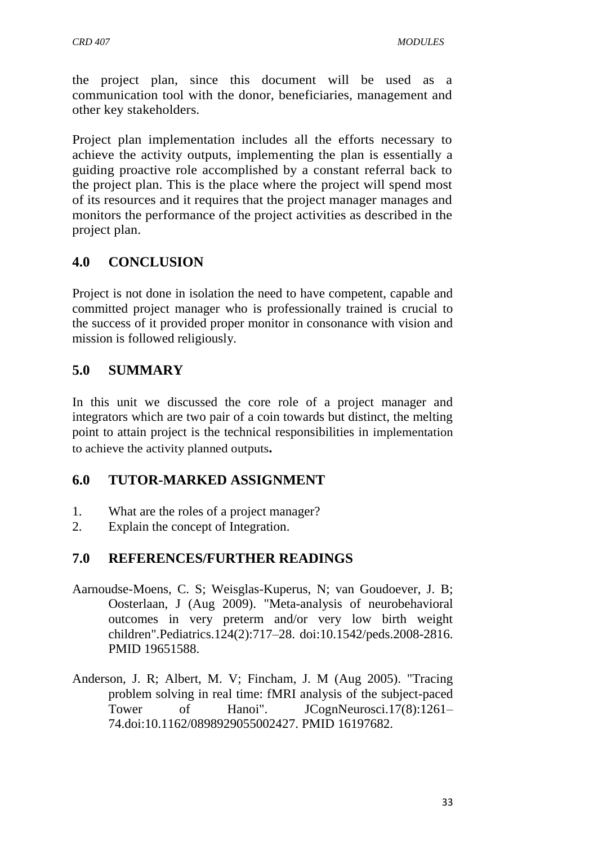the project plan, since this document will be used as a communication tool with the donor, beneficiaries, management and other key stakeholders.

Project plan implementation includes all the efforts necessary to achieve the activity outputs, implementing the plan is essentially a guiding proactive role accomplished by a constant referral back to the project plan. This is the place where the project will spend most of its resources and it requires that the project manager manages and monitors the performance of the project activities as described in the project plan.

# **4.0 CONCLUSION**

Project is not done in isolation the need to have competent, capable and committed project manager who is professionally trained is crucial to the success of it provided proper monitor in consonance with vision and mission is followed religiously.

# **5.0 SUMMARY**

In this unit we discussed the core role of a project manager and integrators which are two pair of a coin towards but distinct, the melting point to attain project is the technical responsibilities in implementation to achieve the activity planned outputs**.**

## **6.0 TUTOR-MARKED ASSIGNMENT**

- 1. What are the roles of a project manager?
- 2. Explain the concept of Integration.

## **7.0 REFERENCES/FURTHER READINGS**

- Aarnoudse-Moens, C. S; Weisglas-Kuperus, N; van Goudoever, J. B; Oosterlaan, J (Aug 2009). "Meta-analysis of neurobehavioral outcomes in very preterm and/or very low birth weight children".Pediatrics.124(2):717–28. [doi:](https://en.wikipedia.org/wiki/Digital_object_identifier)[10.1542/peds.2008-2816.](https://dx.doi.org/10.1542%2Fpeds.2008-2816) [PMID](https://en.wikipedia.org/wiki/PubMed_Identifier) [19651588.](https://www.ncbi.nlm.nih.gov/pubmed/19651588)
- Anderson, J. R; Albert, M. V; Fincham, J. M (Aug 2005). "Tracing problem solving in real time: fMRI analysis of the subject-paced Tower of Hanoi". JCognNeurosci.17(8):1261– 74[.doi](https://en.wikipedia.org/wiki/Digital_object_identifier)[:10.1162/0898929055002427.](https://dx.doi.org/10.1162%2F0898929055002427) [PMID](https://en.wikipedia.org/wiki/PubMed_Identifier) [16197682.](https://www.ncbi.nlm.nih.gov/pubmed/16197682)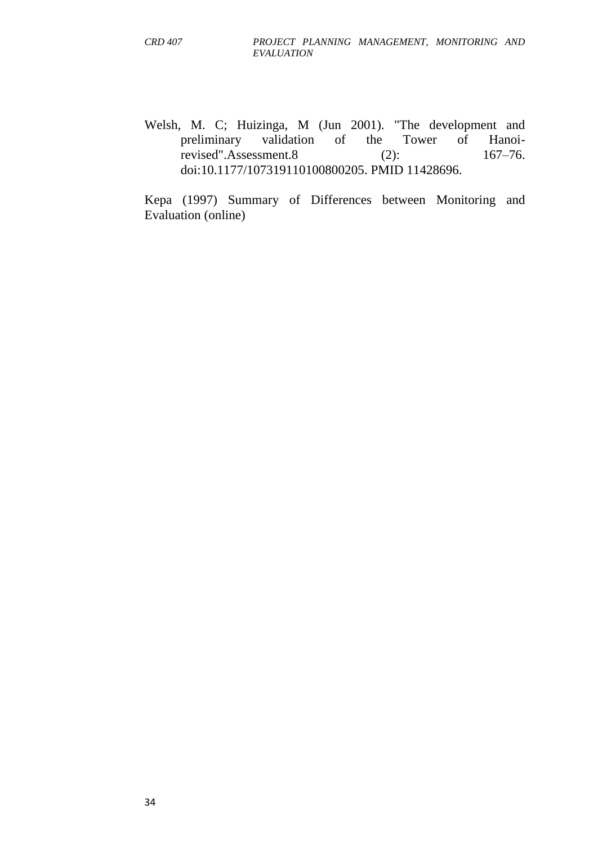Welsh, M. C; Huizinga, M (Jun 2001). "The development and preliminary validation of the Tower of Hanoirevised".Assessment.8 (2): 167–76. [doi:](https://en.wikipedia.org/wiki/Digital_object_identifier)[10.1177/107319110100800205.](https://dx.doi.org/10.1177%2F107319110100800205) [PMID](https://en.wikipedia.org/wiki/PubMed_Identifier) [11428696.](https://www.ncbi.nlm.nih.gov/pubmed/11428696)

Kepa (1997) Summary of Differences between Monitoring and Evaluation (online)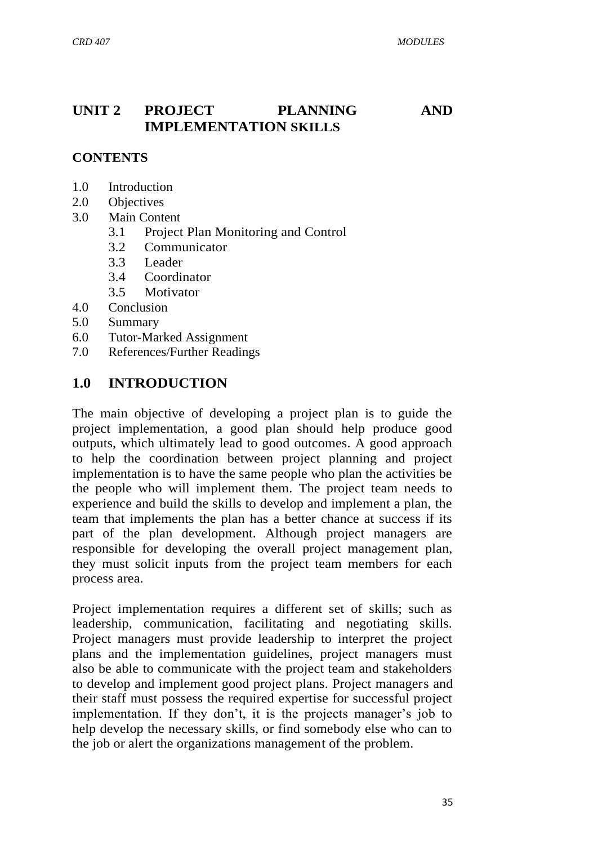## **UNIT 2 PROJECT PLANNING AND IMPLEMENTATION SKILLS**

#### **CONTENTS**

- 1.0 Introduction
- 2.0 Objectives
- 3.0 Main Content
	- 3.1 Project Plan Monitoring and Control
	- 3.2 Communicator
	- 3.3 Leader
	- 3.4 Coordinator
	- 3.5 Motivator
- 4.0 Conclusion
- 5.0 Summary
- 6.0 Tutor-Marked Assignment
- 7.0 References/Further Readings

#### **1.0 INTRODUCTION**

The main objective of developing a project plan is to guide the project implementation, a good plan should help produce good outputs, which ultimately lead to good outcomes. A good approach to help the coordination between project planning and project implementation is to have the same people who plan the activities be the people who will implement them. The project team needs to experience and build the skills to develop and implement a plan, the team that implements the plan has a better chance at success if its part of the plan development. Although project managers are responsible for developing the overall project management plan, they must solicit inputs from the project team members for each process area.

Project implementation requires a different set of skills; such as leadership, communication, facilitating and negotiating skills. Project managers must provide leadership to interpret the project plans and the implementation guidelines, project managers must also be able to communicate with the project team and stakeholders to develop and implement good project plans. Project managers and their staff must possess the required expertise for successful project implementation. If they don't, it is the projects manager's job to help develop the necessary skills, or find somebody else who can to the job or alert the organizations management of the problem.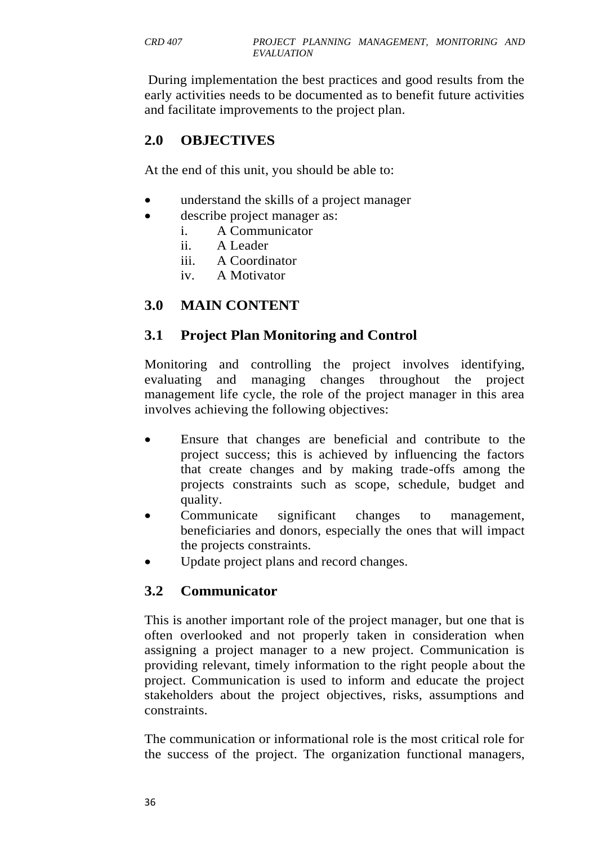During implementation the best practices and good results from the early activities needs to be documented as to benefit future activities and facilitate improvements to the project plan.

# **2.0 OBJECTIVES**

At the end of this unit, you should be able to:

- understand the skills of a project manager
- describe project manager as:
	- i. A Communicator
	- ii. A Leader
	- iii. A Coordinator
	- iv. A Motivator

## **3.0 MAIN CONTENT**

## **3.1 Project Plan Monitoring and Control**

Monitoring and controlling the project involves identifying, evaluating and managing changes throughout the project management life cycle, the role of the project manager in this area involves achieving the following objectives:

- Ensure that changes are beneficial and contribute to the project success; this is achieved by influencing the factors that create changes and by making trade-offs among the projects constraints such as scope, schedule, budget and quality.
- Communicate significant changes to management, beneficiaries and donors, especially the ones that will impact the projects constraints.
- Update project plans and record changes.

## **3.2 Communicator**

This is another important role of the project manager, but one that is often overlooked and not properly taken in consideration when assigning a project manager to a new project. Communication is providing relevant, timely information to the right people about the project. Communication is used to inform and educate the project stakeholders about the project objectives, risks, assumptions and constraints.

The communication or informational role is the most critical role for the success of the project. The organization functional managers,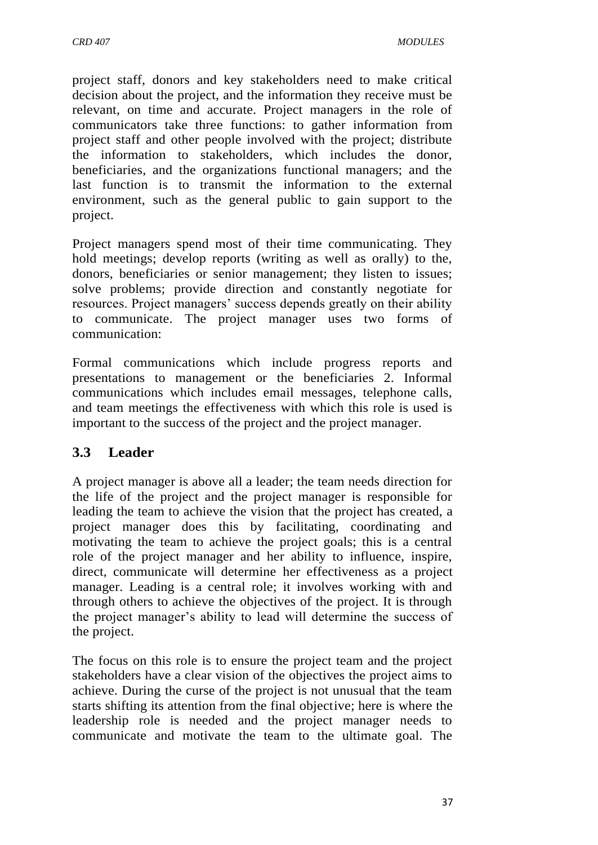project staff, donors and key stakeholders need to make critical decision about the project, and the information they receive must be relevant, on time and accurate. Project managers in the role of communicators take three functions: to gather information from project staff and other people involved with the project; distribute the information to stakeholders, which includes the donor, beneficiaries, and the organizations functional managers; and the last function is to transmit the information to the external environment, such as the general public to gain support to the project.

Project managers spend most of their time communicating. They hold meetings; develop reports (writing as well as orally) to the, donors, beneficiaries or senior management; they listen to issues; solve problems; provide direction and constantly negotiate for resources. Project managers' success depends greatly on their ability to communicate. The project manager uses two forms of communication:

Formal communications which include progress reports and presentations to management or the beneficiaries 2. Informal communications which includes email messages, telephone calls, and team meetings the effectiveness with which this role is used is important to the success of the project and the project manager.

## **3.3 Leader**

A project manager is above all a leader; the team needs direction for the life of the project and the project manager is responsible for leading the team to achieve the vision that the project has created, a project manager does this by facilitating, coordinating and motivating the team to achieve the project goals; this is a central role of the project manager and her ability to influence, inspire, direct, communicate will determine her effectiveness as a project manager. Leading is a central role; it involves working with and through others to achieve the objectives of the project. It is through the project manager's ability to lead will determine the success of the project.

The focus on this role is to ensure the project team and the project stakeholders have a clear vision of the objectives the project aims to achieve. During the curse of the project is not unusual that the team starts shifting its attention from the final objective; here is where the leadership role is needed and the project manager needs to communicate and motivate the team to the ultimate goal. The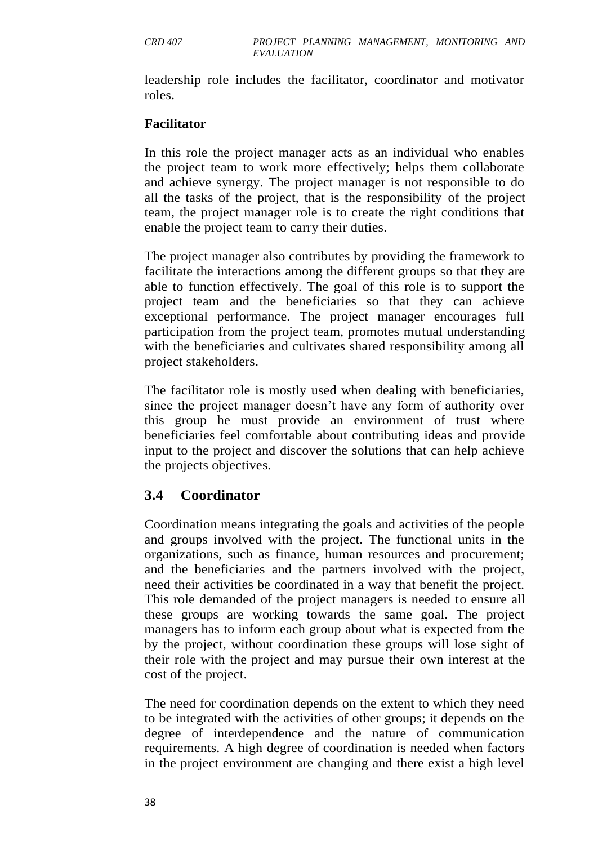leadership role includes the facilitator, coordinator and motivator roles.

#### **Facilitator**

In this role the project manager acts as an individual who enables the project team to work more effectively; helps them collaborate and achieve synergy. The project manager is not responsible to do all the tasks of the project, that is the responsibility of the project team, the project manager role is to create the right conditions that enable the project team to carry their duties.

The project manager also contributes by providing the framework to facilitate the interactions among the different groups so that they are able to function effectively. The goal of this role is to support the project team and the beneficiaries so that they can achieve exceptional performance. The project manager encourages full participation from the project team, promotes mutual understanding with the beneficiaries and cultivates shared responsibility among all project stakeholders.

The facilitator role is mostly used when dealing with beneficiaries, since the project manager doesn't have any form of authority over this group he must provide an environment of trust where beneficiaries feel comfortable about contributing ideas and provide input to the project and discover the solutions that can help achieve the projects objectives.

### **3.4 Coordinator**

Coordination means integrating the goals and activities of the people and groups involved with the project. The functional units in the organizations, such as finance, human resources and procurement; and the beneficiaries and the partners involved with the project, need their activities be coordinated in a way that benefit the project. This role demanded of the project managers is needed to ensure all these groups are working towards the same goal. The project managers has to inform each group about what is expected from the by the project, without coordination these groups will lose sight of their role with the project and may pursue their own interest at the cost of the project.

The need for coordination depends on the extent to which they need to be integrated with the activities of other groups; it depends on the degree of interdependence and the nature of communication requirements. A high degree of coordination is needed when factors in the project environment are changing and there exist a high level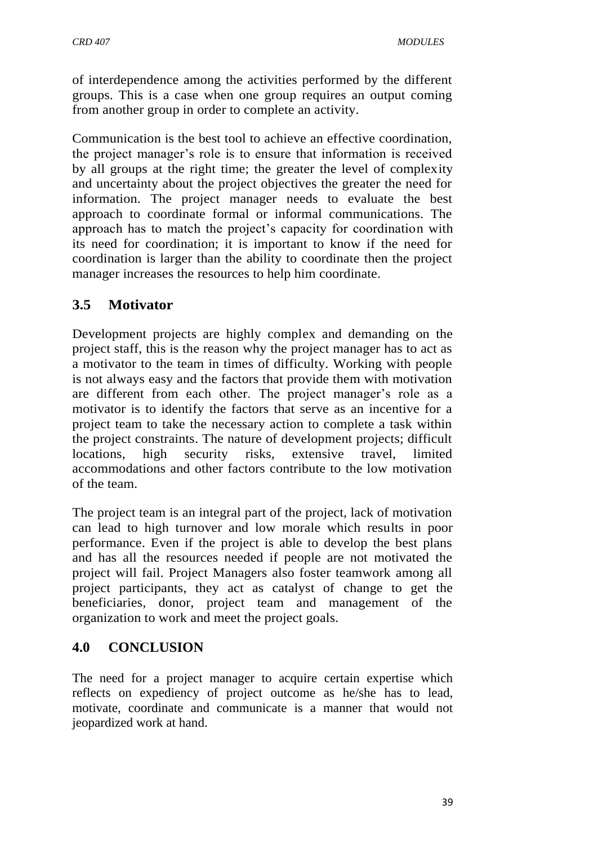of interdependence among the activities performed by the different groups. This is a case when one group requires an output coming from another group in order to complete an activity.

Communication is the best tool to achieve an effective coordination, the project manager's role is to ensure that information is received by all groups at the right time; the greater the level of complexity and uncertainty about the project objectives the greater the need for information. The project manager needs to evaluate the best approach to coordinate formal or informal communications. The approach has to match the project's capacity for coordination with its need for coordination; it is important to know if the need for coordination is larger than the ability to coordinate then the project manager increases the resources to help him coordinate.

## **3.5 Motivator**

Development projects are highly complex and demanding on the project staff, this is the reason why the project manager has to act as a motivator to the team in times of difficulty. Working with people is not always easy and the factors that provide them with motivation are different from each other. The project manager's role as a motivator is to identify the factors that serve as an incentive for a project team to take the necessary action to complete a task within the project constraints. The nature of development projects; difficult locations, high security risks, extensive travel, limited accommodations and other factors contribute to the low motivation of the team.

The project team is an integral part of the project, lack of motivation can lead to high turnover and low morale which results in poor performance. Even if the project is able to develop the best plans and has all the resources needed if people are not motivated the project will fail. Project Managers also foster teamwork among all project participants, they act as catalyst of change to get the beneficiaries, donor, project team and management of the organization to work and meet the project goals.

### **4.0 CONCLUSION**

The need for a project manager to acquire certain expertise which reflects on expediency of project outcome as he/she has to lead, motivate, coordinate and communicate is a manner that would not jeopardized work at hand.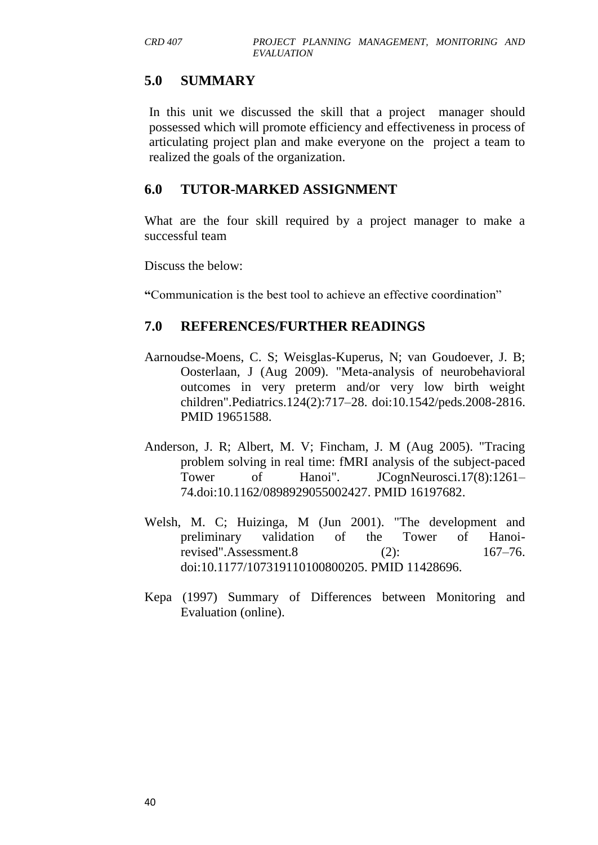## **5.0 SUMMARY**

In this unit we discussed the skill that a project manager should possessed which will promote efficiency and effectiveness in process of articulating project plan and make everyone on the project a team to realized the goals of the organization.

## **6.0 TUTOR-MARKED ASSIGNMENT**

What are the four skill required by a project manager to make a successful team

Discuss the below:

**"**Communication is the best tool to achieve an effective coordination‖

## **7.0 REFERENCES/FURTHER READINGS**

- Aarnoudse-Moens, C. S; Weisglas-Kuperus, N; van Goudoever, J. B; Oosterlaan, J (Aug 2009). "Meta-analysis of neurobehavioral outcomes in very preterm and/or very low birth weight children".Pediatrics.124(2):717–28. [doi:](https://en.wikipedia.org/wiki/Digital_object_identifier)[10.1542/peds.2008-2816.](https://dx.doi.org/10.1542%2Fpeds.2008-2816) [PMID](https://en.wikipedia.org/wiki/PubMed_Identifier) [19651588.](https://www.ncbi.nlm.nih.gov/pubmed/19651588)
- Anderson, J. R; Albert, M. V; Fincham, J. M (Aug 2005). "Tracing problem solving in real time: fMRI analysis of the subject-paced Tower of Hanoi". JCognNeurosci.17(8):1261– 74[.doi](https://en.wikipedia.org/wiki/Digital_object_identifier)[:10.1162/0898929055002427.](https://dx.doi.org/10.1162%2F0898929055002427) [PMID](https://en.wikipedia.org/wiki/PubMed_Identifier) [16197682.](https://www.ncbi.nlm.nih.gov/pubmed/16197682)
- Welsh, M. C; Huizinga, M (Jun 2001). "The development and preliminary validation of the Tower of Hanoirevised".Assessment.8 (2): 167–76. [doi:](https://en.wikipedia.org/wiki/Digital_object_identifier)[10.1177/107319110100800205.](https://dx.doi.org/10.1177%2F107319110100800205) [PMID](https://en.wikipedia.org/wiki/PubMed_Identifier) [11428696.](https://www.ncbi.nlm.nih.gov/pubmed/11428696)
- Kepa (1997) Summary of Differences between Monitoring and Evaluation (online).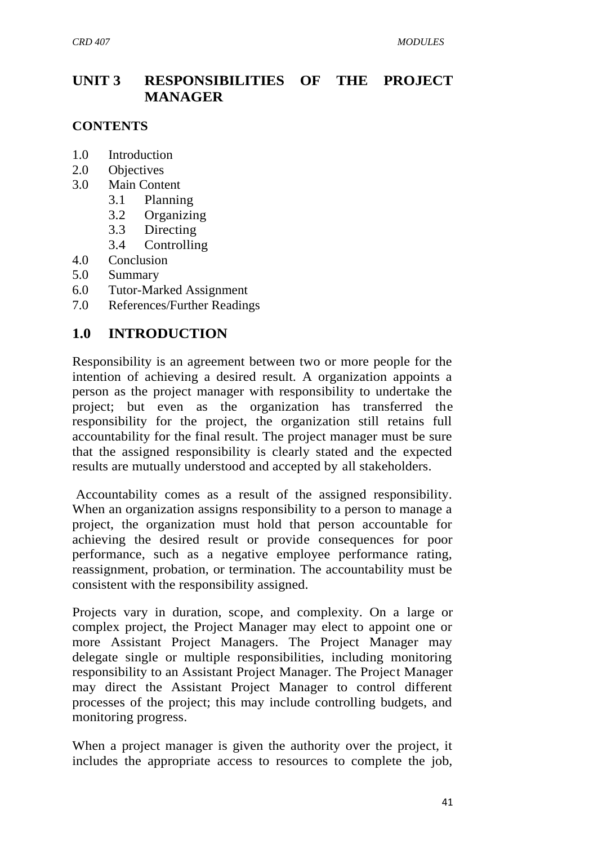# **UNIT 3 RESPONSIBILITIES OF THE PROJECT MANAGER**

#### **CONTENTS**

- 1.0 Introduction
- 2.0 Objectives
- 3.0 Main Content
	- 3.1 Planning
	- 3.2 Organizing
	- 3.3 Directing
	- 3.4 Controlling
- 4.0 Conclusion
- 5.0 Summary
- 6.0 Tutor-Marked Assignment
- 7.0 References/Further Readings

### **1.0 INTRODUCTION**

Responsibility is an agreement between two or more people for the intention of achieving a desired result. A organization appoints a person as the project manager with responsibility to undertake the project; but even as the organization has transferred the responsibility for the project, the organization still retains full accountability for the final result. The project manager must be sure that the assigned responsibility is clearly stated and the expected results are mutually understood and accepted by all stakeholders.

Accountability comes as a result of the assigned responsibility. When an organization assigns responsibility to a person to manage a project, the organization must hold that person accountable for achieving the desired result or provide consequences for poor performance, such as a negative employee performance rating, reassignment, probation, or termination. The accountability must be consistent with the responsibility assigned.

Projects vary in duration, scope, and complexity. On a large or complex project, the Project Manager may elect to appoint one or more Assistant Project Managers. The Project Manager may delegate single or multiple responsibilities, including monitoring responsibility to an Assistant Project Manager. The Project Manager may direct the Assistant Project Manager to control different processes of the project; this may include controlling budgets, and monitoring progress.

When a project manager is given the authority over the project, it includes the appropriate access to resources to complete the job,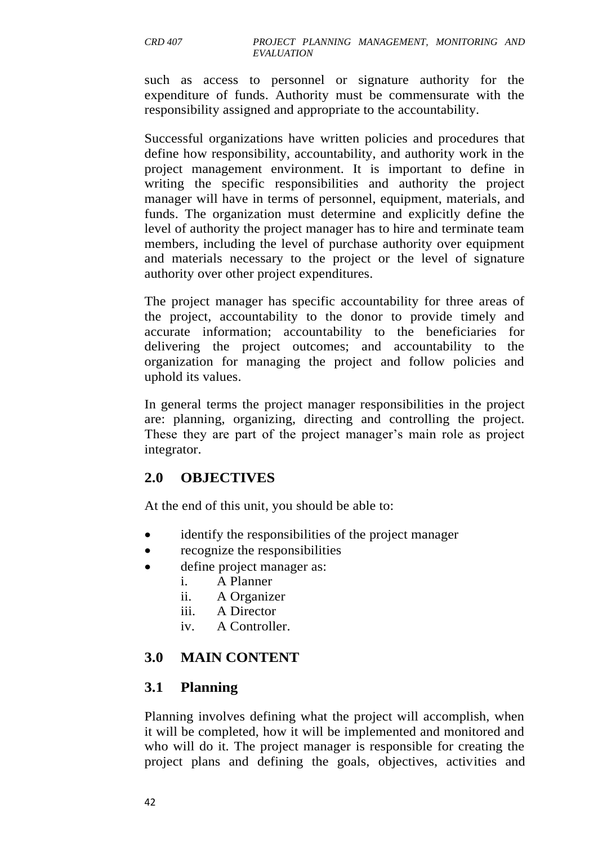such as access to personnel or signature authority for the expenditure of funds. Authority must be commensurate with the responsibility assigned and appropriate to the accountability.

Successful organizations have written policies and procedures that define how responsibility, accountability, and authority work in the project management environment. It is important to define in writing the specific responsibilities and authority the project manager will have in terms of personnel, equipment, materials, and funds. The organization must determine and explicitly define the level of authority the project manager has to hire and terminate team members, including the level of purchase authority over equipment and materials necessary to the project or the level of signature authority over other project expenditures.

The project manager has specific accountability for three areas of the project, accountability to the donor to provide timely and accurate information; accountability to the beneficiaries for delivering the project outcomes; and accountability to the organization for managing the project and follow policies and uphold its values.

In general terms the project manager responsibilities in the project are: planning, organizing, directing and controlling the project. These they are part of the project manager's main role as project integrator.

## **2.0 OBJECTIVES**

At the end of this unit, you should be able to:

- identify the responsibilities of the project manager
- recognize the responsibilities
- define project manager as:
	- i. A Planner
	- ii. A Organizer
	- iii. A Director
	- iv. A Controller.

## **3.0 MAIN CONTENT**

### **3.1 Planning**

Planning involves defining what the project will accomplish, when it will be completed, how it will be implemented and monitored and who will do it. The project manager is responsible for creating the project plans and defining the goals, objectives, activities and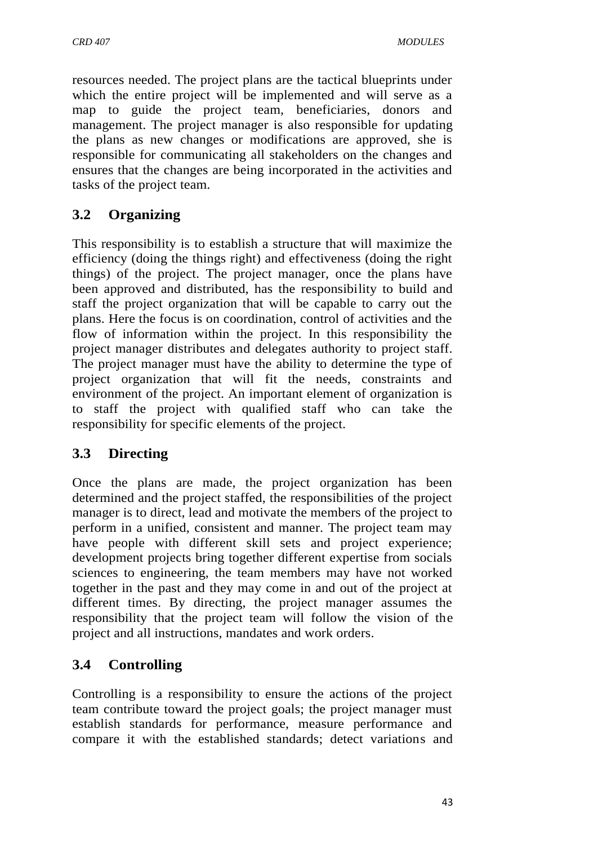resources needed. The project plans are the tactical blueprints under which the entire project will be implemented and will serve as a map to guide the project team, beneficiaries, donors and management. The project manager is also responsible for updating the plans as new changes or modifications are approved, she is responsible for communicating all stakeholders on the changes and ensures that the changes are being incorporated in the activities and tasks of the project team.

# **3.2 Organizing**

This responsibility is to establish a structure that will maximize the efficiency (doing the things right) and effectiveness (doing the right things) of the project. The project manager, once the plans have been approved and distributed, has the responsibility to build and staff the project organization that will be capable to carry out the plans. Here the focus is on coordination, control of activities and the flow of information within the project. In this responsibility the project manager distributes and delegates authority to project staff. The project manager must have the ability to determine the type of project organization that will fit the needs, constraints and environment of the project. An important element of organization is to staff the project with qualified staff who can take the responsibility for specific elements of the project.

## **3.3 Directing**

Once the plans are made, the project organization has been determined and the project staffed, the responsibilities of the project manager is to direct, lead and motivate the members of the project to perform in a unified, consistent and manner. The project team may have people with different skill sets and project experience; development projects bring together different expertise from socials sciences to engineering, the team members may have not worked together in the past and they may come in and out of the project at different times. By directing, the project manager assumes the responsibility that the project team will follow the vision of the project and all instructions, mandates and work orders.

# **3.4 Controlling**

Controlling is a responsibility to ensure the actions of the project team contribute toward the project goals; the project manager must establish standards for performance, measure performance and compare it with the established standards; detect variations and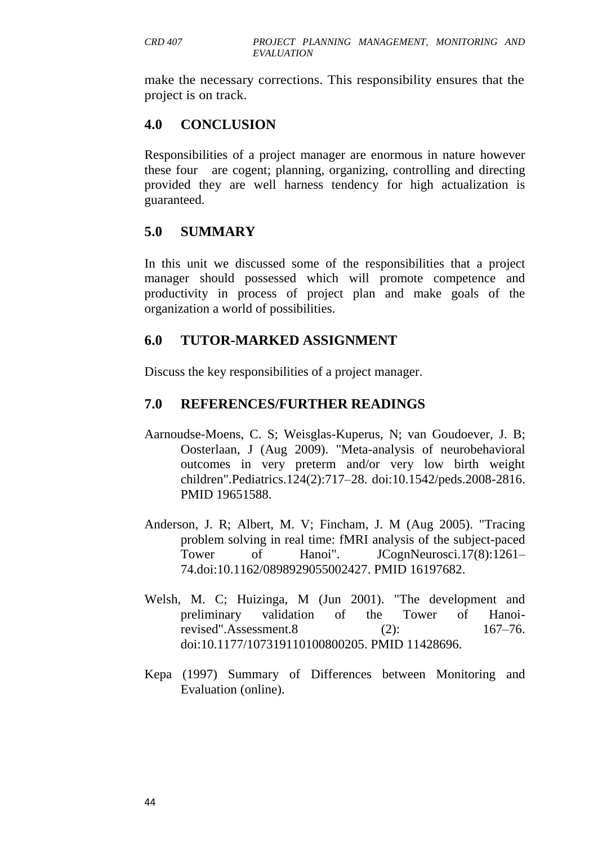make the necessary corrections. This responsibility ensures that the project is on track.

## **4.0 CONCLUSION**

Responsibilities of a project manager are enormous in nature however these four are cogent; planning, organizing, controlling and directing provided they are well harness tendency for high actualization is guaranteed.

### **5.0 SUMMARY**

In this unit we discussed some of the responsibilities that a project manager should possessed which will promote competence and productivity in process of project plan and make goals of the organization a world of possibilities.

### **6.0 TUTOR-MARKED ASSIGNMENT**

Discuss the key responsibilities of a project manager.

### **7.0 REFERENCES/FURTHER READINGS**

- Aarnoudse-Moens, C. S; Weisglas-Kuperus, N; van Goudoever, J. B; Oosterlaan, J (Aug 2009). "Meta-analysis of neurobehavioral outcomes in very preterm and/or very low birth weight children".Pediatrics.124(2):717–28. [doi:](https://en.wikipedia.org/wiki/Digital_object_identifier)[10.1542/peds.2008-2816.](https://dx.doi.org/10.1542%2Fpeds.2008-2816) [PMID](https://en.wikipedia.org/wiki/PubMed_Identifier) [19651588.](https://www.ncbi.nlm.nih.gov/pubmed/19651588)
- Anderson, J. R; Albert, M. V; Fincham, J. M (Aug 2005). "Tracing problem solving in real time: fMRI analysis of the subject-paced Tower of Hanoi". JCognNeurosci.17(8):1261– 74[.doi](https://en.wikipedia.org/wiki/Digital_object_identifier)[:10.1162/0898929055002427.](https://dx.doi.org/10.1162%2F0898929055002427) [PMID](https://en.wikipedia.org/wiki/PubMed_Identifier) [16197682.](https://www.ncbi.nlm.nih.gov/pubmed/16197682)
- Welsh, M. C; Huizinga, M (Jun 2001). "The development and preliminary validation of the Tower of Hanoirevised".Assessment.8 (2): 167–76. [doi:](https://en.wikipedia.org/wiki/Digital_object_identifier)[10.1177/107319110100800205.](https://dx.doi.org/10.1177%2F107319110100800205) [PMID](https://en.wikipedia.org/wiki/PubMed_Identifier) [11428696.](https://www.ncbi.nlm.nih.gov/pubmed/11428696)
- Kepa (1997) Summary of Differences between Monitoring and Evaluation (online).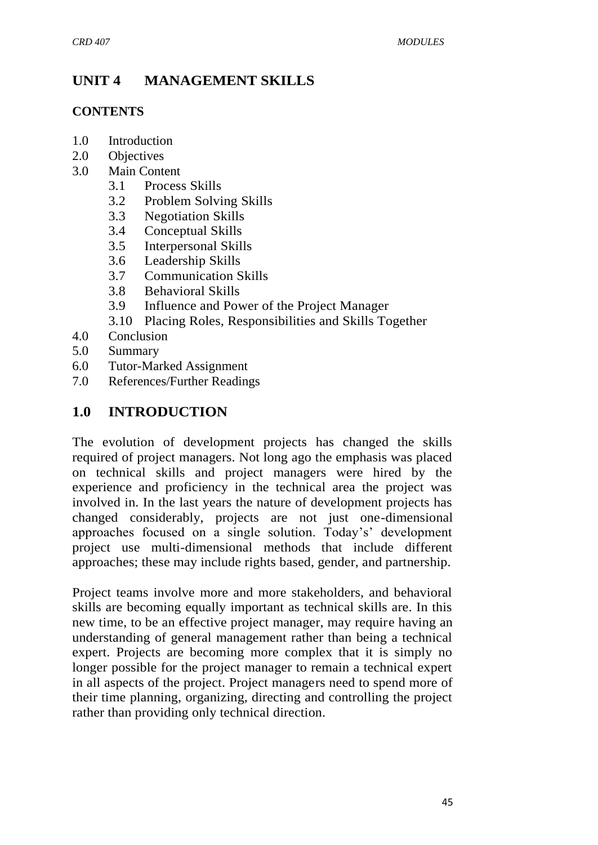# **UNIT 4 MANAGEMENT SKILLS**

#### **CONTENTS**

- 1.0 Introduction
- 2.0 Objectives
- 3.0 Main Content
	- 3.1 Process Skills
	- 3.2 Problem Solving Skills
	- 3.3 Negotiation Skills
	- 3.4 Conceptual Skills
	- 3.5 Interpersonal Skills
	- 3.6 Leadership Skills
	- 3.7 Communication Skills
	- 3.8 Behavioral Skills
	- 3.9 Influence and Power of the Project Manager
	- 3.10 Placing Roles, Responsibilities and Skills Together
- 4.0 Conclusion
- 5.0 Summary
- 6.0 Tutor-Marked Assignment
- 7.0 References/Further Readings

## **1.0 INTRODUCTION**

The evolution of development projects has changed the skills required of project managers. Not long ago the emphasis was placed on technical skills and project managers were hired by the experience and proficiency in the technical area the project was involved in. In the last years the nature of development projects has changed considerably, projects are not just one-dimensional approaches focused on a single solution. Today's' development project use multi-dimensional methods that include different approaches; these may include rights based, gender, and partnership.

Project teams involve more and more stakeholders, and behavioral skills are becoming equally important as technical skills are. In this new time, to be an effective project manager, may require having an understanding of general management rather than being a technical expert. Projects are becoming more complex that it is simply no longer possible for the project manager to remain a technical expert in all aspects of the project. Project managers need to spend more of their time planning, organizing, directing and controlling the project rather than providing only technical direction.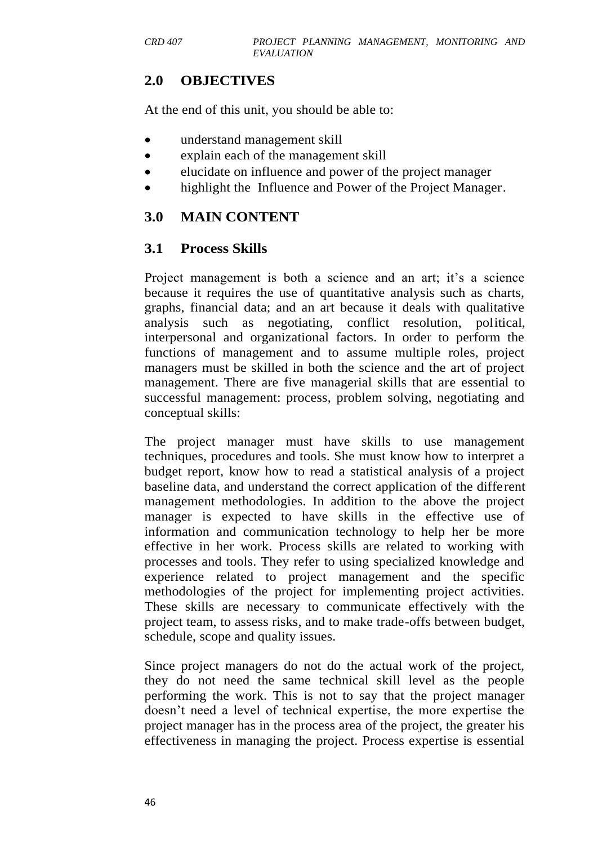## **2.0 OBJECTIVES**

At the end of this unit, you should be able to:

- understand management skill
- explain each of the management skill
- elucidate on influence and power of the project manager
- highlight the Influence and Power of the Project Manager.

## **3.0 MAIN CONTENT**

### **3.1 Process Skills**

Project management is both a science and an art; it's a science because it requires the use of quantitative analysis such as charts, graphs, financial data; and an art because it deals with qualitative analysis such as negotiating, conflict resolution, political, interpersonal and organizational factors. In order to perform the functions of management and to assume multiple roles, project managers must be skilled in both the science and the art of project management. There are five managerial skills that are essential to successful management: process, problem solving, negotiating and conceptual skills:

The project manager must have skills to use management techniques, procedures and tools. She must know how to interpret a budget report, know how to read a statistical analysis of a project baseline data, and understand the correct application of the different management methodologies. In addition to the above the project manager is expected to have skills in the effective use of information and communication technology to help her be more effective in her work. Process skills are related to working with processes and tools. They refer to using specialized knowledge and experience related to project management and the specific methodologies of the project for implementing project activities. These skills are necessary to communicate effectively with the project team, to assess risks, and to make trade-offs between budget, schedule, scope and quality issues.

Since project managers do not do the actual work of the project, they do not need the same technical skill level as the people performing the work. This is not to say that the project manager doesn't need a level of technical expertise, the more expertise the project manager has in the process area of the project, the greater his effectiveness in managing the project. Process expertise is essential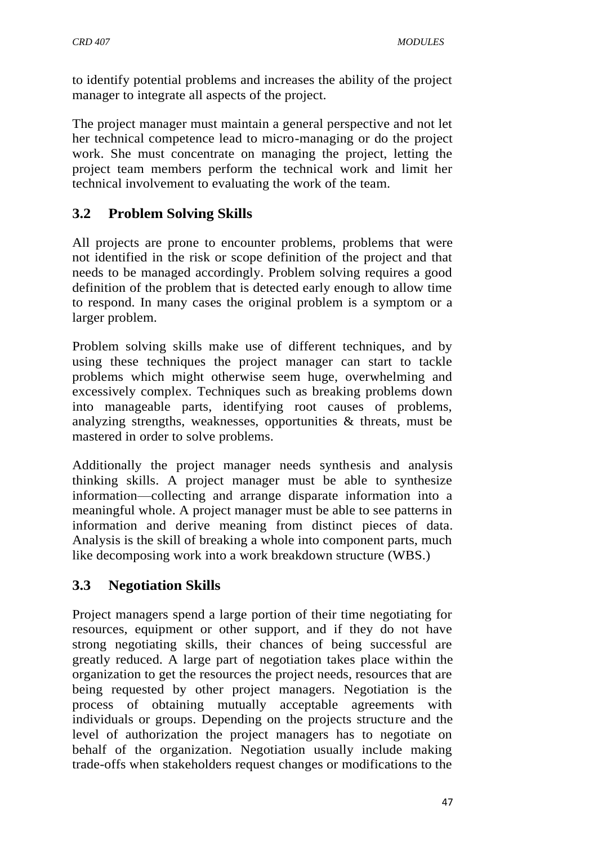to identify potential problems and increases the ability of the project manager to integrate all aspects of the project.

The project manager must maintain a general perspective and not let her technical competence lead to micro-managing or do the project work. She must concentrate on managing the project, letting the project team members perform the technical work and limit her technical involvement to evaluating the work of the team.

# **3.2 Problem Solving Skills**

All projects are prone to encounter problems, problems that were not identified in the risk or scope definition of the project and that needs to be managed accordingly. Problem solving requires a good definition of the problem that is detected early enough to allow time to respond. In many cases the original problem is a symptom or a larger problem.

Problem solving skills make use of different techniques, and by using these techniques the project manager can start to tackle problems which might otherwise seem huge, overwhelming and excessively complex. Techniques such as breaking problems down into manageable parts, identifying root causes of problems, analyzing strengths, weaknesses, opportunities & threats, must be mastered in order to solve problems.

Additionally the project manager needs synthesis and analysis thinking skills. A project manager must be able to synthesize information—collecting and arrange disparate information into a meaningful whole. A project manager must be able to see patterns in information and derive meaning from distinct pieces of data. Analysis is the skill of breaking a whole into component parts, much like decomposing work into a work breakdown structure (WBS.)

## **3.3 Negotiation Skills**

Project managers spend a large portion of their time negotiating for resources, equipment or other support, and if they do not have strong negotiating skills, their chances of being successful are greatly reduced. A large part of negotiation takes place within the organization to get the resources the project needs, resources that are being requested by other project managers. Negotiation is the process of obtaining mutually acceptable agreements with individuals or groups. Depending on the projects structure and the level of authorization the project managers has to negotiate on behalf of the organization. Negotiation usually include making trade-offs when stakeholders request changes or modifications to the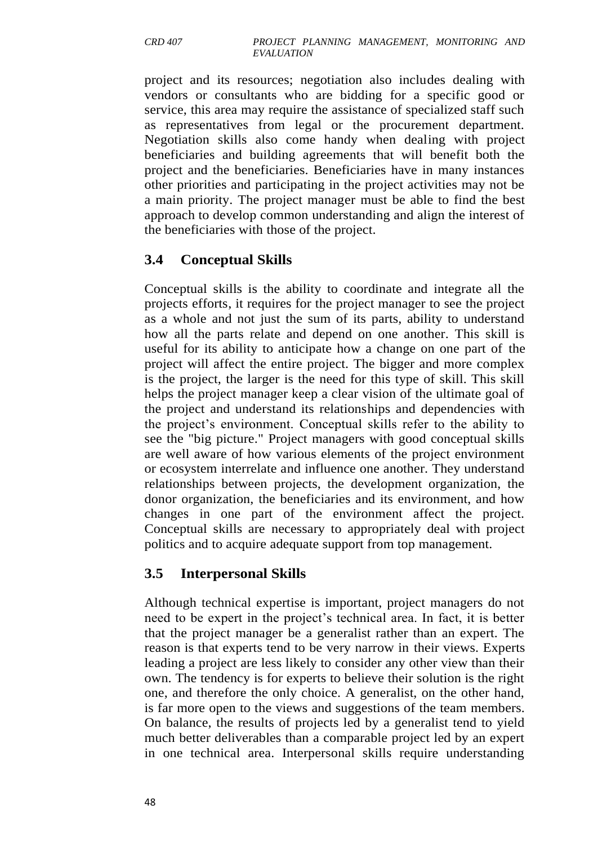project and its resources; negotiation also includes dealing with vendors or consultants who are bidding for a specific good or service, this area may require the assistance of specialized staff such as representatives from legal or the procurement department. Negotiation skills also come handy when dealing with project beneficiaries and building agreements that will benefit both the project and the beneficiaries. Beneficiaries have in many instances other priorities and participating in the project activities may not be a main priority. The project manager must be able to find the best approach to develop common understanding and align the interest of the beneficiaries with those of the project.

## **3.4 Conceptual Skills**

Conceptual skills is the ability to coordinate and integrate all the projects efforts, it requires for the project manager to see the project as a whole and not just the sum of its parts, ability to understand how all the parts relate and depend on one another. This skill is useful for its ability to anticipate how a change on one part of the project will affect the entire project. The bigger and more complex is the project, the larger is the need for this type of skill. This skill helps the project manager keep a clear vision of the ultimate goal of the project and understand its relationships and dependencies with the project's environment. Conceptual skills refer to the ability to see the "big picture." Project managers with good conceptual skills are well aware of how various elements of the project environment or ecosystem interrelate and influence one another. They understand relationships between projects, the development organization, the donor organization, the beneficiaries and its environment, and how changes in one part of the environment affect the project. Conceptual skills are necessary to appropriately deal with project politics and to acquire adequate support from top management.

### **3.5 Interpersonal Skills**

Although technical expertise is important, project managers do not need to be expert in the project's technical area. In fact, it is better that the project manager be a generalist rather than an expert. The reason is that experts tend to be very narrow in their views. Experts leading a project are less likely to consider any other view than their own. The tendency is for experts to believe their solution is the right one, and therefore the only choice. A generalist, on the other hand, is far more open to the views and suggestions of the team members. On balance, the results of projects led by a generalist tend to yield much better deliverables than a comparable project led by an expert in one technical area. Interpersonal skills require understanding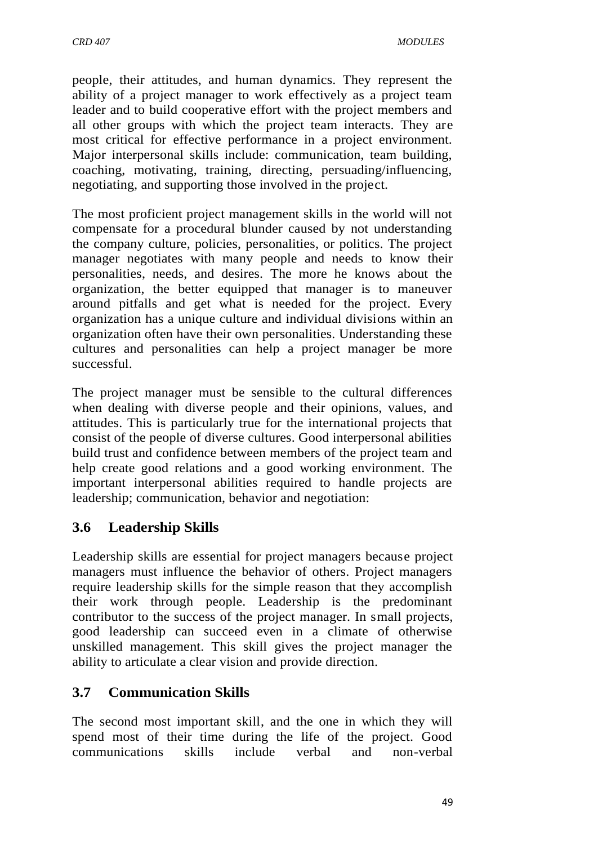people, their attitudes, and human dynamics. They represent the ability of a project manager to work effectively as a project team leader and to build cooperative effort with the project members and all other groups with which the project team interacts. They are most critical for effective performance in a project environment. Major interpersonal skills include: communication, team building, coaching, motivating, training, directing, persuading/influencing, negotiating, and supporting those involved in the project.

The most proficient project management skills in the world will not compensate for a procedural blunder caused by not understanding the company culture, policies, personalities, or politics. The project manager negotiates with many people and needs to know their personalities, needs, and desires. The more he knows about the organization, the better equipped that manager is to maneuver around pitfalls and get what is needed for the project. Every organization has a unique culture and individual divisions within an organization often have their own personalities. Understanding these cultures and personalities can help a project manager be more successful.

The project manager must be sensible to the cultural differences when dealing with diverse people and their opinions, values, and attitudes. This is particularly true for the international projects that consist of the people of diverse cultures. Good interpersonal abilities build trust and confidence between members of the project team and help create good relations and a good working environment. The important interpersonal abilities required to handle projects are leadership; communication, behavior and negotiation:

## **3.6 Leadership Skills**

Leadership skills are essential for project managers because project managers must influence the behavior of others. Project managers require leadership skills for the simple reason that they accomplish their work through people. Leadership is the predominant contributor to the success of the project manager. In small projects, good leadership can succeed even in a climate of otherwise unskilled management. This skill gives the project manager the ability to articulate a clear vision and provide direction.

## **3.7 Communication Skills**

The second most important skill, and the one in which they will spend most of their time during the life of the project. Good communications skills include verbal and non-verbal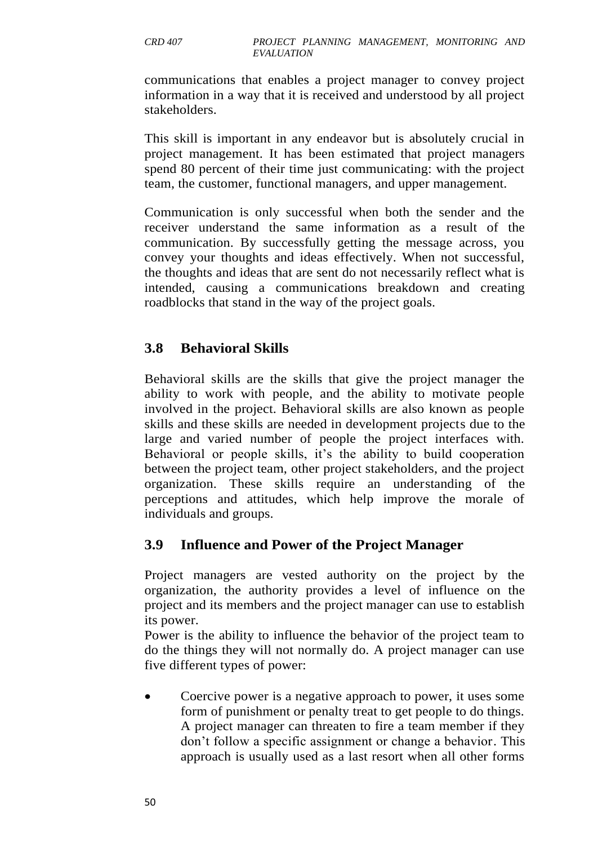communications that enables a project manager to convey project information in a way that it is received and understood by all project stakeholders.

This skill is important in any endeavor but is absolutely crucial in project management. It has been estimated that project managers spend 80 percent of their time just communicating: with the project team, the customer, functional managers, and upper management.

Communication is only successful when both the sender and the receiver understand the same information as a result of the communication. By successfully getting the message across, you convey your thoughts and ideas effectively. When not successful, the thoughts and ideas that are sent do not necessarily reflect what is intended, causing a communications breakdown and creating roadblocks that stand in the way of the project goals.

# **3.8 Behavioral Skills**

Behavioral skills are the skills that give the project manager the ability to work with people, and the ability to motivate people involved in the project. Behavioral skills are also known as people skills and these skills are needed in development projects due to the large and varied number of people the project interfaces with. Behavioral or people skills, it's the ability to build cooperation between the project team, other project stakeholders, and the project organization. These skills require an understanding of the perceptions and attitudes, which help improve the morale of individuals and groups.

## **3.9 Influence and Power of the Project Manager**

Project managers are vested authority on the project by the organization, the authority provides a level of influence on the project and its members and the project manager can use to establish its power.

Power is the ability to influence the behavior of the project team to do the things they will not normally do. A project manager can use five different types of power:

 Coercive power is a negative approach to power, it uses some form of punishment or penalty treat to get people to do things. A project manager can threaten to fire a team member if they don't follow a specific assignment or change a behavior. This approach is usually used as a last resort when all other forms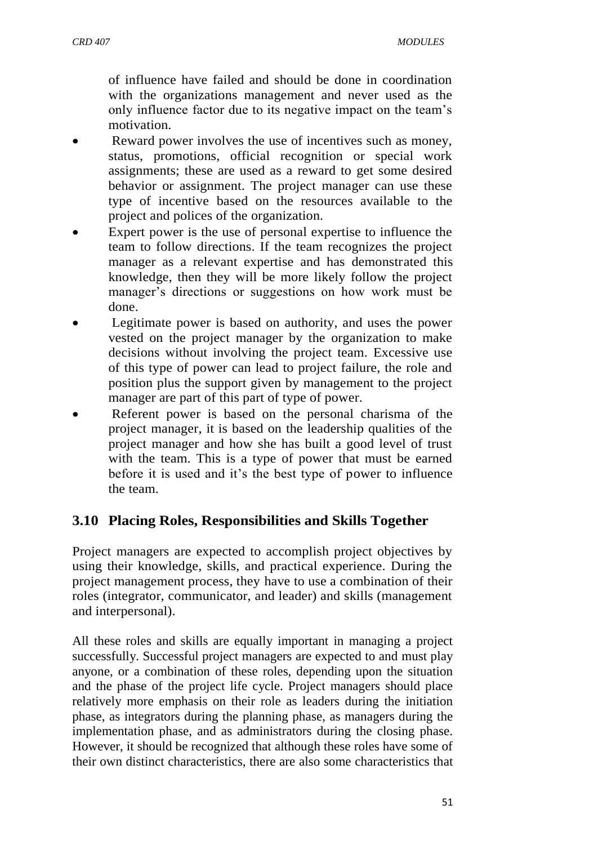of influence have failed and should be done in coordination with the organizations management and never used as the only influence factor due to its negative impact on the team's motivation.

- Reward power involves the use of incentives such as money, status, promotions, official recognition or special work assignments; these are used as a reward to get some desired behavior or assignment. The project manager can use these type of incentive based on the resources available to the project and polices of the organization.
- Expert power is the use of personal expertise to influence the team to follow directions. If the team recognizes the project manager as a relevant expertise and has demonstrated this knowledge, then they will be more likely follow the project manager's directions or suggestions on how work must be done.
- Legitimate power is based on authority, and uses the power vested on the project manager by the organization to make decisions without involving the project team. Excessive use of this type of power can lead to project failure, the role and position plus the support given by management to the project manager are part of this part of type of power.
- Referent power is based on the personal charisma of the project manager, it is based on the leadership qualities of the project manager and how she has built a good level of trust with the team. This is a type of power that must be earned before it is used and it's the best type of power to influence the team.

### **3.10 Placing Roles, Responsibilities and Skills Together**

Project managers are expected to accomplish project objectives by using their knowledge, skills, and practical experience. During the project management process, they have to use a combination of their roles (integrator, communicator, and leader) and skills (management and interpersonal).

All these roles and skills are equally important in managing a project successfully. Successful project managers are expected to and must play anyone, or a combination of these roles, depending upon the situation and the phase of the project life cycle. Project managers should place relatively more emphasis on their role as leaders during the initiation phase, as integrators during the planning phase, as managers during the implementation phase, and as administrators during the closing phase. However, it should be recognized that although these roles have some of their own distinct characteristics, there are also some characteristics that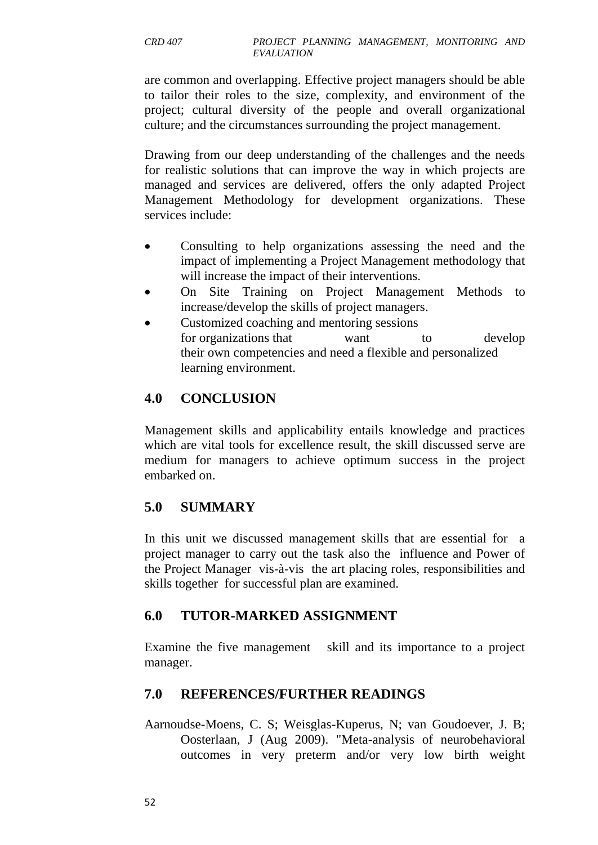are common and overlapping. Effective project managers should be able to tailor their roles to the size, complexity, and environment of the project; cultural diversity of the people and overall organizational culture; and the circumstances surrounding the project management.

Drawing from our deep understanding of the challenges and the needs for realistic solutions that can improve the way in which projects are managed and services are delivered, offers the only adapted Project Management Methodology for development organizations. These services include:

- Consulting to help organizations assessing the need and the impact of implementing a Project Management methodology that will increase the impact of their interventions.
- On Site Training on Project Management Methods to increase/develop the skills of project managers.
- Customized coaching and mentoring sessions for organizations that want to develop their own competencies and need a flexible and personalized learning environment.

# **4.0 CONCLUSION**

Management skills and applicability entails knowledge and practices which are vital tools for excellence result, the skill discussed serve are medium for managers to achieve optimum success in the project embarked on.

# **5.0 SUMMARY**

In this unit we discussed management skills that are essential for a project manager to carry out the task also the influence and Power of the Project Manager vis-à-vis the art placing roles, responsibilities and skills together for successful plan are examined.

# **6.0 TUTOR-MARKED ASSIGNMENT**

Examine the five management skill and its importance to a project manager.

## **7.0 REFERENCES/FURTHER READINGS**

Aarnoudse-Moens, C. S; Weisglas-Kuperus, N; van Goudoever, J. B; Oosterlaan, J (Aug 2009). "Meta-analysis of neurobehavioral outcomes in very preterm and/or very low birth weight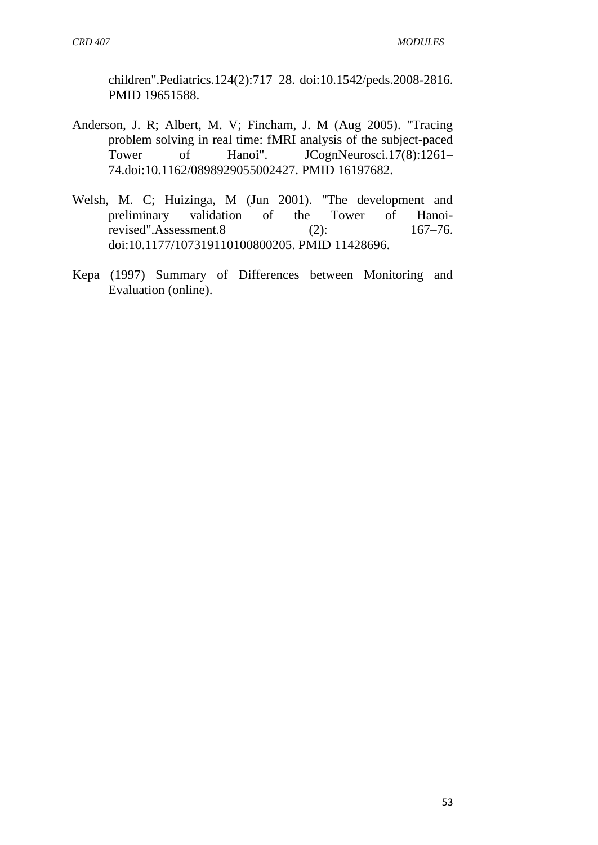children".Pediatrics.124(2):717–28. [doi:](https://en.wikipedia.org/wiki/Digital_object_identifier)[10.1542/peds.2008-2816.](https://dx.doi.org/10.1542%2Fpeds.2008-2816) [PMID](https://en.wikipedia.org/wiki/PubMed_Identifier) [19651588.](https://www.ncbi.nlm.nih.gov/pubmed/19651588)

- Anderson, J. R; Albert, M. V; Fincham, J. M (Aug 2005). "Tracing problem solving in real time: fMRI analysis of the subject-paced Tower of Hanoi". JCognNeurosci.17(8):1261-74[.doi](https://en.wikipedia.org/wiki/Digital_object_identifier)[:10.1162/0898929055002427.](https://dx.doi.org/10.1162%2F0898929055002427) [PMID](https://en.wikipedia.org/wiki/PubMed_Identifier) [16197682.](https://www.ncbi.nlm.nih.gov/pubmed/16197682)
- Welsh, M. C; Huizinga, M (Jun 2001). "The development and preliminary validation of the Tower of Hanoirevised".Assessment.8 (2): 167–76. [doi:](https://en.wikipedia.org/wiki/Digital_object_identifier)[10.1177/107319110100800205.](https://dx.doi.org/10.1177%2F107319110100800205) [PMID](https://en.wikipedia.org/wiki/PubMed_Identifier) [11428696.](https://www.ncbi.nlm.nih.gov/pubmed/11428696)
- Kepa (1997) Summary of Differences between Monitoring and Evaluation (online).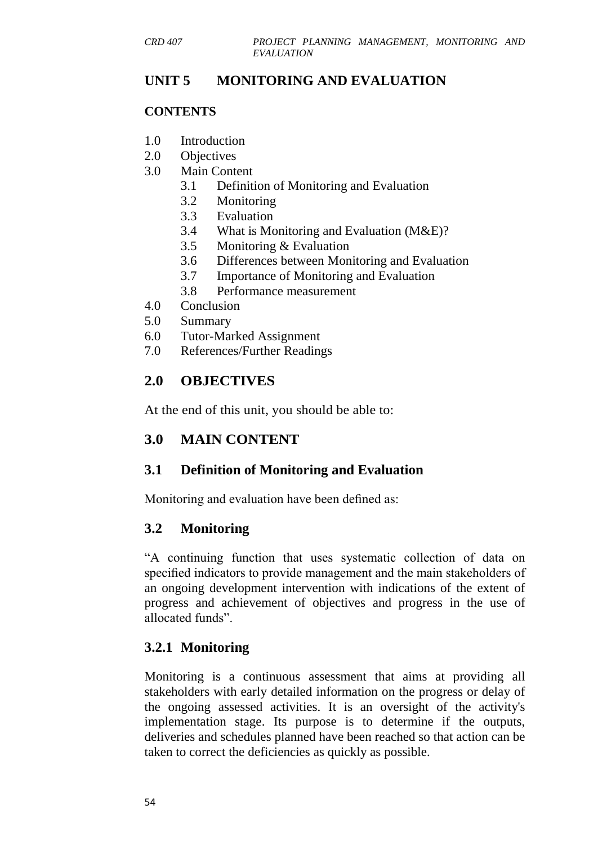### **UNIT 5 MONITORING AND EVALUATION**

#### **CONTENTS**

- 1.0 Introduction
- 2.0 Objectives
- 3.0 Main Content
	- 3.1 Definition of Monitoring and Evaluation
	- 3.2 Monitoring
	- 3.3 Evaluation
	- 3.4 What is Monitoring and Evaluation (M&E)?
	- 3.5 Monitoring & Evaluation
	- 3.6 Differences between Monitoring and Evaluation
	- 3.7 Importance of Monitoring and Evaluation
	- 3.8 Performance measurement
- 4.0 Conclusion
- 5.0 Summary
- 6.0 Tutor-Marked Assignment
- 7.0 References/Further Readings

## **2.0 OBJECTIVES**

At the end of this unit, you should be able to:

### **3.0 MAIN CONTENT**

### **3.1 Definition of Monitoring and Evaluation**

Monitoring and evaluation have been defined as:

### **3.2 Monitoring**

―A continuing function that uses systematic collection of data on specified indicators to provide management and the main stakeholders of an ongoing development intervention with indications of the extent of progress and achievement of objectives and progress in the use of allocated funds".

### **3.2.1 Monitoring**

Monitoring is a continuous assessment that aims at providing all stakeholders with early detailed information on the progress or delay of the ongoing assessed activities. It is an oversight of the activity's implementation stage. Its purpose is to determine if the outputs, deliveries and schedules planned have been reached so that action can be taken to correct the deficiencies as quickly as possible.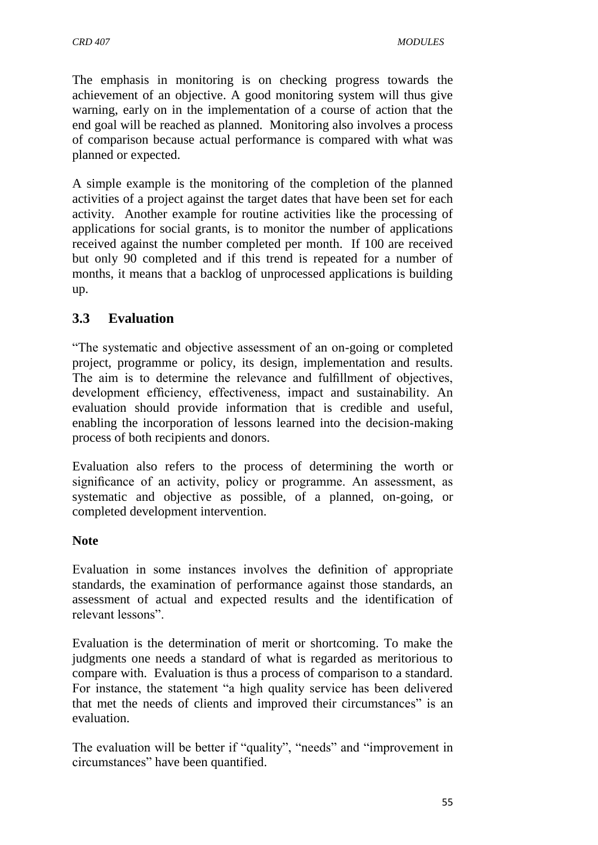The emphasis in monitoring is on checking progress towards the achievement of an objective. A good monitoring system will thus give warning, early on in the implementation of a course of action that the end goal will be reached as planned. Monitoring also involves a process of comparison because actual performance is compared with what was planned or expected.

A simple example is the monitoring of the completion of the planned activities of a project against the target dates that have been set for each activity. Another example for routine activities like the processing of applications for social grants, is to monitor the number of applications received against the number completed per month. If 100 are received but only 90 completed and if this trend is repeated for a number of months, it means that a backlog of unprocessed applications is building up.

## **3.3 Evaluation**

―The systematic and objective assessment of an on-going or completed project, programme or policy, its design, implementation and results. The aim is to determine the relevance and fulfillment of objectives, development efficiency, effectiveness, impact and sustainability. An evaluation should provide information that is credible and useful, enabling the incorporation of lessons learned into the decision-making process of both recipients and donors.

Evaluation also refers to the process of determining the worth or significance of an activity, policy or programme. An assessment, as systematic and objective as possible, of a planned, on-going, or completed development intervention.

#### **Note**

Evaluation in some instances involves the definition of appropriate standards, the examination of performance against those standards, an assessment of actual and expected results and the identification of relevant lessons".

Evaluation is the determination of merit or shortcoming. To make the judgments one needs a standard of what is regarded as meritorious to compare with. Evaluation is thus a process of comparison to a standard. For instance, the statement "a high quality service has been delivered that met the needs of clients and improved their circumstances" is an evaluation.

The evaluation will be better if "quality", "needs" and "improvement in circumstances" have been quantified.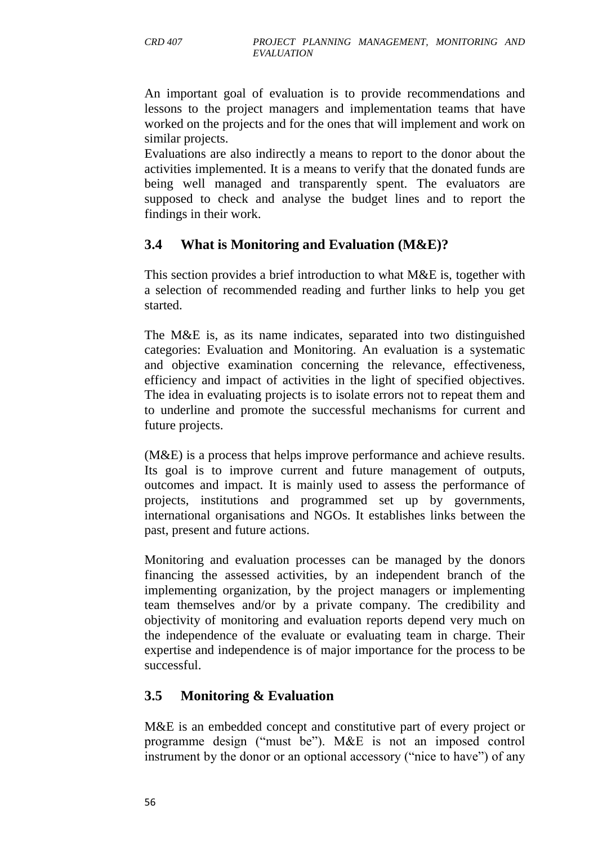An important goal of evaluation is to provide recommendations and lessons to the project managers and implementation teams that have worked on the projects and for the ones that will implement and work on similar projects.

Evaluations are also indirectly a means to report to the donor about the activities implemented. It is a means to verify that the donated funds are being well managed and transparently spent. The evaluators are supposed to check and analyse the budget lines and to report the findings in their work.

## **3.4 What is Monitoring and Evaluation (M&E)?**

This section provides a brief introduction to what M&E is, together with a selection of recommended reading and further links to help you get started.

The M&E is, as its name indicates, separated into two distinguished categories: Evaluation and Monitoring. An evaluation is a systematic and objective examination concerning the relevance, effectiveness, efficiency and impact of activities in the light of specified objectives. The idea in evaluating projects is to isolate errors not to repeat them and to underline and promote the successful mechanisms for current and future projects.

(M&E) is a process that helps improve performance and achieve results. Its goal is to improve current and future management of outputs, outcomes and impact. It is mainly used to assess the performance of projects, institutions and programmed set up by governments, [international organisations](https://en.wikipedia.org/wiki/International_organisations) and [NGOs.](https://en.wikipedia.org/wiki/Non-governmental_organizations) It establishes links between the past, present and future actions.

Monitoring and evaluation processes can be managed by the donors financing the assessed activities, by an independent branch of the implementing organization, by the project managers or implementing team themselves and/or by a private company. The credibility and objectivity of monitoring and evaluation reports depend very much on the independence of the evaluate or evaluating team in charge. Their expertise and independence is of major importance for the process to be successful.

## **3.5 Monitoring & Evaluation**

M&E is an embedded concept and constitutive part of every project or programme design ("must be"). M&E is not an imposed control instrument by the donor or an optional accessory ("nice to have") of any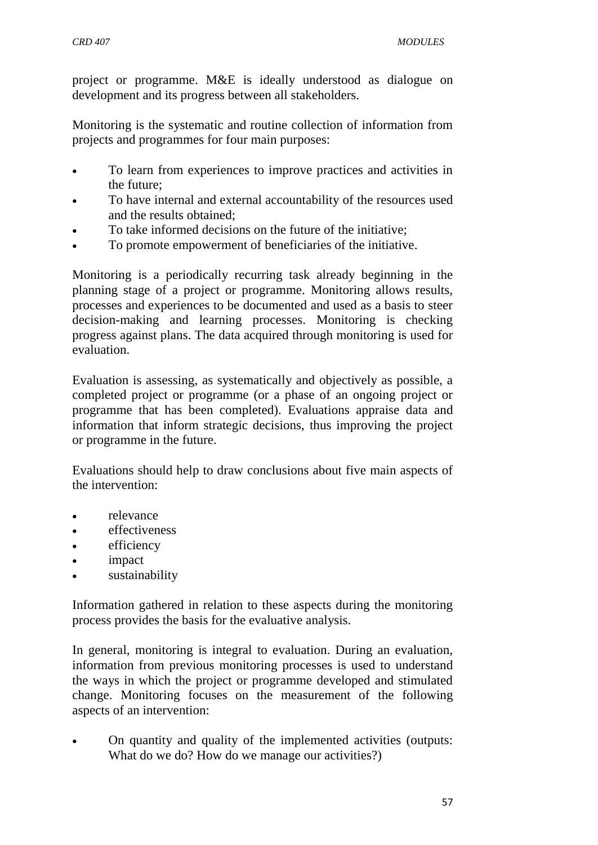project or programme. M&E is ideally understood as dialogue on development and its progress between all stakeholders.

Monitoring is the systematic and routine collection of information from projects and programmes for four main purposes:

- To learn from experiences to improve practices and activities in the future;
- To have internal and external accountability of the resources used and the results obtained;
- To take informed decisions on the future of the initiative;
- To promote empowerment of beneficiaries of the initiative.

Monitoring is a periodically recurring task already beginning in the planning stage of a project or programme. Monitoring allows results, processes and experiences to be documented and used as a basis to steer decision-making and learning processes. Monitoring is checking progress against plans. The data acquired through monitoring is used for evaluation.

Evaluation is assessing, as systematically and objectively as possible, a completed project or programme (or a phase of an ongoing project or programme that has been completed). Evaluations appraise data and information that inform strategic decisions, thus improving the project or programme in the future.

Evaluations should help to draw conclusions about five main aspects of the intervention:

- relevance
- effectiveness
- efficiency
- impact
- sustainability

Information gathered in relation to these aspects during the monitoring process provides the basis for the evaluative analysis.

In general, monitoring is integral to evaluation. During an evaluation, information from previous monitoring processes is used to understand the ways in which the project or programme developed and stimulated change. Monitoring focuses on the measurement of the following aspects of an intervention:

 On quantity and quality of the implemented activities (outputs: What do we do? How do we manage our activities?)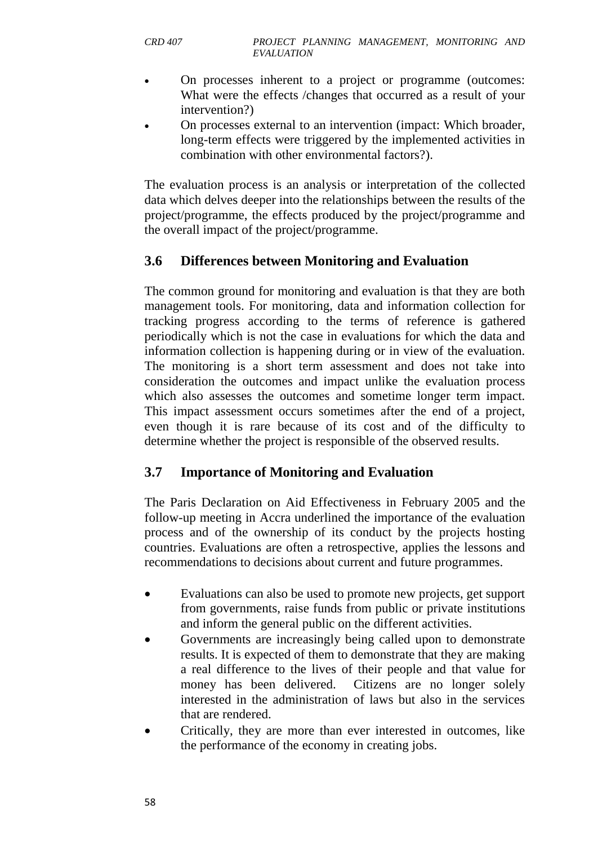- On processes inherent to a project or programme (outcomes: What were the effects /changes that occurred as a result of your intervention?)
- On processes external to an intervention (impact: Which broader, long-term effects were triggered by the implemented activities in combination with other environmental factors?).

The evaluation process is an analysis or interpretation of the collected data which delves deeper into the relationships between the results of the project/programme, the effects produced by the project/programme and the overall impact of the project/programme.

## **3.6 Differences between Monitoring and Evaluation**

The common ground for monitoring and evaluation is that they are both management tools. For monitoring, data and information collection for tracking progress according to the [terms of reference](https://en.wikipedia.org/wiki/Terms_of_reference) is gathered periodically which is not the case in evaluations for which the data and information collection is happening during or in view of the evaluation. The monitoring is a short term assessment and does not take into consideration the outcomes and impact unlike the evaluation process which also assesses the outcomes and sometime longer term impact. This impact assessment occurs sometimes after the end of a project, even though it is rare because of its cost and of the difficulty to determine whether the project is responsible of the observed results.

### **3.7 Importance of Monitoring and Evaluation**

The [Paris Declaration on Aid Effectiveness](https://en.wikipedia.org/wiki/Aid_effectiveness) in February 2005 and the follow-up meeting in [Accra](https://en.wikipedia.org/wiki/Accra) underlined the importance of the evaluation process and of the ownership of its conduct by the projects hosting countries. Evaluations are often a retrospective, applies the lessons and recommendations to decisions about current and future programmes.

- Evaluations can also be used to promote new projects, get support from governments, raise funds from public or private institutions and inform the general public on the different activities.
- Governments are increasingly being called upon to demonstrate results. It is expected of them to demonstrate that they are making a real difference to the lives of their people and that value for money has been delivered. Citizens are no longer solely interested in the administration of laws but also in the services that are rendered.
- Critically, they are more than ever interested in outcomes, like the performance of the economy in creating jobs.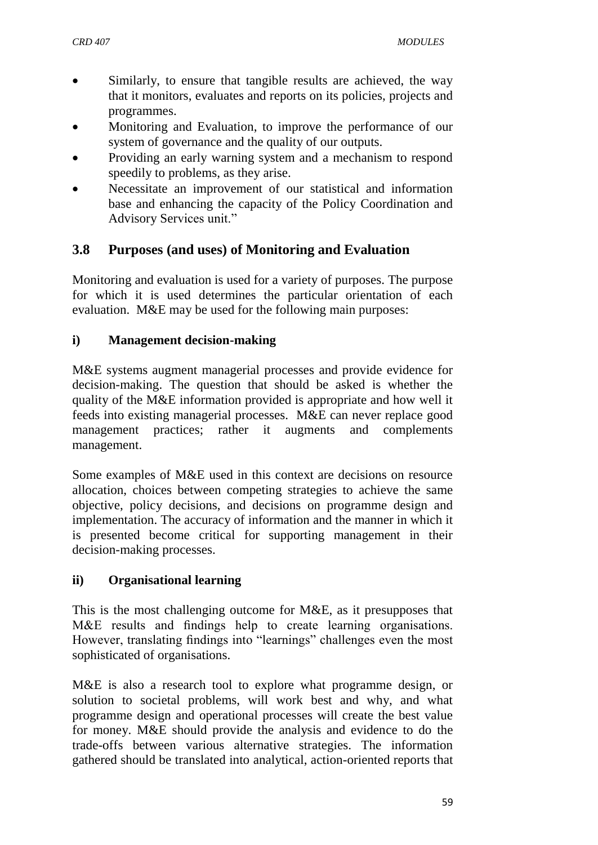- Similarly, to ensure that tangible results are achieved, the way that it monitors, evaluates and reports on its policies, projects and programmes.
- Monitoring and Evaluation, to improve the performance of our system of governance and the quality of our outputs.
- Providing an early warning system and a mechanism to respond speedily to problems, as they arise.
- Necessitate an improvement of our statistical and information base and enhancing the capacity of the Policy Coordination and Advisory Services unit."

## **3.8 Purposes (and uses) of Monitoring and Evaluation**

Monitoring and evaluation is used for a variety of purposes. The purpose for which it is used determines the particular orientation of each evaluation. M&E may be used for the following main purposes:

#### **i) Management decision-making**

M&E systems augment managerial processes and provide evidence for decision-making. The question that should be asked is whether the quality of the M&E information provided is appropriate and how well it feeds into existing managerial processes. M&E can never replace good management practices; rather it augments and complements management.

Some examples of M&E used in this context are decisions on resource allocation, choices between competing strategies to achieve the same objective, policy decisions, and decisions on programme design and implementation. The accuracy of information and the manner in which it is presented become critical for supporting management in their decision-making processes.

### **ii) Organisational learning**

This is the most challenging outcome for M&E, as it presupposes that M&E results and findings help to create learning organisations. However, translating findings into "learnings" challenges even the most sophisticated of organisations.

M&E is also a research tool to explore what programme design, or solution to societal problems, will work best and why, and what programme design and operational processes will create the best value for money. M&E should provide the analysis and evidence to do the trade-offs between various alternative strategies. The information gathered should be translated into analytical, action-oriented reports that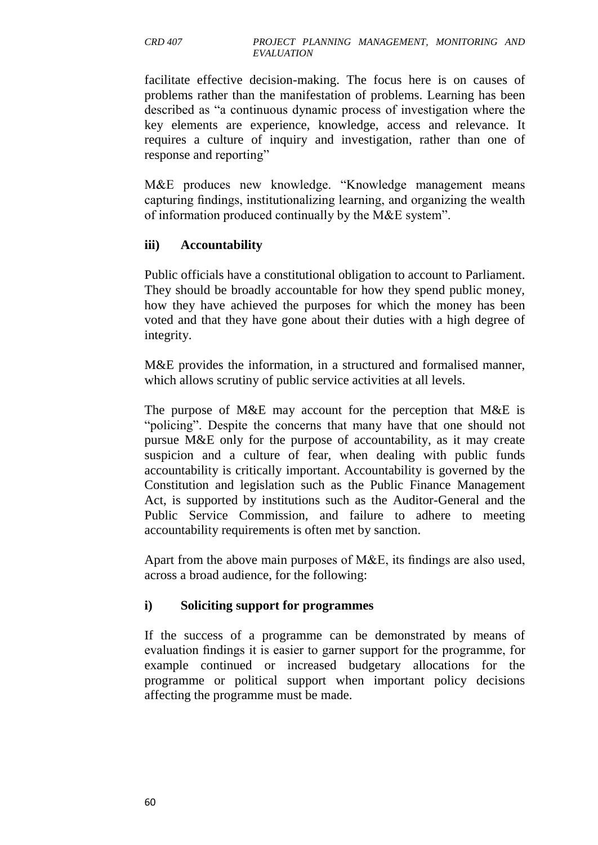facilitate effective decision-making. The focus here is on causes of problems rather than the manifestation of problems. Learning has been described as "a continuous dynamic process of investigation where the key elements are experience, knowledge, access and relevance. It requires a culture of inquiry and investigation, rather than one of response and reporting"

M&E produces new knowledge. "Knowledge management means capturing findings, institutionalizing learning, and organizing the wealth of information produced continually by the M&E system".

### **iii) Accountability**

Public officials have a constitutional obligation to account to Parliament. They should be broadly accountable for how they spend public money, how they have achieved the purposes for which the money has been voted and that they have gone about their duties with a high degree of integrity.

M&E provides the information, in a structured and formalised manner, which allows scrutiny of public service activities at all levels.

The purpose of M&E may account for the perception that M&E is "policing". Despite the concerns that many have that one should not pursue M&E only for the purpose of accountability, as it may create suspicion and a culture of fear, when dealing with public funds accountability is critically important. Accountability is governed by the Constitution and legislation such as the Public Finance Management Act, is supported by institutions such as the Auditor-General and the Public Service Commission, and failure to adhere to meeting accountability requirements is often met by sanction.

Apart from the above main purposes of M&E, its findings are also used, across a broad audience, for the following:

#### **i) Soliciting support for programmes**

If the success of a programme can be demonstrated by means of evaluation findings it is easier to garner support for the programme, for example continued or increased budgetary allocations for the programme or political support when important policy decisions affecting the programme must be made.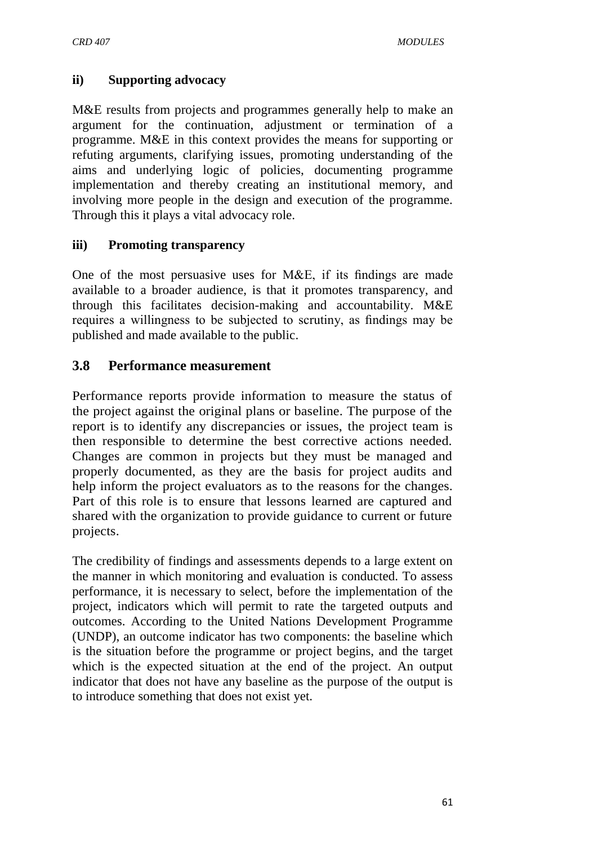#### **ii) Supporting advocacy**

M&E results from projects and programmes generally help to make an argument for the continuation, adjustment or termination of a programme. M&E in this context provides the means for supporting or refuting arguments, clarifying issues, promoting understanding of the aims and underlying logic of policies, documenting programme implementation and thereby creating an institutional memory, and involving more people in the design and execution of the programme. Through this it plays a vital advocacy role.

#### **iii) Promoting transparency**

One of the most persuasive uses for M&E, if its findings are made available to a broader audience, is that it promotes transparency, and through this facilitates decision-making and accountability. M&E requires a willingness to be subjected to scrutiny, as findings may be published and made available to the public.

## **3.8 Performance measurement**

Performance reports provide information to measure the status of the project against the original plans or baseline. The purpose of the report is to identify any discrepancies or issues, the project team is then responsible to determine the best corrective actions needed. Changes are common in projects but they must be managed and properly documented, as they are the basis for project audits and help inform the project evaluators as to the reasons for the changes. Part of this role is to ensure that lessons learned are captured and shared with the organization to provide guidance to current or future projects.

The credibility of findings and assessments depends to a large extent on the manner in which monitoring and evaluation is conducted. To assess performance, it is necessary to select, before the implementation of the project, indicators which will permit to rate the targeted outputs and outcomes. According to the [United Nations Development Programme](https://en.wikipedia.org/wiki/United_Nations_Development_Programme) (UNDP), an outcome indicator has two components: the baseline which is the situation before the programme or project begins, and the target which is the expected situation at the end of the project. An output indicator that does not have any baseline as the purpose of the output is to introduce something that does not exist yet.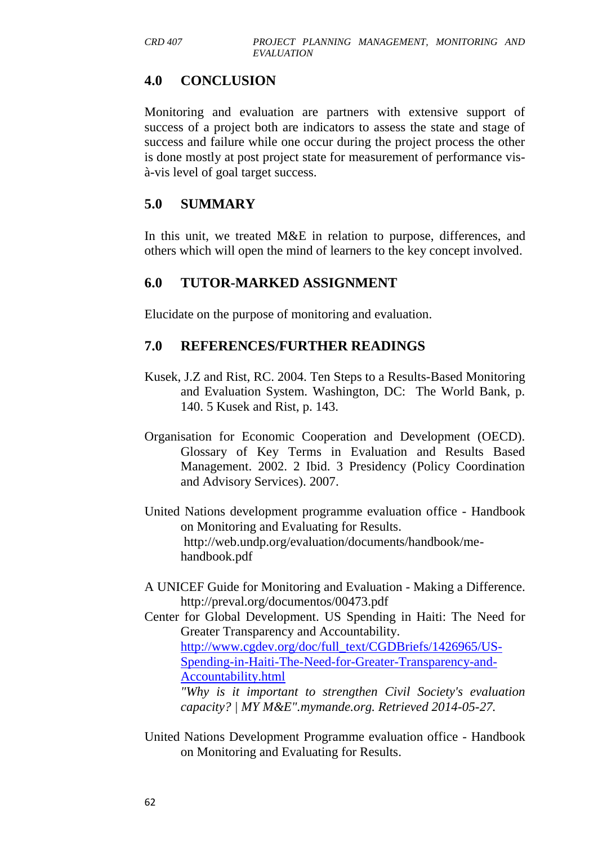## **4.0 CONCLUSION**

Monitoring and evaluation are partners with extensive support of success of a project both are indicators to assess the state and stage of success and failure while one occur during the project process the other is done mostly at post project state for measurement of performance visà-vis level of goal target success.

### **5.0 SUMMARY**

In this unit, we treated M&E in relation to purpose, differences, and others which will open the mind of learners to the key concept involved.

### **6.0 TUTOR-MARKED ASSIGNMENT**

Elucidate on the purpose of monitoring and evaluation.

### **7.0 REFERENCES/FURTHER READINGS**

- Kusek, J.Z and Rist, RC. 2004. Ten Steps to a Results-Based Monitoring and Evaluation System. Washington, DC: The World Bank, p. 140. 5 Kusek and Rist, p. 143.
- Organisation for Economic Cooperation and Development (OECD). Glossary of Key Terms in Evaluation and Results Based Management. 2002. 2 Ibid. 3 Presidency (Policy Coordination and Advisory Services). 2007.
- United Nations development programme evaluation office Handbook on Monitoring and Evaluating for Results. [http://web.undp.org/evaluation/documents/handbook/me](http://web.undp.org/evaluation/documents/handbook/me-handbook.pdf)[handbook.pdf](http://web.undp.org/evaluation/documents/handbook/me-handbook.pdf)
- A UNICEF Guide for Monitoring and Evaluation Making a Difference. <http://preval.org/documentos/00473.pdf>
- Center for Global Development. US Spending in Haiti: The Need for Greater Transparency and Accountability. [http://www.cgdev.org/doc/full\\_text/CGDBriefs/1426965/US-](http://www.cgdev.org/doc/full_text/CGDBriefs/1426965/US-Spending-in-Haiti-The-Need-for-Greater-Transparency-and-Accountability.html)[Spending-in-Haiti-The-Need-for-Greater-Transparency-and-](http://www.cgdev.org/doc/full_text/CGDBriefs/1426965/US-Spending-in-Haiti-The-Need-for-Greater-Transparency-and-Accountability.html)[Accountability.html](http://www.cgdev.org/doc/full_text/CGDBriefs/1426965/US-Spending-in-Haiti-The-Need-for-Greater-Transparency-and-Accountability.html)

*["Why is it important to strengthen Civil Society's evaluation](http://www.mymande.org/evalpartners/strengthen-civil-society)  [capacity? | MY M&E".](http://www.mymande.org/evalpartners/strengthen-civil-society)mymande.org. Retrieved 2014-05-27.*

United Nations Development Programme evaluation office - Handbook on Monitoring and Evaluating for Results.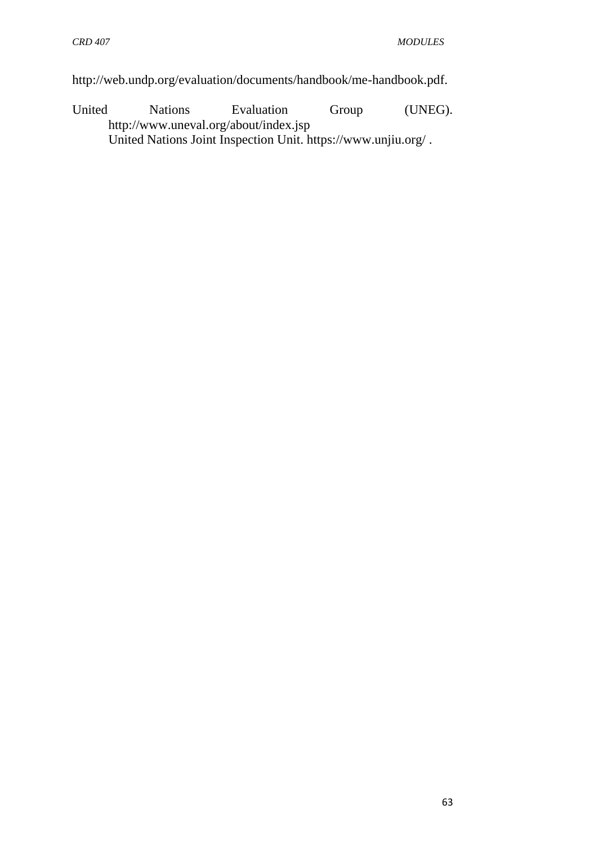[http://web.undp.org/evaluation/documents/handbook/me-handbook.pdf.](http://web.undp.org/evaluation/documents/handbook/me-handbook.pdf)

United Nations Evaluation Group (UNEG). <http://www.uneval.org/about/index.jsp> United Nations Joint Inspection Unit.<https://www.unjiu.org/> .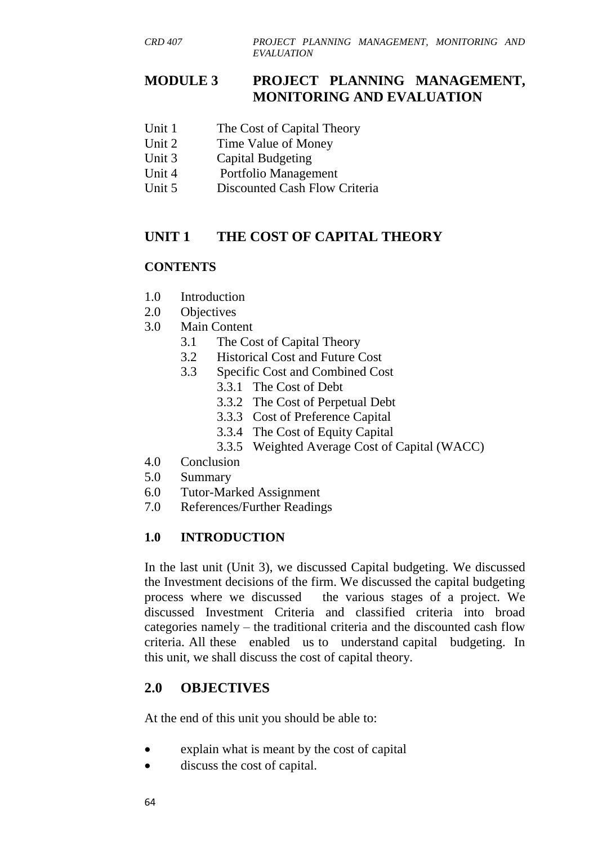### **MODULE 3 PROJECT PLANNING MANAGEMENT, MONITORING AND EVALUATION**

- Unit 1 The Cost of Capital Theory
- Unit 2 Time Value of Money
- Unit 3 Capital Budgeting
- Unit 4 Portfolio Management
- Unit 5 Discounted Cash Flow Criteria

## **UNIT 1 THE COST OF CAPITAL THEORY**

### **CONTENTS**

- 1.0 Introduction
- 2.0 Objectives
- 3.0 Main Content
	- 3.1 The Cost of Capital Theory
	- 3.2 Historical Cost and Future Cost
	- 3.3 Specific Cost and Combined Cost
		- 3.3.1 The Cost of Debt
		- 3.3.2 The Cost of Perpetual Debt
		- 3.3.3 Cost of Preference Capital
		- 3.3.4 The Cost of Equity Capital
		- 3.3.5 Weighted Average Cost of Capital (WACC)
- 4.0 Conclusion
- 5.0 Summary
- 6.0 Tutor-Marked Assignment
- 7.0 References/Further Readings

### **1.0 INTRODUCTION**

In the last unit (Unit 3), we discussed Capital budgeting. We discussed the Investment decisions of the firm. We discussed the capital budgeting process where we discussed the various stages of a project. We discussed Investment Criteria and classified criteria into broad categories namely – the traditional criteria and the discounted cash flow criteria. All these enabled us to understand capital budgeting. In this unit, we shall discuss the cost of capital theory.

## **2.0 OBJECTIVES**

At the end of this unit you should be able to:

- explain what is meant by the cost of capital
- discuss the cost of capital.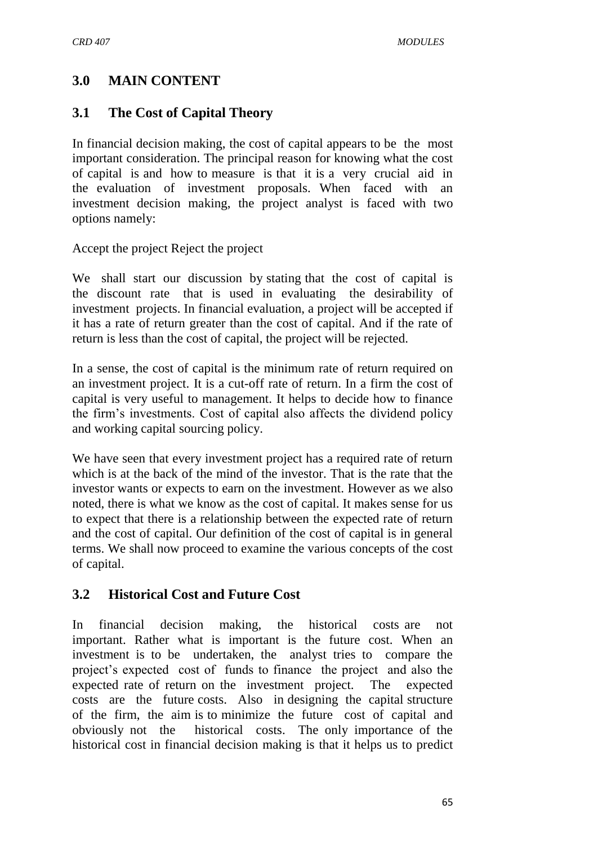## **3.0 MAIN CONTENT**

## **3.1 The Cost of Capital Theory**

In financial decision making, the cost of capital appears to be the most important consideration. The principal reason for knowing what the cost of capital is and how to measure is that it is a very crucial aid in the evaluation of investment proposals. When faced with an investment decision making, the project analyst is faced with two options namely:

Accept the project Reject the project

We shall start our discussion by stating that the cost of capital is the discount rate that is used in evaluating the desirability of investment projects. In financial evaluation, a project will be accepted if it has a rate of return greater than the cost of capital. And if the rate of return is less than the cost of capital, the project will be rejected.

In a sense, the cost of capital is the minimum rate of return required on an investment project. It is a cut-off rate of return. In a firm the cost of capital is very useful to management. It helps to decide how to finance the firm's investments. Cost of capital also affects the dividend policy and working capital sourcing policy.

We have seen that every investment project has a required rate of return which is at the back of the mind of the investor. That is the rate that the investor wants or expects to earn on the investment. However as we also noted, there is what we know as the cost of capital. It makes sense for us to expect that there is a relationship between the expected rate of return and the cost of capital. Our definition of the cost of capital is in general terms. We shall now proceed to examine the various concepts of the cost of capital.

## **3.2 Historical Cost and Future Cost**

In financial decision making, the historical costs are not important. Rather what is important is the future cost. When an investment is to be undertaken, the analyst tries to compare the project's expected cost of funds to finance the project and also the expected rate of return on the investment project. The expected costs are the future costs. Also in designing the capital structure of the firm, the aim is to minimize the future cost of capital and obviously not the historical costs. The only importance of the historical cost in financial decision making is that it helps us to predict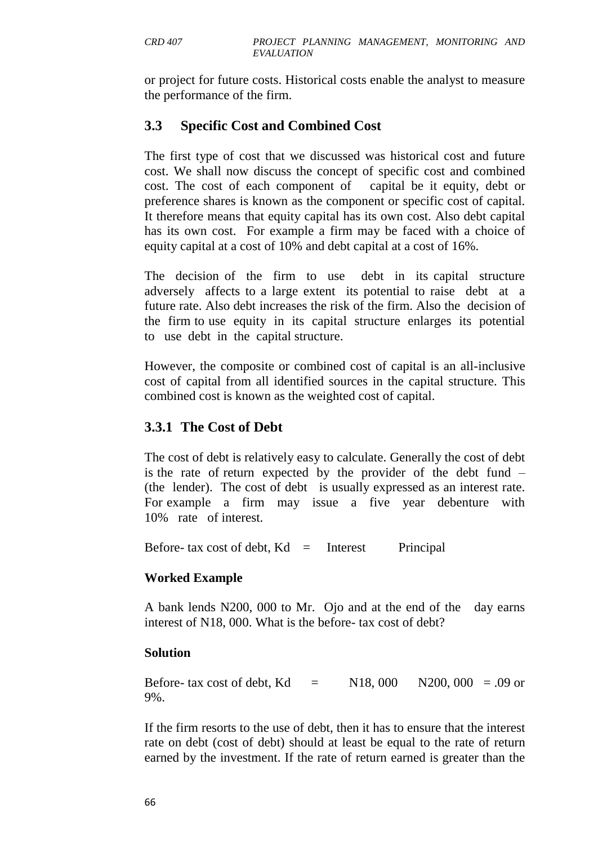or project for future costs. Historical costs enable the analyst to measure the performance of the firm.

## **3.3 Specific Cost and Combined Cost**

The first type of cost that we discussed was historical cost and future cost. We shall now discuss the concept of specific cost and combined cost. The cost of each component of capital be it equity, debt or preference shares is known as the component or specific cost of capital. It therefore means that equity capital has its own cost. Also debt capital has its own cost. For example a firm may be faced with a choice of equity capital at a cost of 10% and debt capital at a cost of 16%.

The decision of the firm to use debt in its capital structure adversely affects to a large extent its potential to raise debt at a future rate. Also debt increases the risk of the firm. Also the decision of the firm to use equity in its capital structure enlarges its potential to use debt in the capital structure.

However, the composite or combined cost of capital is an all-inclusive cost of capital from all identified sources in the capital structure. This combined cost is known as the weighted cost of capital.

## **3.3.1 The Cost of Debt**

The cost of debt is relatively easy to calculate. Generally the cost of debt is the rate of return expected by the provider of the debt fund – (the lender). The cost of debt is usually expressed as an interest rate. For example a firm may issue a five year debenture with 10% rate of interest.

Before- tax cost of debt,  $Kd =$  Interest Principal

#### **Worked Example**

A bank lends N200, 000 to Mr. Ojo and at the end of the day earns interest of N18, 000. What is the before- tax cost of debt?

#### **Solution**

Before- tax cost of debt, Kd = N18, 000 N200, 000 = .09 or 9%.

If the firm resorts to the use of debt, then it has to ensure that the interest rate on debt (cost of debt) should at least be equal to the rate of return earned by the investment. If the rate of return earned is greater than the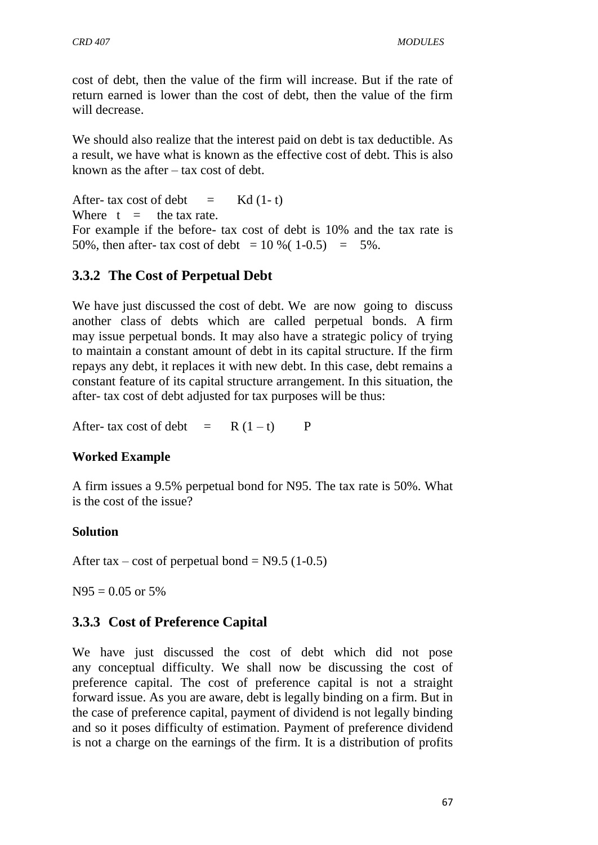cost of debt, then the value of the firm will increase. But if the rate of return earned is lower than the cost of debt, then the value of the firm will decrease.

We should also realize that the interest paid on debt is tax deductible. As a result, we have what is known as the effective cost of debt. This is also known as the after – tax cost of debt.

After- tax cost of debt  $=$  Kd  $(1-t)$ Where  $t =$  the tax rate. For example if the before- tax cost of debt is 10% and the tax rate is 50%, then after- tax cost of debt =  $10\%$  (1-0.5) = 5%.

# **3.3.2 The Cost of Perpetual Debt**

We have just discussed the cost of debt. We are now going to discuss another class of debts which are called perpetual bonds. A firm may issue perpetual bonds. It may also have a strategic policy of trying to maintain a constant amount of debt in its capital structure. If the firm repays any debt, it replaces it with new debt. In this case, debt remains a constant feature of its capital structure arrangement. In this situation, the after- tax cost of debt adjusted for tax purposes will be thus:

After- tax cost of debt  $= R (1 - t)$  P

## **Worked Example**

A firm issues a 9.5% perpetual bond for N95. The tax rate is 50%. What is the cost of the issue?

#### **Solution**

After tax – cost of perpetual bond =  $N9.5$  (1-0.5)

 $N95 = 0.05$  or 5%

# **3.3.3 Cost of Preference Capital**

We have just discussed the cost of debt which did not pose any conceptual difficulty. We shall now be discussing the cost of preference capital. The cost of preference capital is not a straight forward issue. As you are aware, debt is legally binding on a firm. But in the case of preference capital, payment of dividend is not legally binding and so it poses difficulty of estimation. Payment of preference dividend is not a charge on the earnings of the firm. It is a distribution of profits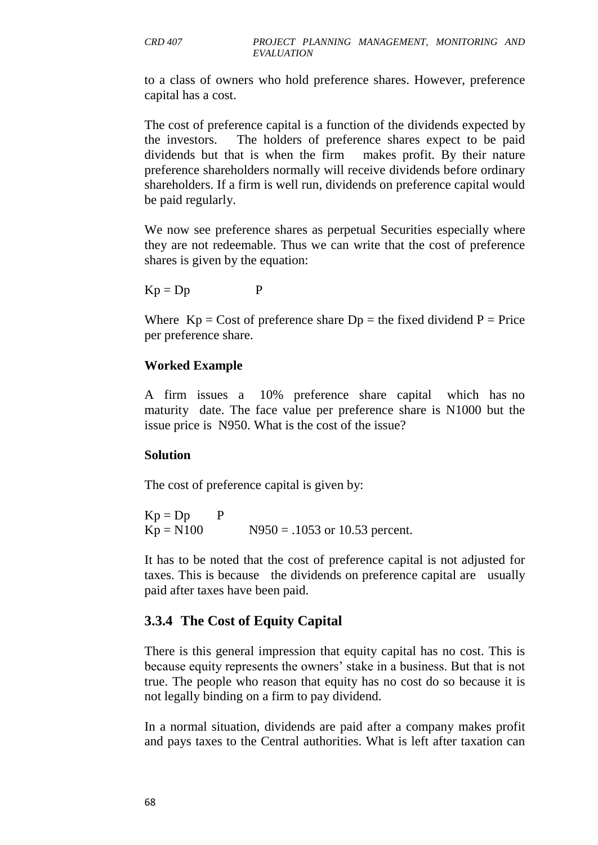to a class of owners who hold preference shares. However, preference capital has a cost.

The cost of preference capital is a function of the dividends expected by the investors. The holders of preference shares expect to be paid dividends but that is when the firm makes profit. By their nature preference shareholders normally will receive dividends before ordinary shareholders. If a firm is well run, dividends on preference capital would be paid regularly.

We now see preference shares as perpetual Securities especially where they are not redeemable. Thus we can write that the cost of preference shares is given by the equation:

 $Kp = Dp$  P

Where  $Kp = \text{Cost of preference share } Dp = \text{the fixed dividend } P = \text{Price}$ per preference share.

#### **Worked Example**

A firm issues a 10% preference share capital which has no maturity date. The face value per preference share is N1000 but the issue price is N950. What is the cost of the issue?

#### **Solution**

The cost of preference capital is given by:

 $Kp = Dp$  P  $Kp = N100$   $N950 = .1053$  or 10.53 percent.

It has to be noted that the cost of preference capital is not adjusted for taxes. This is because the dividends on preference capital are usually paid after taxes have been paid.

## **3.3.4 The Cost of Equity Capital**

There is this general impression that equity capital has no cost. This is because equity represents the owners' stake in a business. But that is not true. The people who reason that equity has no cost do so because it is not legally binding on a firm to pay dividend.

In a normal situation, dividends are paid after a company makes profit and pays taxes to the Central authorities. What is left after taxation can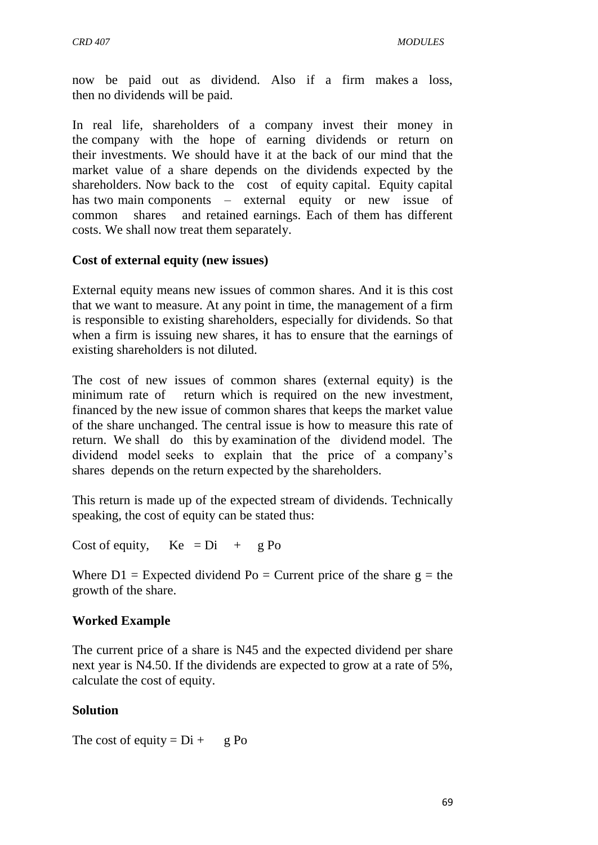now be paid out as dividend. Also if a firm makes a loss, then no dividends will be paid.

In real life, shareholders of a company invest their money in the company with the hope of earning dividends or return on their investments. We should have it at the back of our mind that the market value of a share depends on the dividends expected by the shareholders. Now back to the cost of equity capital. Equity capital has two main components – external equity or new issue of common shares and retained earnings. Each of them has different costs. We shall now treat them separately.

#### **Cost of external equity (new issues)**

External equity means new issues of common shares. And it is this cost that we want to measure. At any point in time, the management of a firm is responsible to existing shareholders, especially for dividends. So that when a firm is issuing new shares, it has to ensure that the earnings of existing shareholders is not diluted.

The cost of new issues of common shares (external equity) is the minimum rate of return which is required on the new investment, financed by the new issue of common shares that keeps the market value of the share unchanged. The central issue is how to measure this rate of return. We shall do this by examination of the dividend model. The dividend model seeks to explain that the price of a company's shares depends on the return expected by the shareholders.

This return is made up of the expected stream of dividends. Technically speaking, the cost of equity can be stated thus:

Cost of equity,  $Ke = Di + g Po$ 

Where  $D1 =$  Expected dividend Po = Current price of the share  $g =$  the growth of the share.

## **Worked Example**

The current price of a share is N45 and the expected dividend per share next year is N4.50. If the dividends are expected to grow at a rate of 5%, calculate the cost of equity.

## **Solution**

The cost of equity =  $Di + g Po$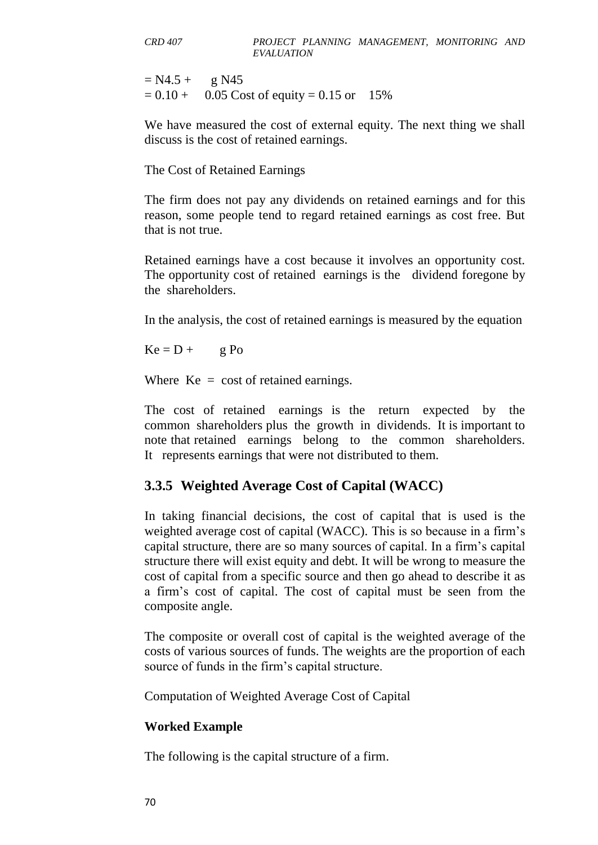$= N4.5 + g N45$  $= 0.10 + 0.05$  Cost of equity  $= 0.15$  or 15%

We have measured the cost of external equity. The next thing we shall discuss is the cost of retained earnings.

The Cost of Retained Earnings

The firm does not pay any dividends on retained earnings and for this reason, some people tend to regard retained earnings as cost free. But that is not true.

Retained earnings have a cost because it involves an opportunity cost. The opportunity cost of retained earnings is the dividend foregone by the shareholders.

In the analysis, the cost of retained earnings is measured by the equation

 $Ke = D + g Po$ 

Where  $Ke = \cos t$  of retained earnings.

The cost of retained earnings is the return expected by the common shareholders plus the growth in dividends. It is important to note that retained earnings belong to the common shareholders. It represents earnings that were not distributed to them.

## **3.3.5 Weighted Average Cost of Capital (WACC)**

In taking financial decisions, the cost of capital that is used is the weighted average cost of capital (WACC). This is so because in a firm's capital structure, there are so many sources of capital. In a firm's capital structure there will exist equity and debt. It will be wrong to measure the cost of capital from a specific source and then go ahead to describe it as a firm's cost of capital. The cost of capital must be seen from the composite angle.

The composite or overall cost of capital is the weighted average of the costs of various sources of funds. The weights are the proportion of each source of funds in the firm's capital structure.

Computation of Weighted Average Cost of Capital

#### **Worked Example**

The following is the capital structure of a firm.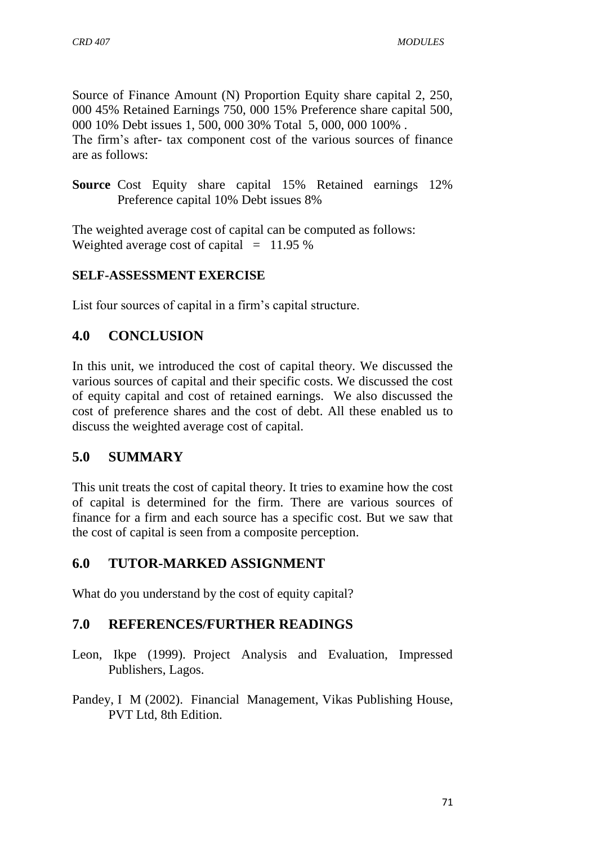Source of Finance Amount (N) Proportion Equity share capital 2, 250, 000 45% Retained Earnings 750, 000 15% Preference share capital 500, 000 10% Debt issues 1, 500, 000 30% Total 5, 000, 000 100% . The firm's after- tax component cost of the various sources of finance are as follows:

**Source** Cost Equity share capital 15% Retained earnings 12% Preference capital 10% Debt issues 8%

The weighted average cost of capital can be computed as follows: Weighted average cost of capital  $= 11.95 %$ 

## **SELF-ASSESSMENT EXERCISE**

List four sources of capital in a firm's capital structure.

# **4.0 CONCLUSION**

In this unit, we introduced the cost of capital theory. We discussed the various sources of capital and their specific costs. We discussed the cost of equity capital and cost of retained earnings. We also discussed the cost of preference shares and the cost of debt. All these enabled us to discuss the weighted average cost of capital.

# **5.0 SUMMARY**

This unit treats the cost of capital theory. It tries to examine how the cost of capital is determined for the firm. There are various sources of finance for a firm and each source has a specific cost. But we saw that the cost of capital is seen from a composite perception.

# **6.0 TUTOR-MARKED ASSIGNMENT**

What do you understand by the cost of equity capital?

## **7.0 REFERENCES/FURTHER READINGS**

- Leon, Ikpe (1999). Project Analysis and Evaluation, Impressed Publishers, Lagos.
- Pandey, I M (2002). Financial Management, Vikas Publishing House, PVT Ltd, 8th Edition.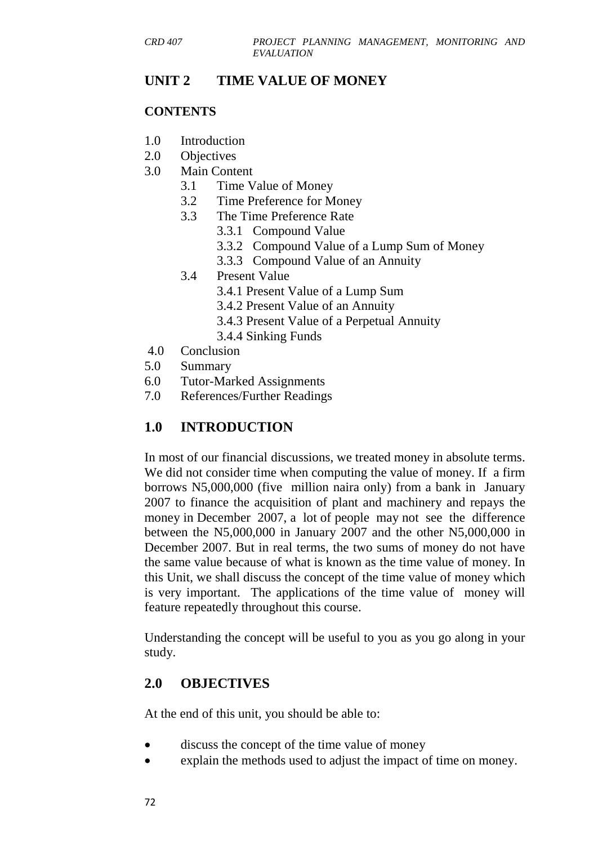## **UNIT 2 TIME VALUE OF MONEY**

#### **CONTENTS**

- 1.0 Introduction
- 2.0 Objectives
- 3.0 Main Content
	- 3.1 Time Value of Money
	- 3.2 Time Preference for Money
	- 3.3 The Time Preference Rate
		- 3.3.1 Compound Value
		- 3.3.2 Compound Value of a Lump Sum of Money
		- 3.3.3 Compound Value of an Annuity
	- 3.4 Present Value
		- 3.4.1 Present Value of a Lump Sum
		- 3.4.2 Present Value of an Annuity
		- 3.4.3 Present Value of a Perpetual Annuity
		- 3.4.4 Sinking Funds
- 4.0 Conclusion
- 5.0 Summary
- 6.0 Tutor-Marked Assignments
- 7.0 References/Further Readings

## **1.0 INTRODUCTION**

In most of our financial discussions, we treated money in absolute terms. We did not consider time when computing the value of money. If a firm borrows N5,000,000 (five million naira only) from a bank in January 2007 to finance the acquisition of plant and machinery and repays the money in December 2007, a lot of people may not see the difference between the N5,000,000 in January 2007 and the other N5,000,000 in December 2007. But in real terms, the two sums of money do not have the same value because of what is known as the time value of money. In this Unit, we shall discuss the concept of the time value of money which is very important. The applications of the time value of money will feature repeatedly throughout this course.

Understanding the concept will be useful to you as you go along in your study.

## **2.0 OBJECTIVES**

At the end of this unit, you should be able to:

- discuss the concept of the time value of money
- explain the methods used to adjust the impact of time on money.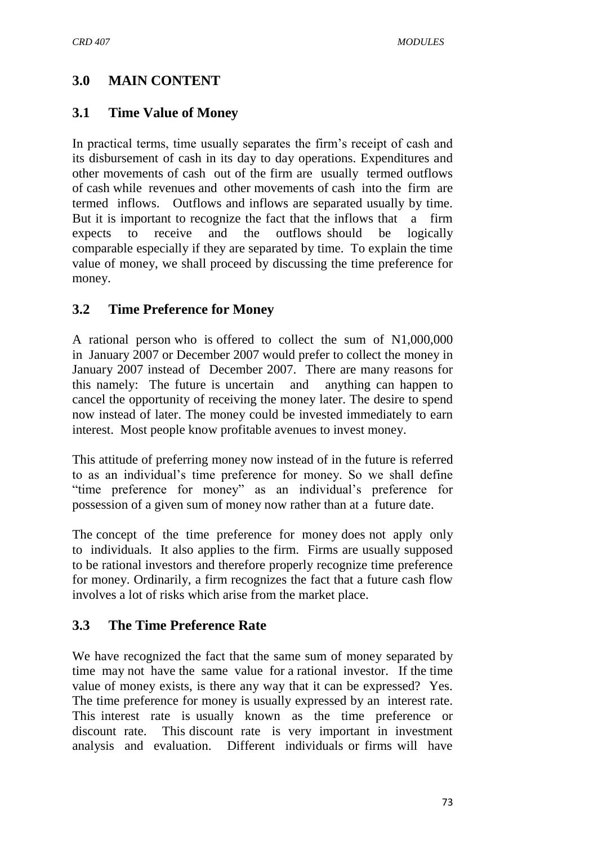## **3.0 MAIN CONTENT**

## **3.1 Time Value of Money**

In practical terms, time usually separates the firm's receipt of cash and its disbursement of cash in its day to day operations. Expenditures and other movements of cash out of the firm are usually termed outflows of cash while revenues and other movements of cash into the firm are termed inflows. Outflows and inflows are separated usually by time. But it is important to recognize the fact that the inflows that a firm expects to receive and the outflows should be logically comparable especially if they are separated by time. To explain the time value of money, we shall proceed by discussing the time preference for money.

#### **3.2 Time Preference for Money**

A rational person who is offered to collect the sum of N1,000,000 in January 2007 or December 2007 would prefer to collect the money in January 2007 instead of December 2007. There are many reasons for this namely: The future is uncertain and anything can happen to cancel the opportunity of receiving the money later. The desire to spend now instead of later. The money could be invested immediately to earn interest. Most people know profitable avenues to invest money.

This attitude of preferring money now instead of in the future is referred to as an individual's time preference for money. So we shall define "time preference for money" as an individual's preference for possession of a given sum of money now rather than at a future date.

The concept of the time preference for money does not apply only to individuals. It also applies to the firm. Firms are usually supposed to be rational investors and therefore properly recognize time preference for money. Ordinarily, a firm recognizes the fact that a future cash flow involves a lot of risks which arise from the market place.

## **3.3 The Time Preference Rate**

We have recognized the fact that the same sum of money separated by time may not have the same value for a rational investor. If the time value of money exists, is there any way that it can be expressed? Yes. The time preference for money is usually expressed by an interest rate. This interest rate is usually known as the time preference or discount rate. This discount rate is very important in investment analysis and evaluation. Different individuals or firms will have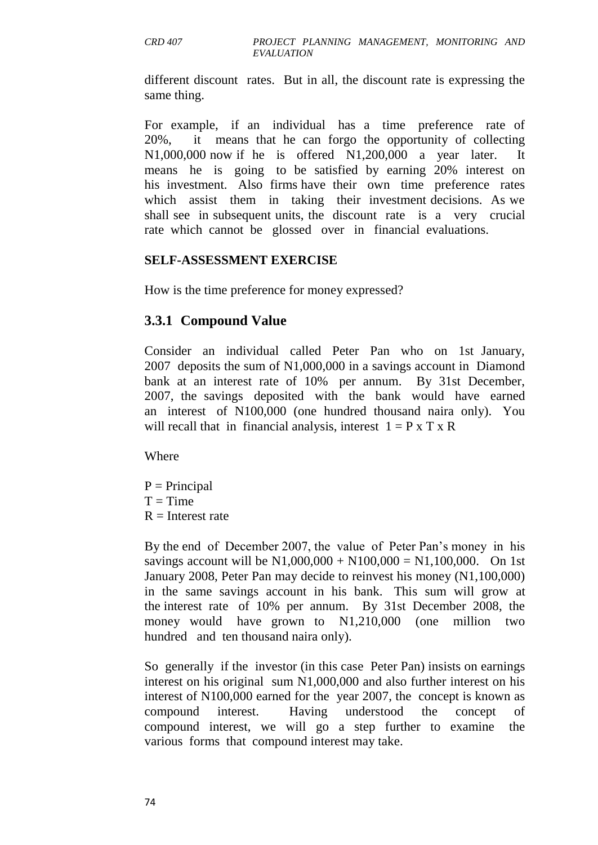different discount rates. But in all, the discount rate is expressing the same thing.

For example, if an individual has a time preference rate of 20%, it means that he can forgo the opportunity of collecting N1,000,000 now if he is offered N1,200,000 a year later. It means he is going to be satisfied by earning 20% interest on his investment. Also firms have their own time preference rates which assist them in taking their investment decisions. As we shall see in subsequent units, the discount rate is a very crucial rate which cannot be glossed over in financial evaluations.

#### **SELF-ASSESSMENT EXERCISE**

How is the time preference for money expressed?

#### **3.3.1 Compound Value**

Consider an individual called Peter Pan who on 1st January, 2007 deposits the sum of N1,000,000 in a savings account in Diamond bank at an interest rate of 10% per annum. By 31st December, 2007, the savings deposited with the bank would have earned an interest of N100,000 (one hundred thousand naira only). You will recall that in financial analysis, interest  $1 = P \times T \times R$ 

Where

 $P = Principal$  $T = Time$  $R =$ Interest rate

By the end of December 2007, the value of Peter Pan's money in his savings account will be N1,000,000 + N100,000 = N1,100,000. On 1st January 2008, Peter Pan may decide to reinvest his money (N1,100,000) in the same savings account in his bank. This sum will grow at the interest rate of 10% per annum. By 31st December 2008, the money would have grown to N1,210,000 (one million two hundred and ten thousand naira only).

So generally if the investor (in this case Peter Pan) insists on earnings interest on his original sum N1,000,000 and also further interest on his interest of N100,000 earned for the year 2007, the concept is known as compound interest. Having understood the concept of compound interest, we will go a step further to examine the various forms that compound interest may take.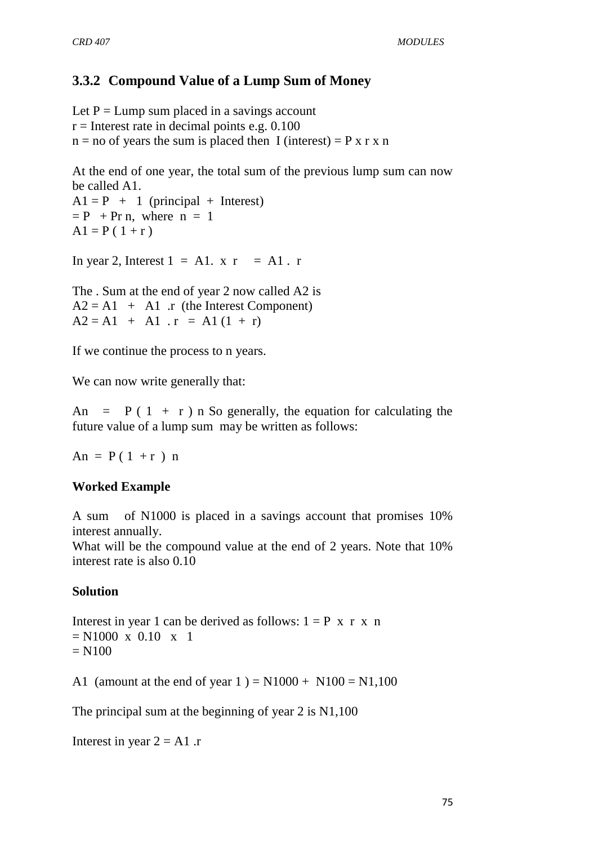## **3.3.2 Compound Value of a Lump Sum of Money**

Let  $P = Lump$  sum placed in a savings account  $r =$  Interest rate in decimal points e.g. 0.100  $n = no$  of years the sum is placed then I (interest) = P x r x n

At the end of one year, the total sum of the previous lump sum can now be called A1.

 $A1 = P + 1$  (principal + Interest)  $= P + Pr n$ , where  $n = 1$  $A1 = P(1 + r)$ 

In year 2, Interest  $1 = A1$ .  $x = A1$ . r

The . Sum at the end of year 2 now called A2 is  $A2 = A1 + A1$ . r (the Interest Component)  $A2 = A1 + A1$ .  $r = A1 (1 + r)$ 

If we continue the process to n years.

We can now write generally that:

An =  $P(1 + r)$  n So generally, the equation for calculating the future value of a lump sum may be written as follows:

 $An = P(1 + r) n$ 

#### **Worked Example**

A sum of N1000 is placed in a savings account that promises 10% interest annually.

What will be the compound value at the end of 2 years. Note that 10% interest rate is also 0.10

#### **Solution**

Interest in year 1 can be derived as follows:  $1 = P \times r \times n$  $= N1000 \times 0.10 \times 1$  $= N100$ 

A1 (amount at the end of year  $1$ ) = N1000 + N100 = N1,100

The principal sum at the beginning of year 2 is N1,100

Interest in year  $2 = A1$ .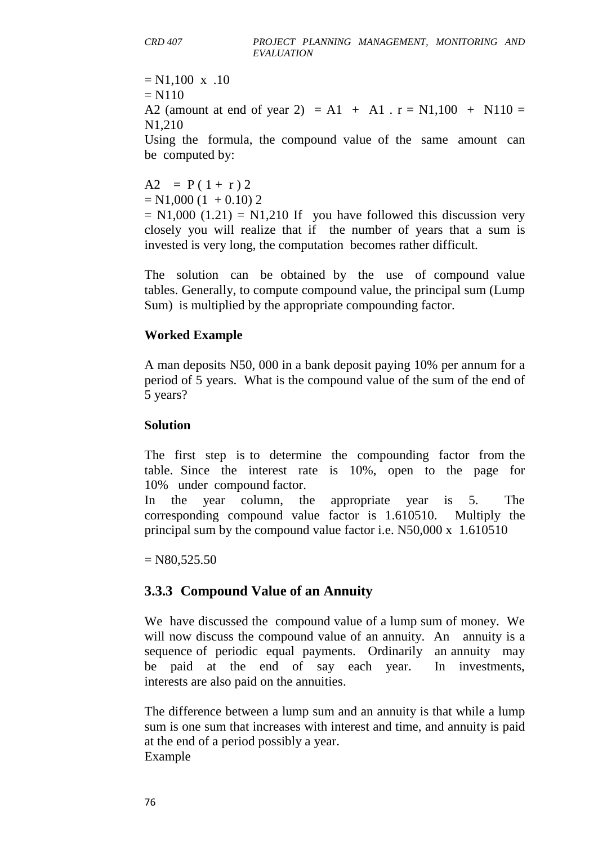$= N1,100 \text{ x } .10$  $= N110$ A2 (amount at end of year 2) = A1 + A1 .  $r = N1,100 + N110 =$ N1,210 Using the formula, the compound value of the same amount can be computed by:

 $A2 = P(1 + r) 2$  $= N1,000 (1 + 0.10) 2$ 

 $= N1,000$  (1.21) = N1,210 If you have followed this discussion very closely you will realize that if the number of years that a sum is invested is very long, the computation becomes rather difficult.

The solution can be obtained by the use of compound value tables. Generally, to compute compound value, the principal sum (Lump Sum) is multiplied by the appropriate compounding factor.

#### **Worked Example**

A man deposits N50, 000 in a bank deposit paying 10% per annum for a period of 5 years. What is the compound value of the sum of the end of 5 years?

#### **Solution**

The first step is to determine the compounding factor from the table. Since the interest rate is 10%, open to the page for 10% under compound factor.

In the year column, the appropriate year is 5. The corresponding compound value factor is 1.610510. Multiply the principal sum by the compound value factor i.e. N50,000 x 1.610510

 $=$  N80,525.50

## **3.3.3 Compound Value of an Annuity**

We have discussed the compound value of a lump sum of money. We will now discuss the compound value of an annuity. An annuity is a sequence of periodic equal payments. Ordinarily an annuity may be paid at the end of say each year. In investments, interests are also paid on the annuities.

The difference between a lump sum and an annuity is that while a lump sum is one sum that increases with interest and time, and annuity is paid at the end of a period possibly a year. Example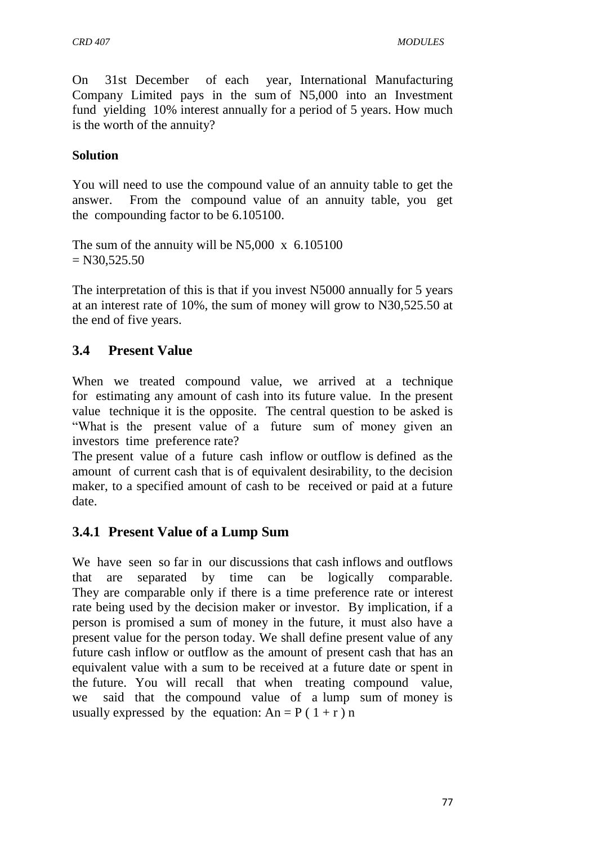On 31st December of each year, International Manufacturing Company Limited pays in the sum of N5,000 into an Investment fund yielding 10% interest annually for a period of 5 years. How much is the worth of the annuity?

#### **Solution**

You will need to use the compound value of an annuity table to get the answer. From the compound value of an annuity table, you get the compounding factor to be 6.105100.

The sum of the annuity will be N5,000 x 6.105100  $= N30,525.50$ 

The interpretation of this is that if you invest N5000 annually for 5 years at an interest rate of 10%, the sum of money will grow to N30,525.50 at the end of five years.

## **3.4 Present Value**

When we treated compound value, we arrived at a technique for estimating any amount of cash into its future value. In the present value technique it is the opposite. The central question to be asked is ―What is the present value of a future sum of money given an investors time preference rate?

The present value of a future cash inflow or outflow is defined as the amount of current cash that is of equivalent desirability, to the decision maker, to a specified amount of cash to be received or paid at a future date.

## **3.4.1 Present Value of a Lump Sum**

We have seen so far in our discussions that cash inflows and outflows that are separated by time can be logically comparable. They are comparable only if there is a time preference rate or interest rate being used by the decision maker or investor. By implication, if a person is promised a sum of money in the future, it must also have a present value for the person today. We shall define present value of any future cash inflow or outflow as the amount of present cash that has an equivalent value with a sum to be received at a future date or spent in the future. You will recall that when treating compound value, we said that the compound value of a lump sum of money is usually expressed by the equation:  $An = P(1+r)n$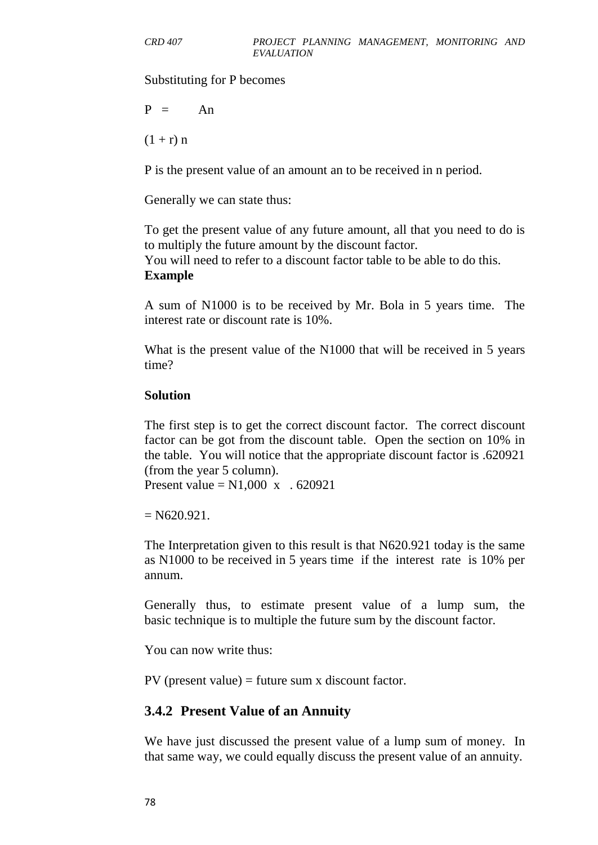Substituting for P becomes

 $P = An$ 

 $(1 + r) n$ 

P is the present value of an amount an to be received in n period.

Generally we can state thus:

To get the present value of any future amount, all that you need to do is to multiply the future amount by the discount factor.

You will need to refer to a discount factor table to be able to do this. **Example** 

A sum of N1000 is to be received by Mr. Bola in 5 years time. The interest rate or discount rate is 10%.

What is the present value of the N1000 that will be received in 5 years time?

#### **Solution**

The first step is to get the correct discount factor. The correct discount factor can be got from the discount table. Open the section on 10% in the table. You will notice that the appropriate discount factor is .620921 (from the year 5 column).

Present value =  $N1,000 \text{ x}$  . 620921

 $= N620.921.$ 

The Interpretation given to this result is that N620.921 today is the same as N1000 to be received in 5 years time if the interest rate is 10% per annum.

Generally thus, to estimate present value of a lump sum, the basic technique is to multiple the future sum by the discount factor.

You can now write thus:

PV (present value) = future sum x discount factor.

#### **3.4.2 Present Value of an Annuity**

We have just discussed the present value of a lump sum of money. In that same way, we could equally discuss the present value of an annuity.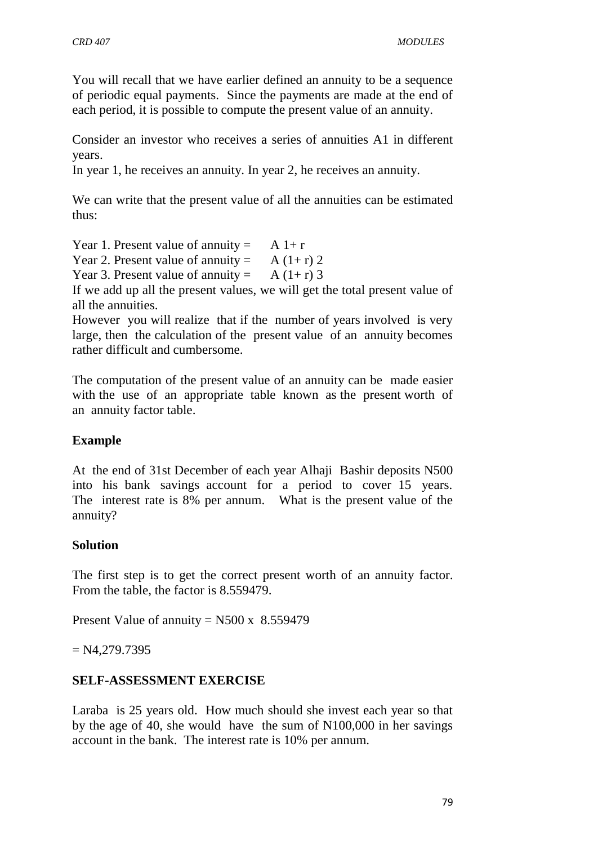You will recall that we have earlier defined an annuity to be a sequence of periodic equal payments. Since the payments are made at the end of each period, it is possible to compute the present value of an annuity.

Consider an investor who receives a series of annuities A1 in different years.

In year 1, he receives an annuity. In year 2, he receives an annuity.

We can write that the present value of all the annuities can be estimated thus:

Year 1. Present value of annuity =  $A 1+r$ 

Year 2. Present value of annuity =  $A(1+r)$  2

Year 3. Present value of annuity =  $A(1+r)$  3

If we add up all the present values, we will get the total present value of all the annuities.

However you will realize that if the number of years involved is very large, then the calculation of the present value of an annuity becomes rather difficult and cumbersome.

The computation of the present value of an annuity can be made easier with the use of an appropriate table known as the present worth of an annuity factor table.

#### **Example**

At the end of 31st December of each year Alhaji Bashir deposits N500 into his bank savings account for a period to cover 15 years. The interest rate is 8% per annum. What is the present value of the annuity?

#### **Solution**

The first step is to get the correct present worth of an annuity factor. From the table, the factor is 8.559479.

Present Value of annuity =  $N500 \times 8.559479$ 

 $= N4,279.7395$ 

## **SELF-ASSESSMENT EXERCISE**

Laraba is 25 years old. How much should she invest each year so that by the age of 40, she would have the sum of N100,000 in her savings account in the bank. The interest rate is 10% per annum.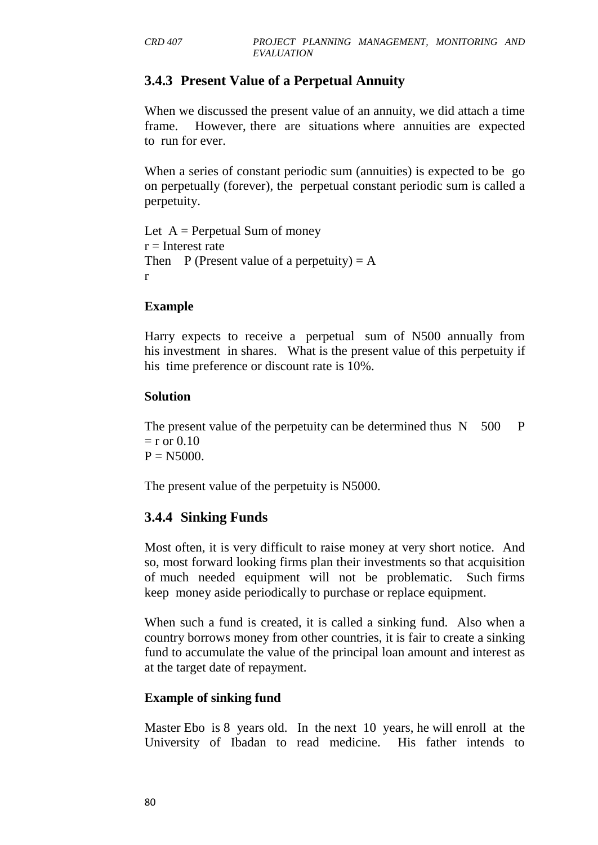## **3.4.3 Present Value of a Perpetual Annuity**

When we discussed the present value of an annuity, we did attach a time frame. However, there are situations where annuities are expected to run for ever.

When a series of constant periodic sum (annuities) is expected to be go on perpetually (forever), the perpetual constant periodic sum is called a perpetuity.

Let  $A =$  Perpetual Sum of money  $r =$ Interest rate Then P (Present value of a perpetuity)  $= A$ r

#### **Example**

Harry expects to receive a perpetual sum of N500 annually from his investment in shares. What is the present value of this perpetuity if his time preference or discount rate is 10%.

#### **Solution**

The present value of the perpetuity can be determined thus  $N = 500$  P  $=$  r or 0.10  $P = N5000$ .

The present value of the perpetuity is N5000.

## **3.4.4 Sinking Funds**

Most often, it is very difficult to raise money at very short notice. And so, most forward looking firms plan their investments so that acquisition of much needed equipment will not be problematic. Such firms keep money aside periodically to purchase or replace equipment.

When such a fund is created, it is called a sinking fund. Also when a country borrows money from other countries, it is fair to create a sinking fund to accumulate the value of the principal loan amount and interest as at the target date of repayment.

#### **Example of sinking fund**

Master Ebo is 8 years old. In the next 10 years, he will enroll at the University of Ibadan to read medicine. His father intends to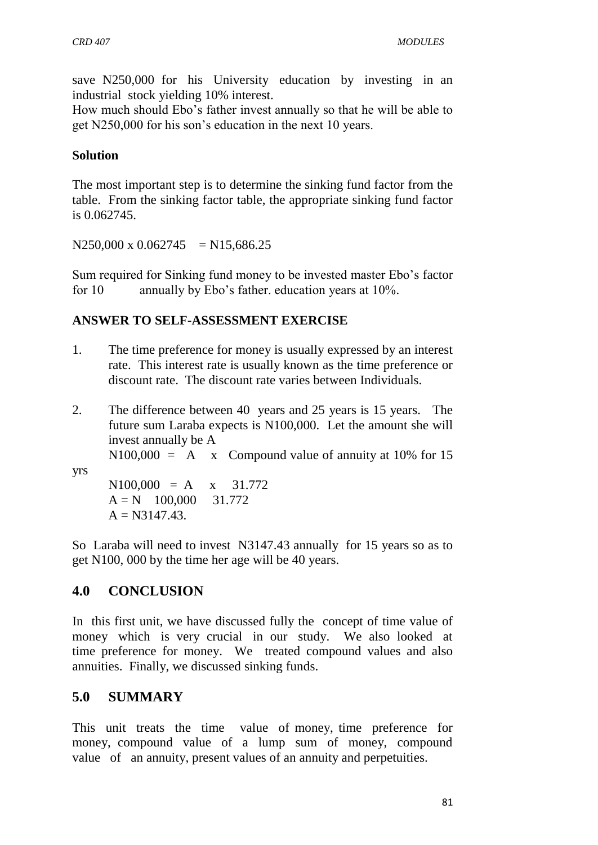save N250,000 for his University education by investing in an industrial stock yielding 10% interest.

How much should Ebo's father invest annually so that he will be able to get N250,000 for his son's education in the next 10 years.

#### **Solution**

The most important step is to determine the sinking fund factor from the table. From the sinking factor table, the appropriate sinking fund factor is 0.062745.

 $N250,000 \text{ x } 0.062745 = N15,686.25$ 

Sum required for Sinking fund money to be invested master Ebo's factor for 10 annually by Ebo's father. education years at 10%.

#### **ANSWER TO SELF-ASSESSMENT EXERCISE**

- 1. The time preference for money is usually expressed by an interest rate. This interest rate is usually known as the time preference or discount rate. The discount rate varies between Individuals.
- 2. The difference between 40 years and 25 years is 15 years. The future sum Laraba expects is N100,000. Let the amount she will invest annually be A
- $N100,000 = A x$  Compound value of annuity at 10% for 15 yrs

 $N100,000 = A x 31.772$  $A = N$  100,000 31,772  $A = N3147.43$ .

So Laraba will need to invest N3147.43 annually for 15 years so as to get N100, 000 by the time her age will be 40 years.

#### **4.0 CONCLUSION**

In this first unit, we have discussed fully the concept of time value of money which is very crucial in our study. We also looked at time preference for money. We treated compound values and also annuities. Finally, we discussed sinking funds.

#### **5.0 SUMMARY**

This unit treats the time value of money, time preference for money, compound value of a lump sum of money, compound value of an annuity, present values of an annuity and perpetuities.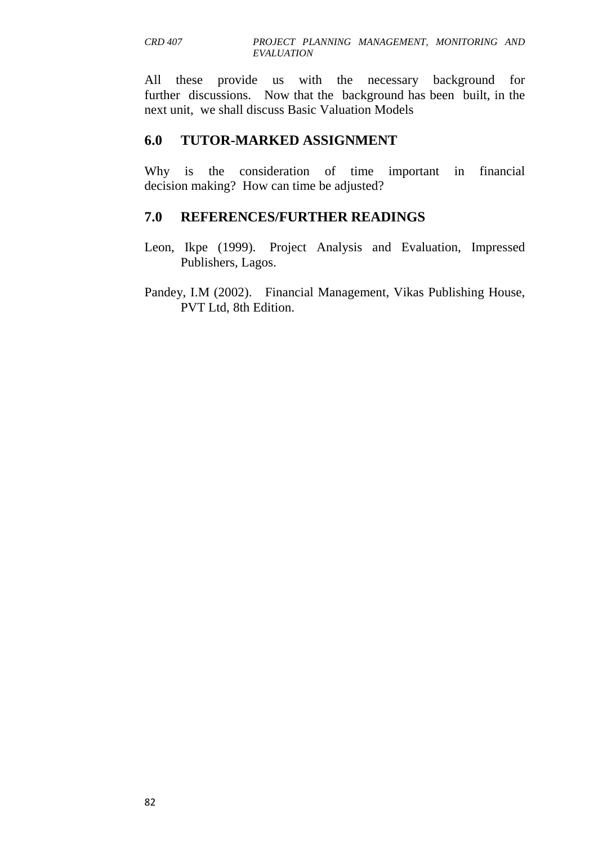All these provide us with the necessary background for further discussions. Now that the background has been built, in the next unit, we shall discuss Basic Valuation Models

## **6.0 TUTOR-MARKED ASSIGNMENT**

Why is the consideration of time important in financial decision making? How can time be adjusted?

## **7.0 REFERENCES/FURTHER READINGS**

- Leon, Ikpe (1999). Project Analysis and Evaluation, Impressed Publishers, Lagos.
- Pandey, I.M (2002). Financial Management, Vikas Publishing House, PVT Ltd, 8th Edition.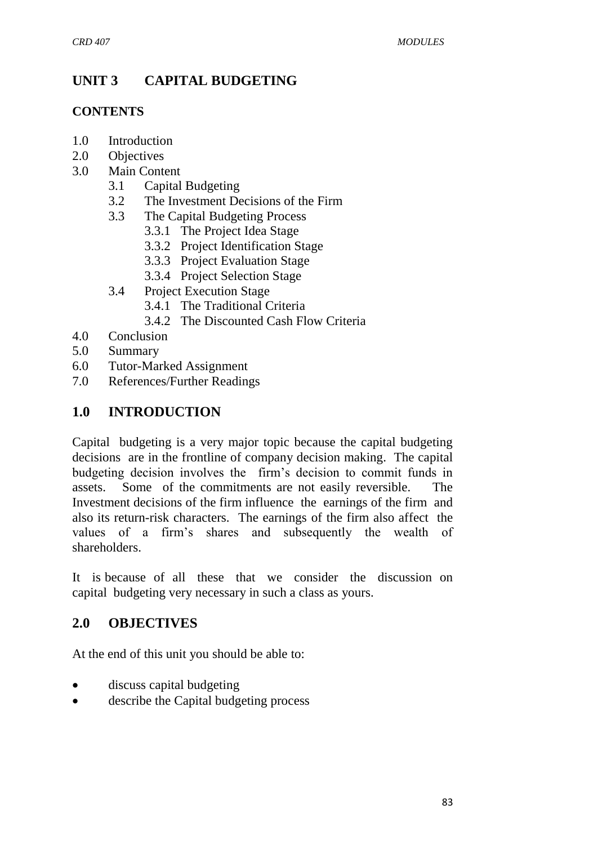# **UNIT 3 CAPITAL BUDGETING**

#### **CONTENTS**

- 1.0 Introduction
- 2.0 Objectives
- 3.0 Main Content
	- 3.1 Capital Budgeting
	- 3.2 The Investment Decisions of the Firm
	- 3.3 The Capital Budgeting Process
		- 3.3.1 The Project Idea Stage
		- 3.3.2 Project Identification Stage
		- 3.3.3 Project Evaluation Stage
		- 3.3.4 Project Selection Stage
	- 3.4 Project Execution Stage
		- 3.4.1 The Traditional Criteria
		- 3.4.2 The Discounted Cash Flow Criteria
- 4.0 Conclusion
- 5.0 Summary
- 6.0 Tutor-Marked Assignment
- 7.0 References/Further Readings

## **1.0 INTRODUCTION**

Capital budgeting is a very major topic because the capital budgeting decisions are in the frontline of company decision making. The capital budgeting decision involves the firm's decision to commit funds in assets. Some of the commitments are not easily reversible. The Investment decisions of the firm influence the earnings of the firm and also its return-risk characters. The earnings of the firm also affect the values of a firm's shares and subsequently the wealth of shareholders.

It is because of all these that we consider the discussion on capital budgeting very necessary in such a class as yours.

## **2.0 OBJECTIVES**

At the end of this unit you should be able to:

- discuss capital budgeting
- describe the Capital budgeting process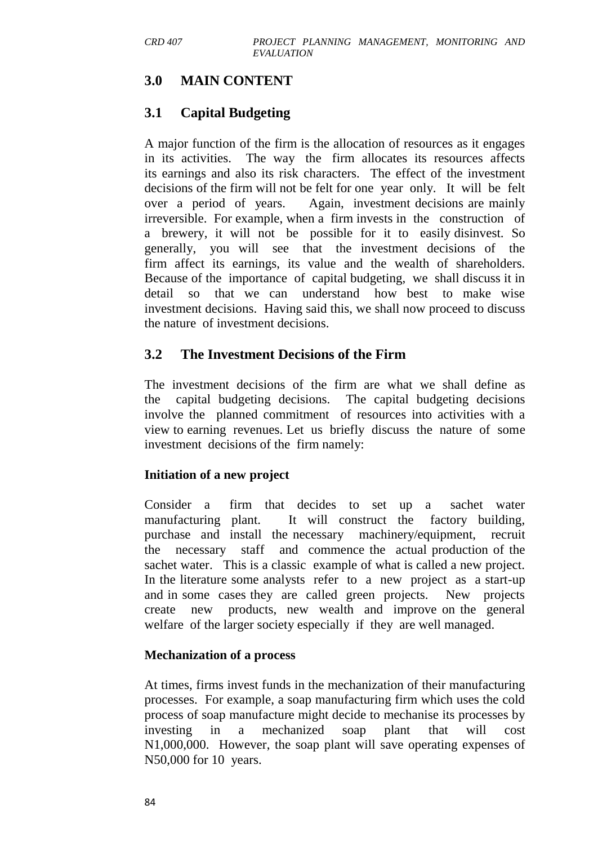## **3.0 MAIN CONTENT**

## **3.1 Capital Budgeting**

A major function of the firm is the allocation of resources as it engages in its activities. The way the firm allocates its resources affects its earnings and also its risk characters. The effect of the investment decisions of the firm will not be felt for one year only. It will be felt over a period of years. Again, investment decisions are mainly irreversible. For example, when a firm invests in the construction of a brewery, it will not be possible for it to easily disinvest. So generally, you will see that the investment decisions of the firm affect its earnings, its value and the wealth of shareholders. Because of the importance of capital budgeting, we shall discuss it in detail so that we can understand how best to make wise investment decisions. Having said this, we shall now proceed to discuss the nature of investment decisions.

#### **3.2 The Investment Decisions of the Firm**

The investment decisions of the firm are what we shall define as the capital budgeting decisions. The capital budgeting decisions involve the planned commitment of resources into activities with a view to earning revenues. Let us briefly discuss the nature of some investment decisions of the firm namely:

#### **Initiation of a new project**

Consider a firm that decides to set up a sachet water manufacturing plant. It will construct the factory building, purchase and install the necessary machinery/equipment, recruit the necessary staff and commence the actual production of the sachet water. This is a classic example of what is called a new project. In the literature some analysts refer to a new project as a start-up and in some cases they are called green projects. New projects create new products, new wealth and improve on the general welfare of the larger society especially if they are well managed.

#### **Mechanization of a process**

At times, firms invest funds in the mechanization of their manufacturing processes. For example, a soap manufacturing firm which uses the cold process of soap manufacture might decide to mechanise its processes by investing in a mechanized soap plant that will cost N1,000,000. However, the soap plant will save operating expenses of N50,000 for 10 years.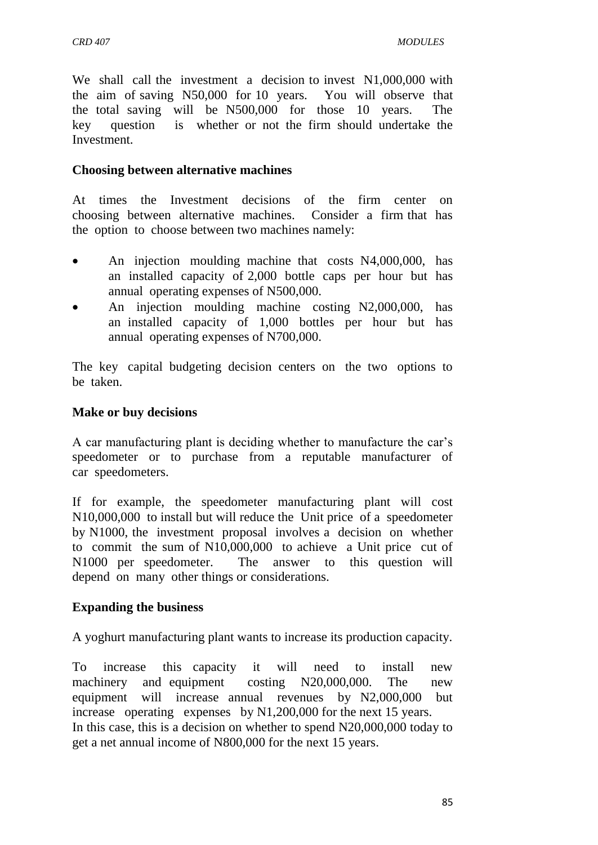We shall call the investment a decision to invest N1,000,000 with the aim of saving N50,000 for 10 years. You will observe that the total saving will be N500,000 for those 10 years. The key question is whether or not the firm should undertake the Investment.

#### **Choosing between alternative machines**

At times the Investment decisions of the firm center on choosing between alternative machines. Consider a firm that has the option to choose between two machines namely:

- An injection moulding machine that costs N4,000,000, has an installed capacity of 2,000 bottle caps per hour but has annual operating expenses of N500,000.
- An injection moulding machine costing N2,000,000, has an installed capacity of 1,000 bottles per hour but has annual operating expenses of N700,000.

The key capital budgeting decision centers on the two options to be taken.

#### **Make or buy decisions**

A car manufacturing plant is deciding whether to manufacture the car's speedometer or to purchase from a reputable manufacturer of car speedometers.

If for example, the speedometer manufacturing plant will cost N10,000,000 to install but will reduce the Unit price of a speedometer by N1000, the investment proposal involves a decision on whether to commit the sum of N10,000,000 to achieve a Unit price cut of N1000 per speedometer. The answer to this question will depend on many other things or considerations.

#### **Expanding the business**

A yoghurt manufacturing plant wants to increase its production capacity.

To increase this capacity it will need to install new machinery and equipment costing N20,000,000. The new equipment will increase annual revenues by N2,000,000 but increase operating expenses by N1,200,000 for the next 15 years. In this case, this is a decision on whether to spend N20,000,000 today to get a net annual income of N800,000 for the next 15 years.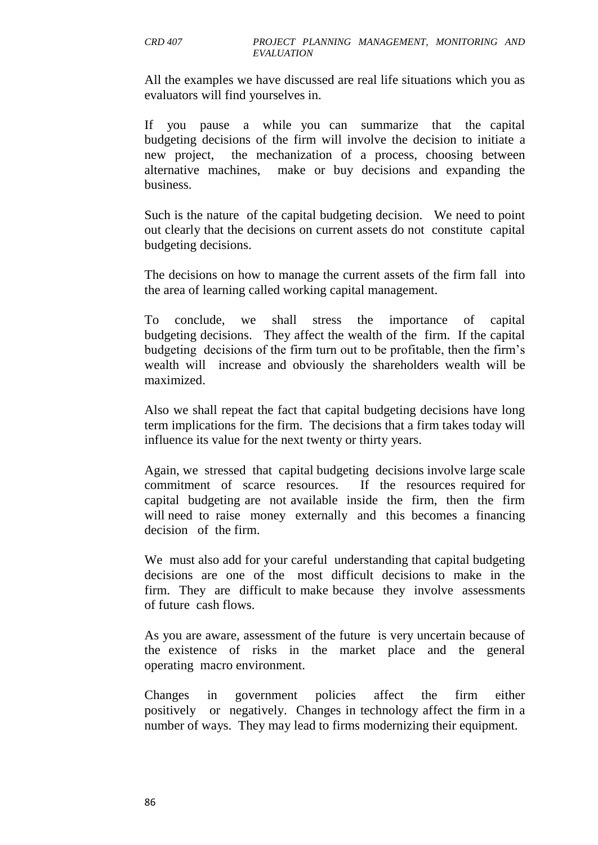All the examples we have discussed are real life situations which you as evaluators will find yourselves in.

If you pause a while you can summarize that the capital budgeting decisions of the firm will involve the decision to initiate a new project, the mechanization of a process, choosing between alternative machines, make or buy decisions and expanding the business.

Such is the nature of the capital budgeting decision. We need to point out clearly that the decisions on current assets do not constitute capital budgeting decisions.

The decisions on how to manage the current assets of the firm fall into the area of learning called working capital management.

To conclude, we shall stress the importance of capital budgeting decisions. They affect the wealth of the firm. If the capital budgeting decisions of the firm turn out to be profitable, then the firm's wealth will increase and obviously the shareholders wealth will be maximized.

Also we shall repeat the fact that capital budgeting decisions have long term implications for the firm. The decisions that a firm takes today will influence its value for the next twenty or thirty years.

Again, we stressed that capital budgeting decisions involve large scale commitment of scarce resources. If the resources required for capital budgeting are not available inside the firm, then the firm will need to raise money externally and this becomes a financing decision of the firm.

We must also add for your careful understanding that capital budgeting decisions are one of the most difficult decisions to make in the firm. They are difficult to make because they involve assessments of future cash flows.

As you are aware, assessment of the future is very uncertain because of the existence of risks in the market place and the general operating macro environment.

Changes in government policies affect the firm either positively or negatively. Changes in technology affect the firm in a number of ways. They may lead to firms modernizing their equipment.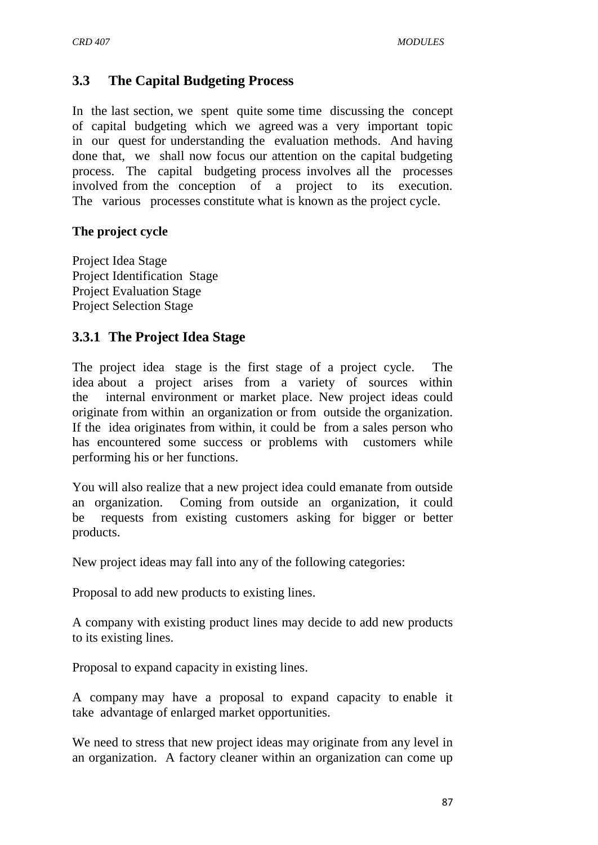## **3.3 The Capital Budgeting Process**

In the last section, we spent quite some time discussing the concept of capital budgeting which we agreed was a very important topic in our quest for understanding the evaluation methods. And having done that, we shall now focus our attention on the capital budgeting process. The capital budgeting process involves all the processes involved from the conception of a project to its execution. The various processes constitute what is known as the project cycle.

#### **The project cycle**

Project Idea Stage Project Identification Stage Project Evaluation Stage Project Selection Stage

#### **3.3.1 The Project Idea Stage**

The project idea stage is the first stage of a project cycle. The idea about a project arises from a variety of sources within the internal environment or market place. New project ideas could originate from within an organization or from outside the organization. If the idea originates from within, it could be from a sales person who has encountered some success or problems with customers while performing his or her functions.

You will also realize that a new project idea could emanate from outside an organization. Coming from outside an organization, it could be requests from existing customers asking for bigger or better products.

New project ideas may fall into any of the following categories:

Proposal to add new products to existing lines.

A company with existing product lines may decide to add new products to its existing lines.

Proposal to expand capacity in existing lines.

A company may have a proposal to expand capacity to enable it take advantage of enlarged market opportunities.

We need to stress that new project ideas may originate from any level in an organization. A factory cleaner within an organization can come up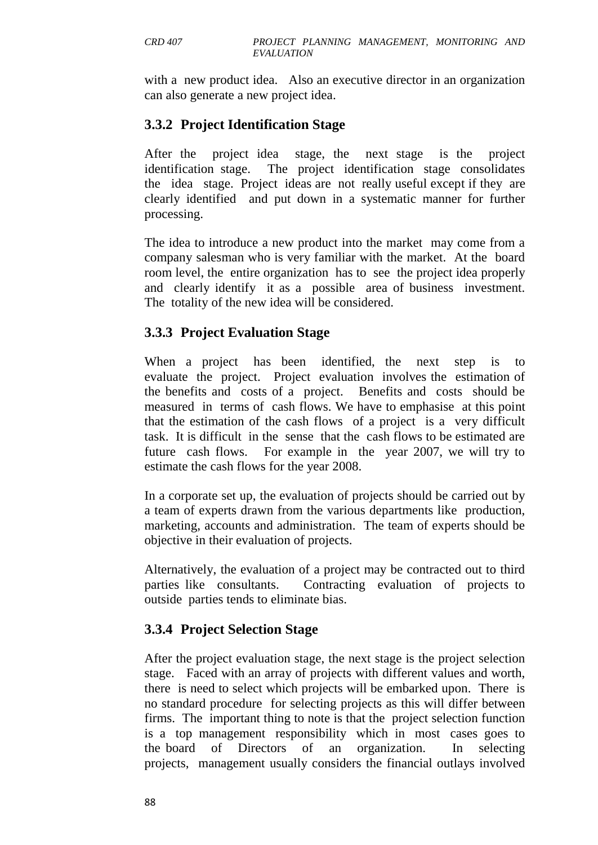with a new product idea. Also an executive director in an organization can also generate a new project idea.

## **3.3.2 Project Identification Stage**

After the project idea stage, the next stage is the project identification stage. The project identification stage consolidates the idea stage. Project ideas are not really useful except if they are clearly identified and put down in a systematic manner for further processing.

The idea to introduce a new product into the market may come from a company salesman who is very familiar with the market. At the board room level, the entire organization has to see the project idea properly and clearly identify it as a possible area of business investment. The totality of the new idea will be considered.

## **3.3.3 Project Evaluation Stage**

When a project has been identified, the next step is to evaluate the project. Project evaluation involves the estimation of the benefits and costs of a project. Benefits and costs should be measured in terms of cash flows. We have to emphasise at this point that the estimation of the cash flows of a project is a very difficult task. It is difficult in the sense that the cash flows to be estimated are future cash flows. For example in the year 2007, we will try to estimate the cash flows for the year 2008.

In a corporate set up, the evaluation of projects should be carried out by a team of experts drawn from the various departments like production, marketing, accounts and administration. The team of experts should be objective in their evaluation of projects.

Alternatively, the evaluation of a project may be contracted out to third parties like consultants. Contracting evaluation of projects to outside parties tends to eliminate bias.

# **3.3.4 Project Selection Stage**

After the project evaluation stage, the next stage is the project selection stage. Faced with an array of projects with different values and worth, there is need to select which projects will be embarked upon. There is no standard procedure for selecting projects as this will differ between firms. The important thing to note is that the project selection function is a top management responsibility which in most cases goes to the board of Directors of an organization. In selecting projects, management usually considers the financial outlays involved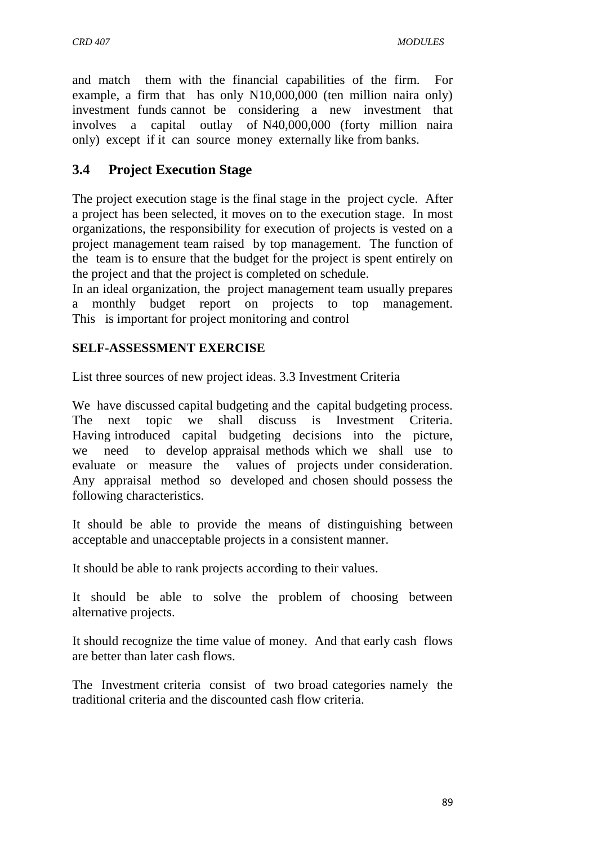and match them with the financial capabilities of the firm. For example, a firm that has only N10,000,000 (ten million naira only) investment funds cannot be considering a new investment that involves a capital outlay of N40,000,000 (forty million naira only) except if it can source money externally like from banks.

# **3.4 Project Execution Stage**

The project execution stage is the final stage in the project cycle. After a project has been selected, it moves on to the execution stage. In most organizations, the responsibility for execution of projects is vested on a project management team raised by top management. The function of the team is to ensure that the budget for the project is spent entirely on the project and that the project is completed on schedule.

In an ideal organization, the project management team usually prepares a monthly budget report on projects to top management. This is important for project monitoring and control

#### **SELF-ASSESSMENT EXERCISE**

List three sources of new project ideas. 3.3 Investment Criteria

We have discussed capital budgeting and the capital budgeting process. The next topic we shall discuss is Investment Criteria. Having introduced capital budgeting decisions into the picture, we need to develop appraisal methods which we shall use to evaluate or measure the values of projects under consideration. Any appraisal method so developed and chosen should possess the following characteristics.

It should be able to provide the means of distinguishing between acceptable and unacceptable projects in a consistent manner.

It should be able to rank projects according to their values.

It should be able to solve the problem of choosing between alternative projects.

It should recognize the time value of money. And that early cash flows are better than later cash flows.

The Investment criteria consist of two broad categories namely the traditional criteria and the discounted cash flow criteria.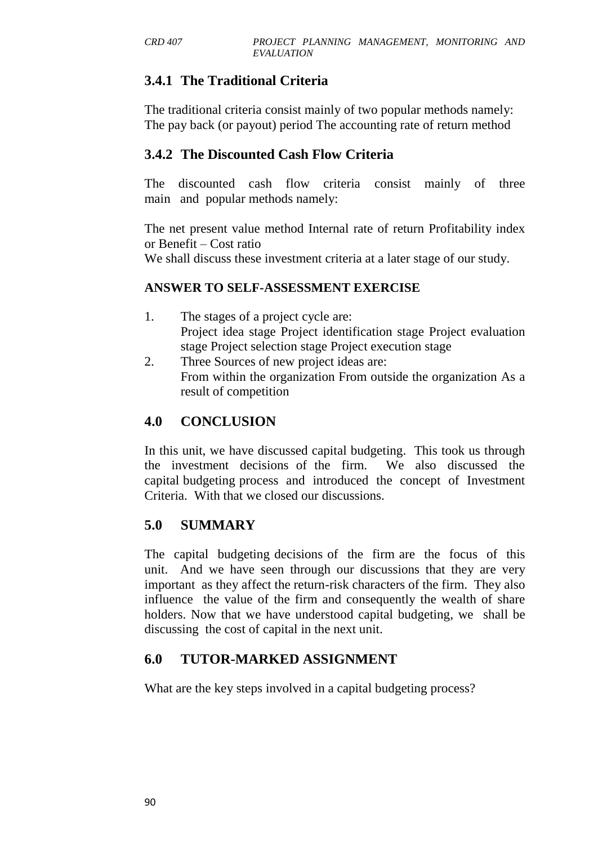# **3.4.1 The Traditional Criteria**

The traditional criteria consist mainly of two popular methods namely: The pay back (or payout) period The accounting rate of return method

## **3.4.2 The Discounted Cash Flow Criteria**

The discounted cash flow criteria consist mainly of three main and popular methods namely:

The net present value method Internal rate of return Profitability index or Benefit – Cost ratio

We shall discuss these investment criteria at a later stage of our study.

#### **ANSWER TO SELF-ASSESSMENT EXERCISE**

- 1. The stages of a project cycle are: Project idea stage Project identification stage Project evaluation stage Project selection stage Project execution stage
- 2. Three Sources of new project ideas are: From within the organization From outside the organization As a result of competition

## **4.0 CONCLUSION**

In this unit, we have discussed capital budgeting. This took us through the investment decisions of the firm. We also discussed the capital budgeting process and introduced the concept of Investment Criteria. With that we closed our discussions.

## **5.0 SUMMARY**

The capital budgeting decisions of the firm are the focus of this unit. And we have seen through our discussions that they are very important as they affect the return-risk characters of the firm. They also influence the value of the firm and consequently the wealth of share holders. Now that we have understood capital budgeting, we shall be discussing the cost of capital in the next unit.

## **6.0 TUTOR-MARKED ASSIGNMENT**

What are the key steps involved in a capital budgeting process?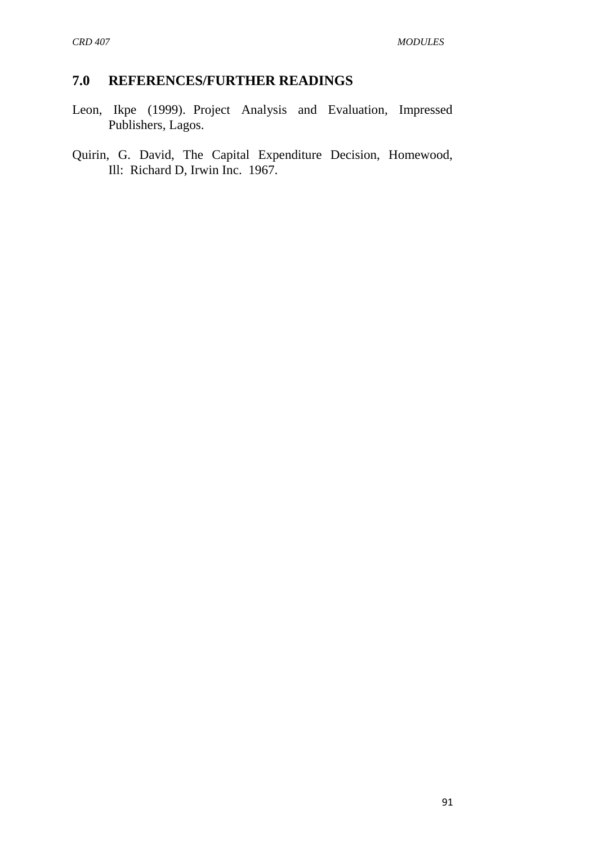## **7.0 REFERENCES/FURTHER READINGS**

- Leon, Ikpe (1999). Project Analysis and Evaluation, Impressed Publishers, Lagos.
- Quirin, G. David, The Capital Expenditure Decision, Homewood, Ill: Richard D, Irwin Inc. 1967.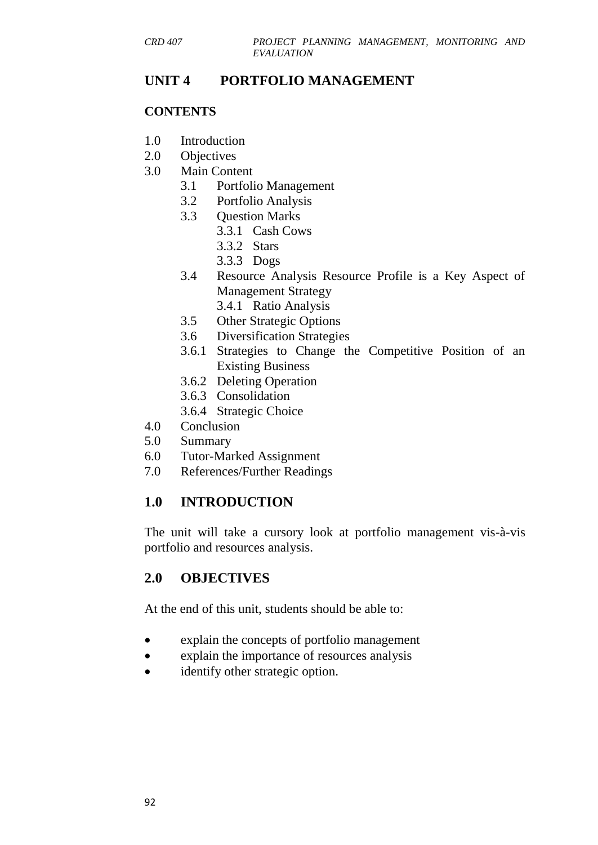## **UNIT 4 PORTFOLIO MANAGEMENT**

#### **CONTENTS**

- 1.0 Introduction
- 2.0 Objectives
- 3.0 Main Content
	- 3.1 Portfolio Management
	- 3.2 Portfolio Analysis
	- 3.3 Question Marks
		- 3.3.1 Cash Cows
		- 3.3.2 Stars
		- 3.3.3 Dogs
	- 3.4 Resource Analysis Resource Profile is a Key Aspect of Management Strategy
		- 3.4.1 Ratio Analysis
	- 3.5 Other Strategic Options
	- 3.6 Diversification Strategies
	- 3.6.1 Strategies to Change the Competitive Position of an Existing Business
	- 3.6.2 Deleting Operation
	- 3.6.3 Consolidation
	- 3.6.4 Strategic Choice
- 4.0 Conclusion
- 5.0 Summary
- 6.0 Tutor-Marked Assignment
- 7.0 References/Further Readings

## **1.0 INTRODUCTION**

The unit will take a cursory look at portfolio management vis-à-vis portfolio and resources analysis.

## **2.0 OBJECTIVES**

At the end of this unit, students should be able to:

- explain the concepts of portfolio management
- explain the importance of resources analysis
- identify other strategic option.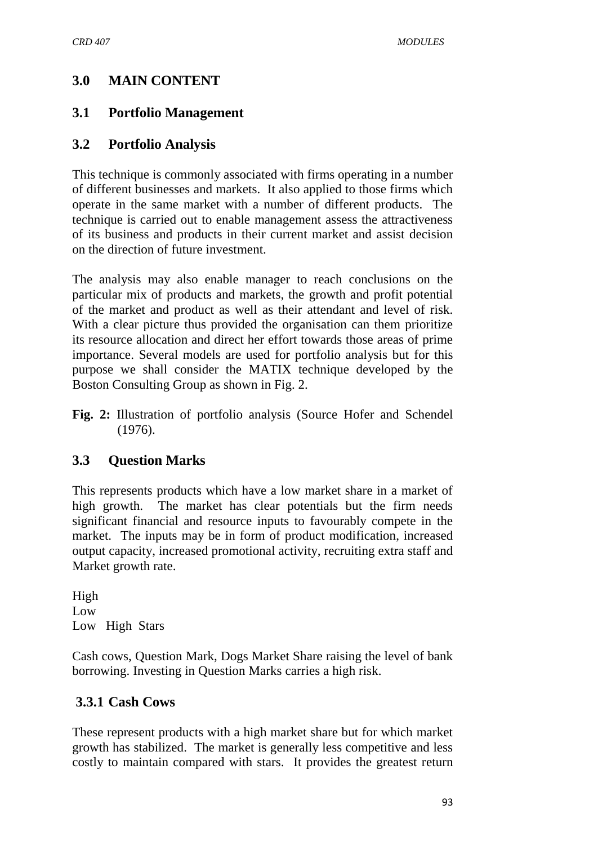## **3.0 MAIN CONTENT**

## **3.1 Portfolio Management**

#### **3.2 Portfolio Analysis**

This technique is commonly associated with firms operating in a number of different businesses and markets. It also applied to those firms which operate in the same market with a number of different products. The technique is carried out to enable management assess the attractiveness of its business and products in their current market and assist decision on the direction of future investment.

The analysis may also enable manager to reach conclusions on the particular mix of products and markets, the growth and profit potential of the market and product as well as their attendant and level of risk. With a clear picture thus provided the organisation can them prioritize its resource allocation and direct her effort towards those areas of prime importance. Several models are used for portfolio analysis but for this purpose we shall consider the MATIX technique developed by the Boston Consulting Group as shown in Fig. 2.

**Fig. 2:** Illustration of portfolio analysis (Source Hofer and Schendel (1976).

## **3.3 Question Marks**

This represents products which have a low market share in a market of high growth. The market has clear potentials but the firm needs significant financial and resource inputs to favourably compete in the market. The inputs may be in form of product modification, increased output capacity, increased promotional activity, recruiting extra staff and Market growth rate.

High Low Low High Stars

Cash cows, Question Mark, Dogs Market Share raising the level of bank borrowing. Investing in Question Marks carries a high risk.

## **3.3.1 Cash Cows**

These represent products with a high market share but for which market growth has stabilized. The market is generally less competitive and less costly to maintain compared with stars. It provides the greatest return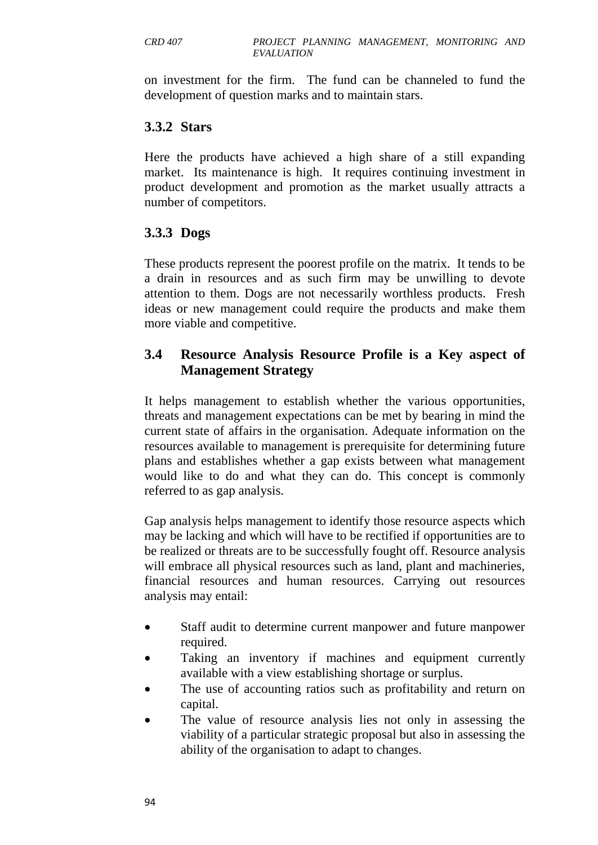on investment for the firm. The fund can be channeled to fund the development of question marks and to maintain stars.

#### **3.3.2 Stars**

Here the products have achieved a high share of a still expanding market. Its maintenance is high. It requires continuing investment in product development and promotion as the market usually attracts a number of competitors.

## **3.3.3 Dogs**

These products represent the poorest profile on the matrix. It tends to be a drain in resources and as such firm may be unwilling to devote attention to them. Dogs are not necessarily worthless products. Fresh ideas or new management could require the products and make them more viable and competitive.

## **3.4 Resource Analysis Resource Profile is a Key aspect of Management Strategy**

It helps management to establish whether the various opportunities, threats and management expectations can be met by bearing in mind the current state of affairs in the organisation. Adequate information on the resources available to management is prerequisite for determining future plans and establishes whether a gap exists between what management would like to do and what they can do. This concept is commonly referred to as gap analysis.

Gap analysis helps management to identify those resource aspects which may be lacking and which will have to be rectified if opportunities are to be realized or threats are to be successfully fought off. Resource analysis will embrace all physical resources such as land, plant and machineries, financial resources and human resources. Carrying out resources analysis may entail:

- Staff audit to determine current manpower and future manpower required.
- Taking an inventory if machines and equipment currently available with a view establishing shortage or surplus.
- The use of accounting ratios such as profitability and return on capital.
- The value of resource analysis lies not only in assessing the viability of a particular strategic proposal but also in assessing the ability of the organisation to adapt to changes.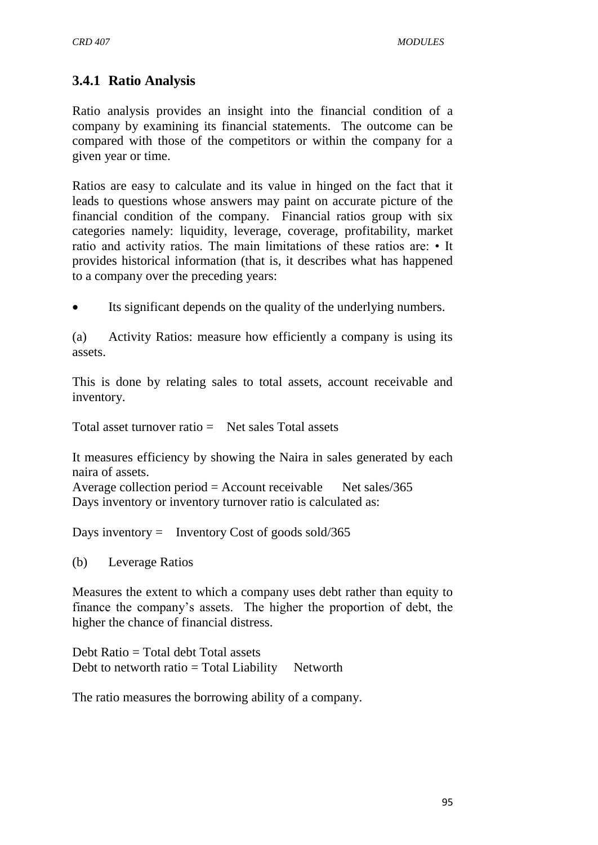# **3.4.1 Ratio Analysis**

Ratio analysis provides an insight into the financial condition of a company by examining its financial statements. The outcome can be compared with those of the competitors or within the company for a given year or time.

Ratios are easy to calculate and its value in hinged on the fact that it leads to questions whose answers may paint on accurate picture of the financial condition of the company. Financial ratios group with six categories namely: liquidity, leverage, coverage, profitability, market ratio and activity ratios. The main limitations of these ratios are: • It provides historical information (that is, it describes what has happened to a company over the preceding years:

Its significant depends on the quality of the underlying numbers.

(a) Activity Ratios: measure how efficiently a company is using its assets.

This is done by relating sales to total assets, account receivable and inventory.

Total asset turnover ratio  $=$  Net sales Total assets

It measures efficiency by showing the Naira in sales generated by each naira of assets.

Average collection period  $=$  Account receivable Net sales/365 Days inventory or inventory turnover ratio is calculated as:

Days inventory  $=$  Inventory Cost of goods sold/365

(b) Leverage Ratios

Measures the extent to which a company uses debt rather than equity to finance the company's assets. The higher the proportion of debt, the higher the chance of financial distress.

Debt Ratio = Total debt Total assets Debt to networth ratio  $=$  Total Liability Networth

The ratio measures the borrowing ability of a company.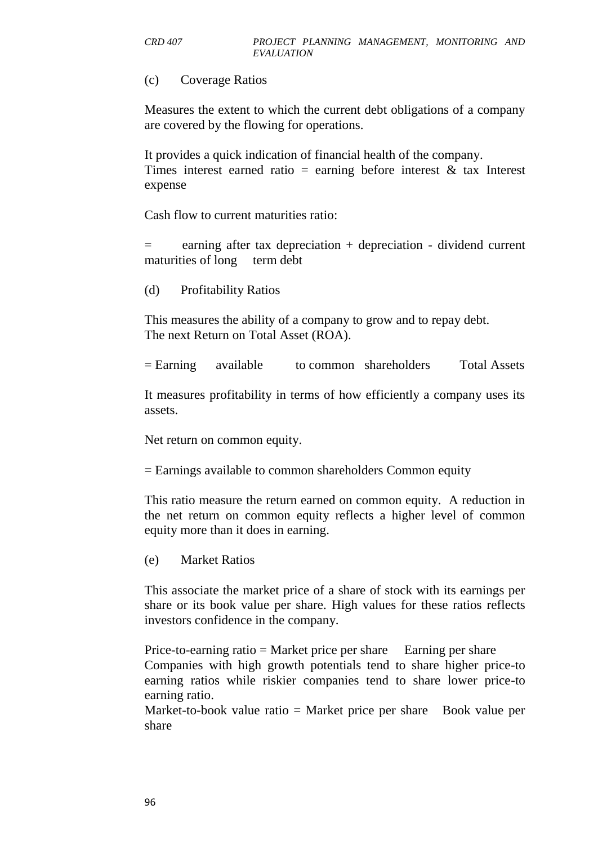#### (c) Coverage Ratios

Measures the extent to which the current debt obligations of a company are covered by the flowing for operations.

It provides a quick indication of financial health of the company. Times interest earned ratio = earning before interest  $\&$  tax Interest expense

Cash flow to current maturities ratio:

= earning after tax depreciation + depreciation - dividend current maturities of long term debt

(d) Profitability Ratios

This measures the ability of a company to grow and to repay debt. The next Return on Total Asset (ROA).

= Earning available to common shareholders Total Assets

It measures profitability in terms of how efficiently a company uses its assets.

Net return on common equity.

= Earnings available to common shareholders Common equity

This ratio measure the return earned on common equity. A reduction in the net return on common equity reflects a higher level of common equity more than it does in earning.

(e) Market Ratios

This associate the market price of a share of stock with its earnings per share or its book value per share. High values for these ratios reflects investors confidence in the company.

Price-to-earning ratio = Market price per share Earning per share Companies with high growth potentials tend to share higher price-to earning ratios while riskier companies tend to share lower price-to earning ratio.

Market-to-book value ratio  $=$  Market price per share Book value per share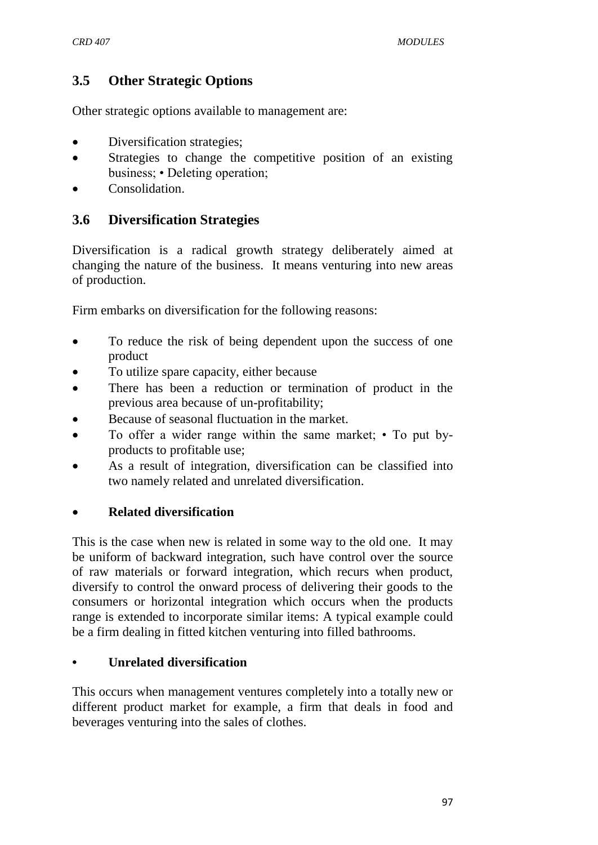# **3.5 Other Strategic Options**

Other strategic options available to management are:

- Diversification strategies;
- Strategies to change the competitive position of an existing business; • Deleting operation;
- Consolidation.

# **3.6 Diversification Strategies**

Diversification is a radical growth strategy deliberately aimed at changing the nature of the business. It means venturing into new areas of production.

Firm embarks on diversification for the following reasons:

- To reduce the risk of being dependent upon the success of one product
- To utilize spare capacity, either because
- There has been a reduction or termination of product in the previous area because of un-profitability;
- Because of seasonal fluctuation in the market.
- To offer a wider range within the same market; To put byproducts to profitable use;
- As a result of integration, diversification can be classified into two namely related and unrelated diversification.

## **Related diversification**

This is the case when new is related in some way to the old one. It may be uniform of backward integration, such have control over the source of raw materials or forward integration, which recurs when product, diversify to control the onward process of delivering their goods to the consumers or horizontal integration which occurs when the products range is extended to incorporate similar items: A typical example could be a firm dealing in fitted kitchen venturing into filled bathrooms.

#### **• Unrelated diversification**

This occurs when management ventures completely into a totally new or different product market for example, a firm that deals in food and beverages venturing into the sales of clothes.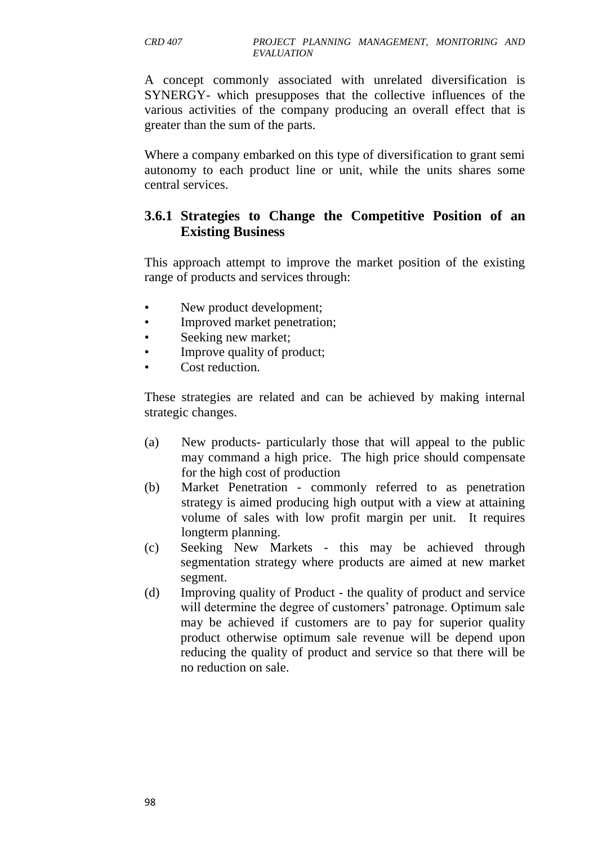A concept commonly associated with unrelated diversification is SYNERGY- which presupposes that the collective influences of the various activities of the company producing an overall effect that is greater than the sum of the parts.

Where a company embarked on this type of diversification to grant semi autonomy to each product line or unit, while the units shares some central services.

## **3.6.1 Strategies to Change the Competitive Position of an Existing Business**

This approach attempt to improve the market position of the existing range of products and services through:

- New product development;
- Improved market penetration;
- Seeking new market;
- Improve quality of product;
- Cost reduction.

These strategies are related and can be achieved by making internal strategic changes.

- (a) New products- particularly those that will appeal to the public may command a high price. The high price should compensate for the high cost of production
- (b) Market Penetration commonly referred to as penetration strategy is aimed producing high output with a view at attaining volume of sales with low profit margin per unit. It requires longterm planning.
- (c) Seeking New Markets this may be achieved through segmentation strategy where products are aimed at new market segment.
- (d) Improving quality of Product the quality of product and service will determine the degree of customers' patronage. Optimum sale may be achieved if customers are to pay for superior quality product otherwise optimum sale revenue will be depend upon reducing the quality of product and service so that there will be no reduction on sale.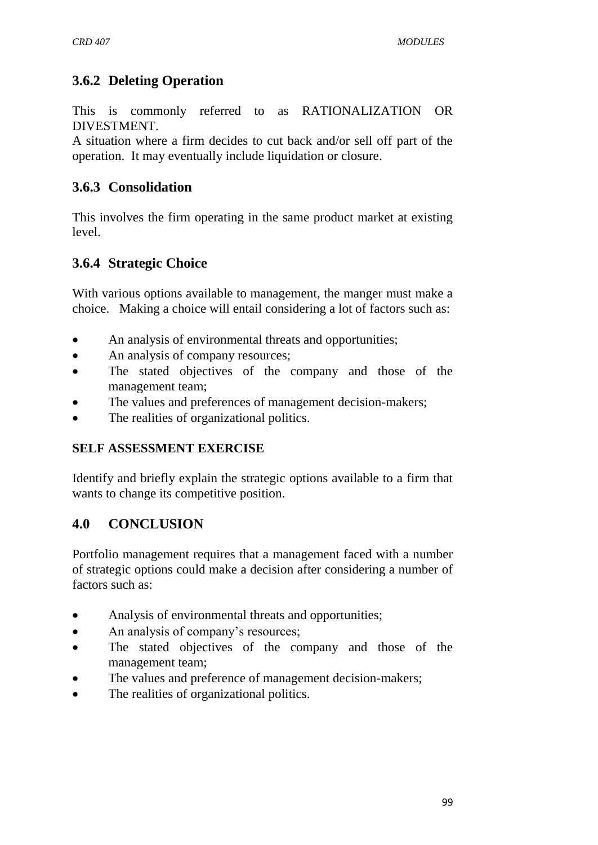# **3.6.2 Deleting Operation**

This is commonly referred to as RATIONALIZATION OR DIVESTMENT.

A situation where a firm decides to cut back and/or sell off part of the operation. It may eventually include liquidation or closure.

# **3.6.3 Consolidation**

This involves the firm operating in the same product market at existing level.

# **3.6.4 Strategic Choice**

With various options available to management, the manger must make a choice. Making a choice will entail considering a lot of factors such as:

- An analysis of environmental threats and opportunities;
- An analysis of company resources;
- The stated objectives of the company and those of the management team;
- The values and preferences of management decision-makers;
- The realities of organizational politics.

## **SELF ASSESSMENT EXERCISE**

Identify and briefly explain the strategic options available to a firm that wants to change its competitive position.

# **4.0 CONCLUSION**

Portfolio management requires that a management faced with a number of strategic options could make a decision after considering a number of factors such as:

- Analysis of environmental threats and opportunities;
- An analysis of company's resources;
- The stated objectives of the company and those of the management team;
- The values and preference of management decision-makers;
- The realities of organizational politics.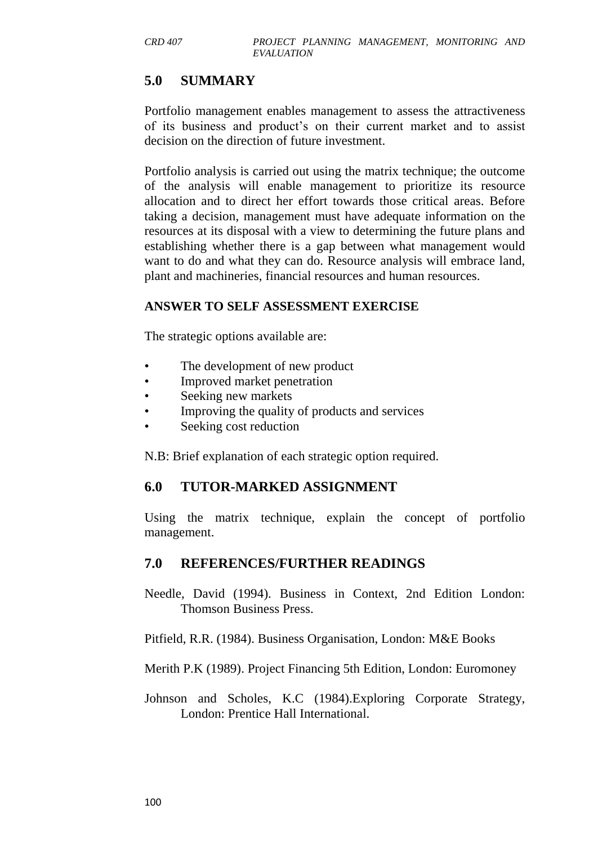# **5.0 SUMMARY**

Portfolio management enables management to assess the attractiveness of its business and product's on their current market and to assist decision on the direction of future investment.

Portfolio analysis is carried out using the matrix technique; the outcome of the analysis will enable management to prioritize its resource allocation and to direct her effort towards those critical areas. Before taking a decision, management must have adequate information on the resources at its disposal with a view to determining the future plans and establishing whether there is a gap between what management would want to do and what they can do. Resource analysis will embrace land, plant and machineries, financial resources and human resources.

#### **ANSWER TO SELF ASSESSMENT EXERCISE**

The strategic options available are:

- The development of new product
- Improved market penetration
- Seeking new markets
- Improving the quality of products and services
- Seeking cost reduction

N.B: Brief explanation of each strategic option required.

## **6.0 TUTOR-MARKED ASSIGNMENT**

Using the matrix technique, explain the concept of portfolio management.

## **7.0 REFERENCES/FURTHER READINGS**

Needle, David (1994). Business in Context, 2nd Edition London: Thomson Business Press.

Pitfield, R.R. (1984). Business Organisation, London: M&E Books

Merith P.K (1989). Project Financing 5th Edition, London: Euromoney

Johnson and Scholes, K.C (1984).Exploring Corporate Strategy, London: Prentice Hall International.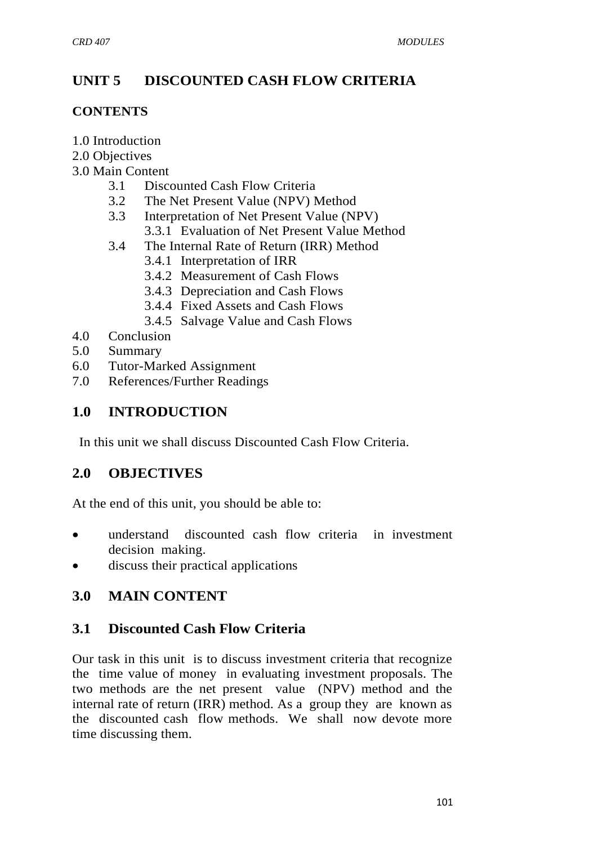# **UNIT 5 DISCOUNTED CASH FLOW CRITERIA**

#### **CONTENTS**

- 1.0 Introduction
- 2.0 Objectives
- 3.0 Main Content
	- 3.1 Discounted Cash Flow Criteria
	- 3.2 The Net Present Value (NPV) Method
	- 3.3 Interpretation of Net Present Value (NPV) 3.3.1 Evaluation of Net Present Value Method
	- 3.4 The Internal Rate of Return (IRR) Method
		- 3.4.1 Interpretation of IRR
		- 3.4.2 Measurement of Cash Flows
		- 3.4.3 Depreciation and Cash Flows
		- 3.4.4 Fixed Assets and Cash Flows
		- 3.4.5 Salvage Value and Cash Flows
- 4.0 Conclusion
- 5.0 Summary
- 6.0 Tutor-Marked Assignment
- 7.0 References/Further Readings

# **1.0 INTRODUCTION**

In this unit we shall discuss Discounted Cash Flow Criteria.

# **2.0 OBJECTIVES**

At the end of this unit, you should be able to:

- understand discounted cash flow criteria in investment decision making.
- discuss their practical applications

# **3.0 MAIN CONTENT**

# **3.1 Discounted Cash Flow Criteria**

Our task in this unit is to discuss investment criteria that recognize the time value of money in evaluating investment proposals. The two methods are the net present value (NPV) method and the internal rate of return (IRR) method. As a group they are known as the discounted cash flow methods. We shall now devote more time discussing them.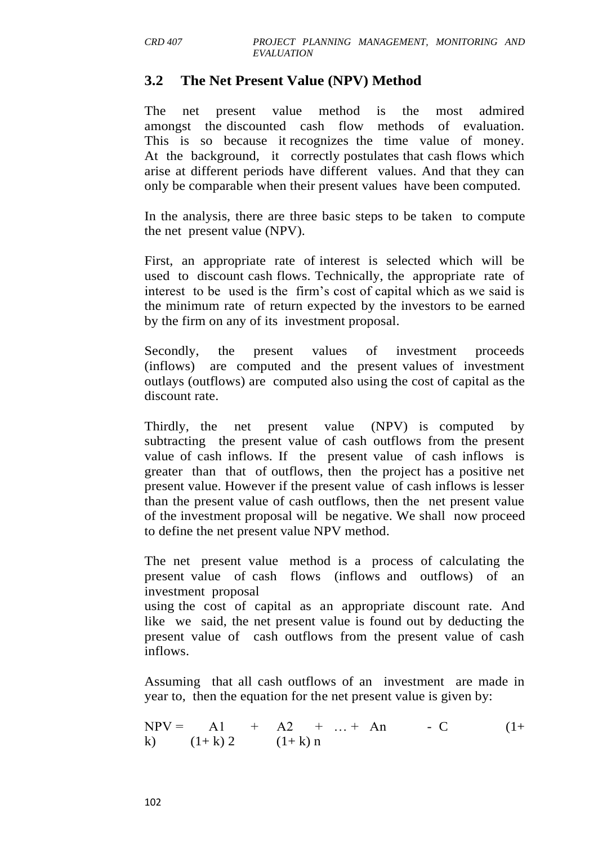### **3.2 The Net Present Value (NPV) Method**

The net present value method is the most admired amongst the discounted cash flow methods of evaluation. This is so because it recognizes the time value of money. At the background, it correctly postulates that cash flows which arise at different periods have different values. And that they can only be comparable when their present values have been computed.

In the analysis, there are three basic steps to be taken to compute the net present value (NPV).

First, an appropriate rate of interest is selected which will be used to discount cash flows. Technically, the appropriate rate of interest to be used is the firm's cost of capital which as we said is the minimum rate of return expected by the investors to be earned by the firm on any of its investment proposal.

Secondly, the present values of investment proceeds (inflows) are computed and the present values of investment outlays (outflows) are computed also using the cost of capital as the discount rate.

Thirdly, the net present value (NPV) is computed by subtracting the present value of cash outflows from the present value of cash inflows. If the present value of cash inflows is greater than that of outflows, then the project has a positive net present value. However if the present value of cash inflows is lesser than the present value of cash outflows, then the net present value of the investment proposal will be negative. We shall now proceed to define the net present value NPV method.

The net present value method is a process of calculating the present value of cash flows (inflows and outflows) of an investment proposal

using the cost of capital as an appropriate discount rate. And like we said, the net present value is found out by deducting the present value of cash outflows from the present value of cash inflows.

Assuming that all cash outflows of an investment are made in year to, then the equation for the net present value is given by:

$$
NPV = \n\begin{array}{ccc}\n\text{Al} & + & \text{A2} & + & \dots + & \text{An} \\
\text{k)} & (1 + \text{k}) \, 2 & (1 + \text{k}) \, \text{n}\n\end{array}\n\tag{1+}
$$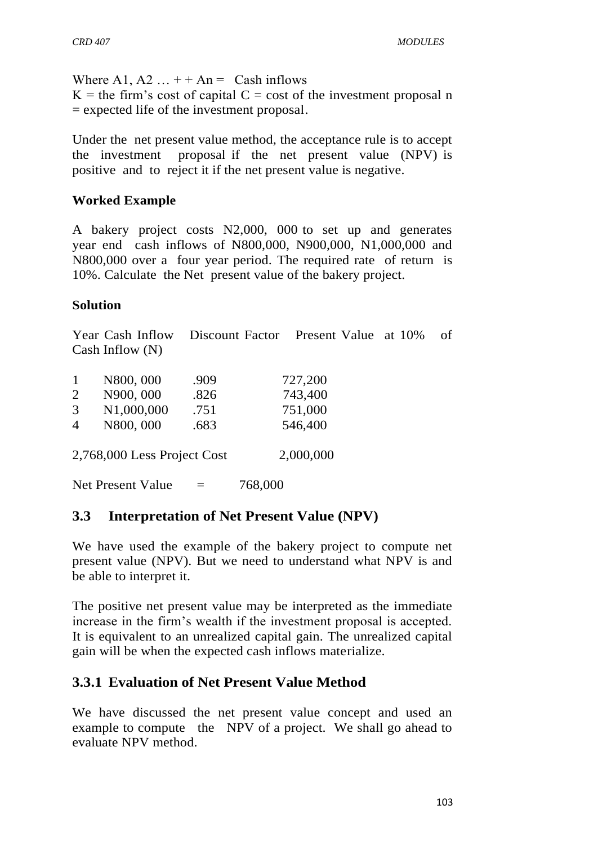Where A1, A2  $\dots$  + + An = Cash inflows

 $K =$  the firm's cost of capital  $C =$  cost of the investment proposal n = expected life of the investment proposal.

Under the net present value method, the acceptance rule is to accept the investment proposal if the net present value (NPV) is positive and to reject it if the net present value is negative.

#### **Worked Example**

A bakery project costs N2,000, 000 to set up and generates year end cash inflows of N800,000, N900,000, N1,000,000 and N800,000 over a four year period. The required rate of return is 10%. Calculate the Net present value of the bakery project.

#### **Solution**

Year Cash Inflow Discount Factor Present Value at 10% of Cash Inflow (N)

| 1              | N800, 000                   | .909      | 727,200 |
|----------------|-----------------------------|-----------|---------|
| $\overline{2}$ | N900, 000                   | .826      | 743,400 |
| 3              | N1,000,000                  | .751      | 751,000 |
| $\overline{4}$ | N800,000                    | .683      | 546,400 |
|                | 2,768,000 Less Project Cost | 2,000,000 |         |
|                | <b>Net Present Value</b>    | $=$       | 768,000 |

### **3.3 Interpretation of Net Present Value (NPV)**

We have used the example of the bakery project to compute net present value (NPV). But we need to understand what NPV is and be able to interpret it.

The positive net present value may be interpreted as the immediate increase in the firm's wealth if the investment proposal is accepted. It is equivalent to an unrealized capital gain. The unrealized capital gain will be when the expected cash inflows materialize.

# **3.3.1 Evaluation of Net Present Value Method**

We have discussed the net present value concept and used an example to compute the NPV of a project. We shall go ahead to evaluate NPV method.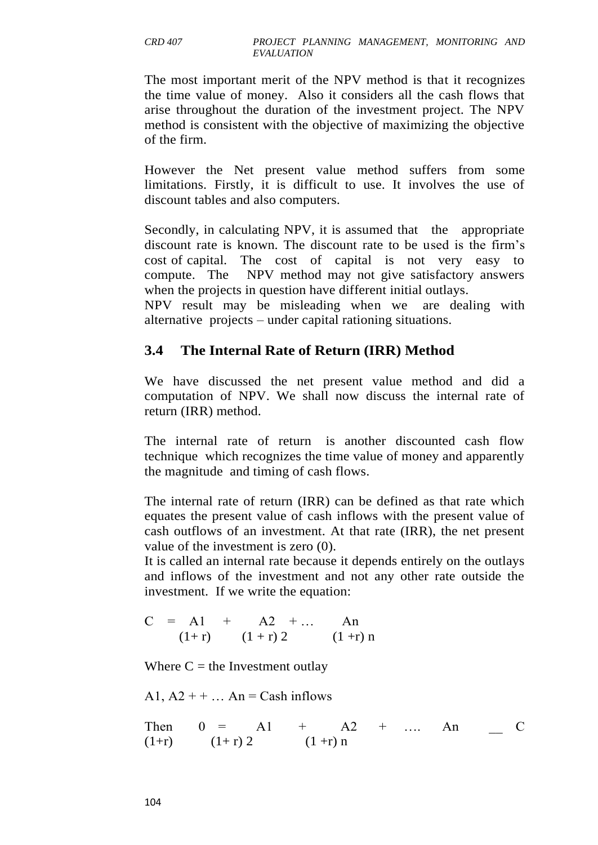The most important merit of the NPV method is that it recognizes the time value of money. Also it considers all the cash flows that arise throughout the duration of the investment project. The NPV method is consistent with the objective of maximizing the objective of the firm.

However the Net present value method suffers from some limitations. Firstly, it is difficult to use. It involves the use of discount tables and also computers.

Secondly, in calculating NPV, it is assumed that the appropriate discount rate is known. The discount rate to be used is the firm's cost of capital. The cost of capital is not very easy to compute. The NPV method may not give satisfactory answers when the projects in question have different initial outlays.

NPV result may be misleading when we are dealing with alternative projects – under capital rationing situations.

# **3.4 The Internal Rate of Return (IRR) Method**

We have discussed the net present value method and did a computation of NPV. We shall now discuss the internal rate of return (IRR) method.

The internal rate of return is another discounted cash flow technique which recognizes the time value of money and apparently the magnitude and timing of cash flows.

The internal rate of return (IRR) can be defined as that rate which equates the present value of cash inflows with the present value of cash outflows of an investment. At that rate (IRR), the net present value of the investment is zero (0).

It is called an internal rate because it depends entirely on the outlays and inflows of the investment and not any other rate outside the investment. If we write the equation:

$$
C = A1 + A2 + ... An
$$
  
(1+r) (1+r) 2 (1+r) n

Where  $C =$  the Investment outlay

A1,  $A2 + + \dots$  An = Cash inflows

Then 
$$
0 = A1 + A2 + \dots
$$
 An   
(1+r)  $(1+r) 2 + (1+r)n$  C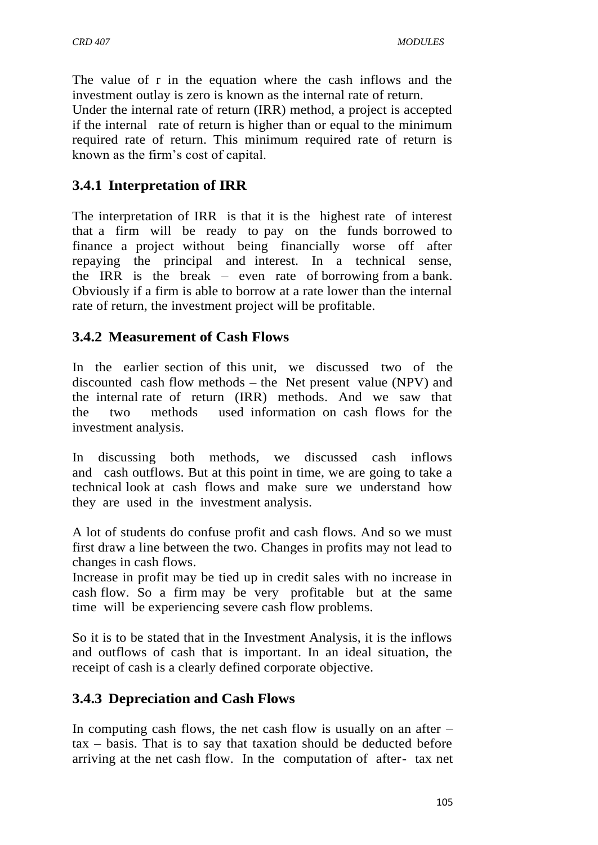The value of r in the equation where the cash inflows and the investment outlay is zero is known as the internal rate of return.

Under the internal rate of return (IRR) method, a project is accepted if the internal rate of return is higher than or equal to the minimum required rate of return. This minimum required rate of return is known as the firm's cost of capital.

# **3.4.1 Interpretation of IRR**

The interpretation of IRR is that it is the highest rate of interest that a firm will be ready to pay on the funds borrowed to finance a project without being financially worse off after repaying the principal and interest. In a technical sense, the IRR is the break – even rate of borrowing from a bank. Obviously if a firm is able to borrow at a rate lower than the internal rate of return, the investment project will be profitable.

## **3.4.2 Measurement of Cash Flows**

In the earlier section of this unit, we discussed two of the discounted cash flow methods – the Net present value (NPV) and the internal rate of return (IRR) methods. And we saw that the two methods used information on cash flows for the investment analysis.

In discussing both methods, we discussed cash inflows and cash outflows. But at this point in time, we are going to take a technical look at cash flows and make sure we understand how they are used in the investment analysis.

A lot of students do confuse profit and cash flows. And so we must first draw a line between the two. Changes in profits may not lead to changes in cash flows.

Increase in profit may be tied up in credit sales with no increase in cash flow. So a firm may be very profitable but at the same time will be experiencing severe cash flow problems.

So it is to be stated that in the Investment Analysis, it is the inflows and outflows of cash that is important. In an ideal situation, the receipt of cash is a clearly defined corporate objective.

# **3.4.3 Depreciation and Cash Flows**

In computing cash flows, the net cash flow is usually on an after  $$ tax – basis. That is to say that taxation should be deducted before arriving at the net cash flow. In the computation of after- tax net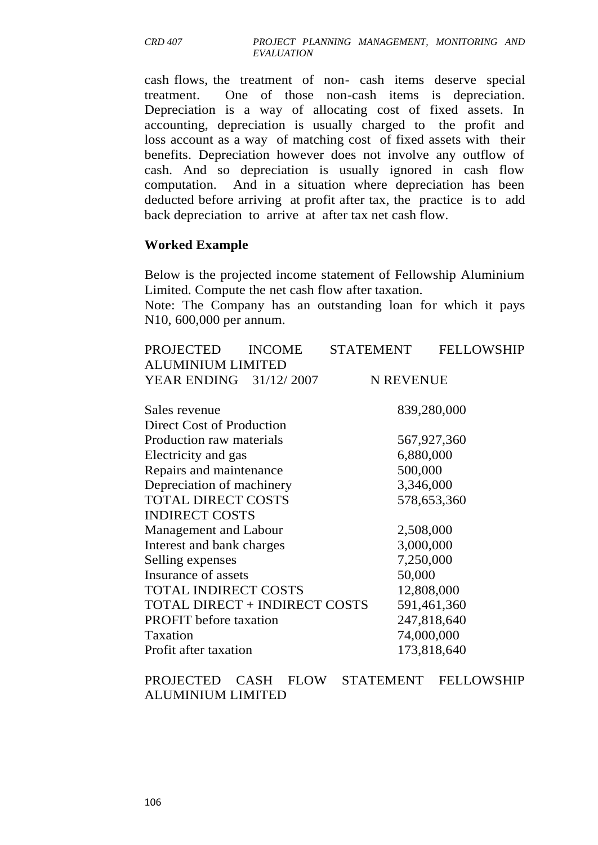cash flows, the treatment of non- cash items deserve special treatment. One of those non-cash items is depreciation. Depreciation is a way of allocating cost of fixed assets. In accounting, depreciation is usually charged to the profit and loss account as a way of matching cost of fixed assets with their benefits. Depreciation however does not involve any outflow of cash. And so depreciation is usually ignored in cash flow computation. And in a situation where depreciation has been deducted before arriving at profit after tax, the practice is to add back depreciation to arrive at after tax net cash flow.

#### **Worked Example**

Below is the projected income statement of Fellowship Aluminium Limited. Compute the net cash flow after taxation.

Note: The Company has an outstanding loan for which it pays N10, 600,000 per annum.

| <b>PROJECTED</b>              | <b>INCOME</b> | <b>STATEMENT</b> | <b>FELLOWSHIP</b> |  |  |  |  |  |  |
|-------------------------------|---------------|------------------|-------------------|--|--|--|--|--|--|
| <b>ALUMINIUM LIMITED</b>      |               |                  |                   |  |  |  |  |  |  |
| YEAR ENDING 31/12/2007        |               | N REVENUE        |                   |  |  |  |  |  |  |
|                               |               |                  |                   |  |  |  |  |  |  |
| Sales revenue                 |               | 839,280,000      |                   |  |  |  |  |  |  |
| Direct Cost of Production     |               |                  |                   |  |  |  |  |  |  |
| Production raw materials      |               | 567,927,360      |                   |  |  |  |  |  |  |
| Electricity and gas           |               | 6,880,000        |                   |  |  |  |  |  |  |
| Repairs and maintenance       |               | 500,000          |                   |  |  |  |  |  |  |
| Depreciation of machinery     |               | 3,346,000        |                   |  |  |  |  |  |  |
| <b>TOTAL DIRECT COSTS</b>     |               |                  | 578,653,360       |  |  |  |  |  |  |
| <b>INDIRECT COSTS</b>         |               |                  |                   |  |  |  |  |  |  |
| Management and Labour         |               | 2,508,000        |                   |  |  |  |  |  |  |
| Interest and bank charges     |               | 3,000,000        |                   |  |  |  |  |  |  |
| Selling expenses              |               | 7,250,000        |                   |  |  |  |  |  |  |
| Insurance of assets           |               | 50,000           |                   |  |  |  |  |  |  |
| <b>TOTAL INDIRECT COSTS</b>   |               | 12,808,000       |                   |  |  |  |  |  |  |
| TOTAL DIRECT + INDIRECT COSTS |               | 591,461,360      |                   |  |  |  |  |  |  |
| <b>PROFIT</b> before taxation |               | 247,818,640      |                   |  |  |  |  |  |  |
| Taxation                      |               | 74,000,000       |                   |  |  |  |  |  |  |
| Profit after taxation         |               |                  | 173,818,640       |  |  |  |  |  |  |
|                               |               |                  |                   |  |  |  |  |  |  |

PROJECTED CASH FLOW STATEMENT FELLOWSHIP ALUMINIUM LIMITED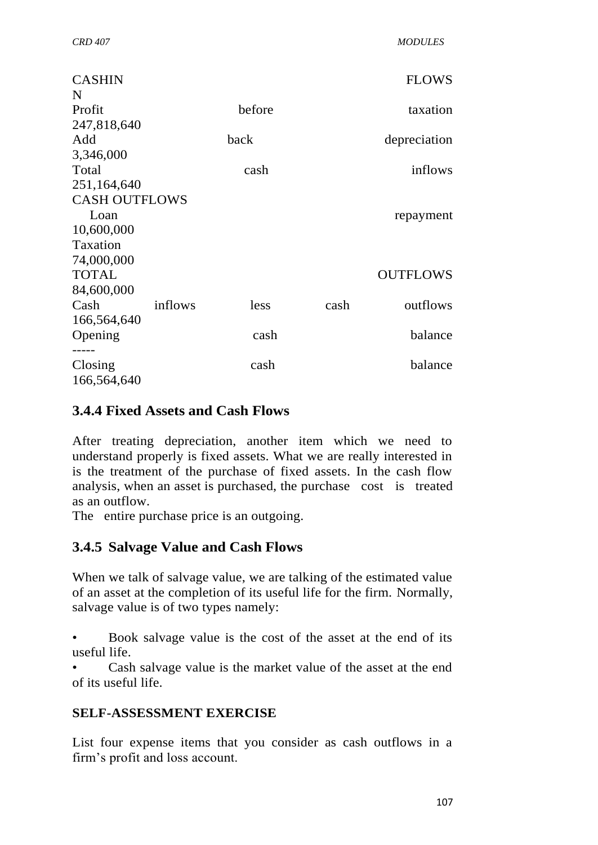| <b>CASHIN</b>        |         |        |      | <b>FLOWS</b>    |
|----------------------|---------|--------|------|-----------------|
| N                    |         |        |      |                 |
| Profit               |         | before |      | taxation        |
| 247,818,640          |         |        |      |                 |
| Add                  |         | back   |      | depreciation    |
| 3,346,000            |         |        |      |                 |
| Total                |         | cash   |      | inflows         |
| 251,164,640          |         |        |      |                 |
| <b>CASH OUTFLOWS</b> |         |        |      |                 |
| Loan                 |         |        |      | repayment       |
| 10,600,000           |         |        |      |                 |
| Taxation             |         |        |      |                 |
| 74,000,000           |         |        |      |                 |
| <b>TOTAL</b>         |         |        |      | <b>OUTFLOWS</b> |
| 84,600,000           |         |        |      |                 |
| Cash                 | inflows | less   | cash | outflows        |
| 166,564,640          |         |        |      |                 |
| Opening              |         | cash   |      | balance         |
|                      |         |        |      |                 |
| Closing              |         | cash   |      | balance         |
| 166,564,640          |         |        |      |                 |

## **3.4.4 Fixed Assets and Cash Flows**

After treating depreciation, another item which we need to understand properly is fixed assets. What we are really interested in is the treatment of the purchase of fixed assets. In the cash flow analysis, when an asset is purchased, the purchase cost is treated as an outflow.

The entire purchase price is an outgoing.

# **3.4.5 Salvage Value and Cash Flows**

When we talk of salvage value, we are talking of the estimated value of an asset at the completion of its useful life for the firm. Normally, salvage value is of two types namely:

• Book salvage value is the cost of the asset at the end of its useful life.

Cash salvage value is the market value of the asset at the end of its useful life.

### **SELF-ASSESSMENT EXERCISE**

List four expense items that you consider as cash outflows in a firm's profit and loss account.